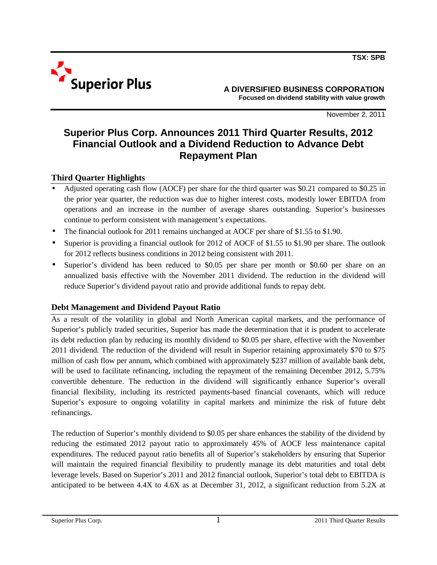

 **Focused on dividend stability with value growth** 

November 2, 2011

# **Superior Plus Corp. Announces 2011 Third Quarter Results, 2012 Financial Outlook and a Dividend Reduction to Advance Debt Repayment Plan**

# **Third Quarter Highlights**

- Adjusted operating cash flow (AOCF) per share for the third quarter was \$0.21 compared to \$0.25 in the prior year quarter, the reduction was due to higher interest costs, modestly lower EBITDA from operations and an increase in the number of average shares outstanding. Superior's businesses continue to perform consistent with management's expectations.
- The financial outlook for 2011 remains unchanged at AOCF per share of \$1.55 to \$1.90.
- Superior is providing a financial outlook for 2012 of AOCF of \$1.55 to \$1.90 per share. The outlook for 2012 reflects business conditions in 2012 being consistent with 2011.
- Superior's dividend has been reduced to \$0.05 per share per month or \$0.60 per share on an annualized basis effective with the November 2011 dividend. The reduction in the dividend will reduce Superior's dividend payout ratio and provide additional funds to repay debt.

# **Debt Management and Dividend Payout Ratio**

As a result of the volatility in global and North American capital markets, and the performance of Superior's publicly traded securities, Superior has made the determination that it is prudent to accelerate its debt reduction plan by reducing its monthly dividend to \$0.05 per share, effective with the November 2011 dividend. The reduction of the dividend will result in Superior retaining approximately \$70 to \$75 million of cash flow per annum, which combined with approximately \$237 million of available bank debt, will be used to facilitate refinancing, including the repayment of the remaining December 2012, 5.75% convertible debenture. The reduction in the dividend will significantly enhance Superior's overall financial flexibility, including its restricted payments-based financial covenants, which will reduce Superior's exposure to ongoing volatility in capital markets and minimize the risk of future debt refinancings.

The reduction of Superior's monthly dividend to \$0.05 per share enhances the stability of the dividend by reducing the estimated 2012 payout ratio to approximately 45% of AOCF less maintenance capital expenditures. The reduced payout ratio benefits all of Superior's stakeholders by ensuring that Superior will maintain the required financial flexibility to prudently manage its debt maturities and total debt leverage levels. Based on Superior's 2011 and 2012 financial outlook, Superior's total debt to EBITDA is anticipated to be between 4.4X to 4.6X as at December 31, 2012, a significant reduction from 5.2X at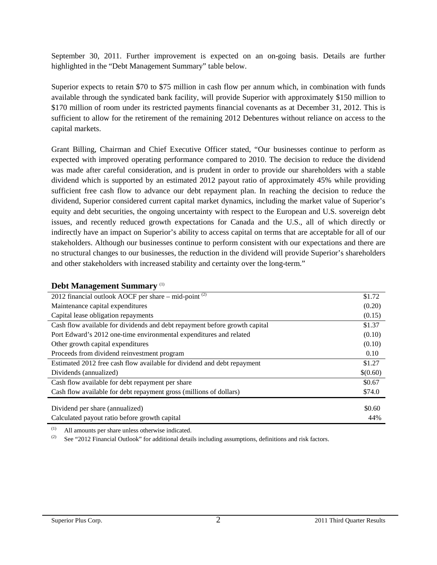September 30, 2011. Further improvement is expected on an on-going basis. Details are further highlighted in the "Debt Management Summary" table below.

Superior expects to retain \$70 to \$75 million in cash flow per annum which, in combination with funds available through the syndicated bank facility, will provide Superior with approximately \$150 million to \$170 million of room under its restricted payments financial covenants as at December 31, 2012. This is sufficient to allow for the retirement of the remaining 2012 Debentures without reliance on access to the capital markets.

Grant Billing, Chairman and Chief Executive Officer stated, "Our businesses continue to perform as expected with improved operating performance compared to 2010. The decision to reduce the dividend was made after careful consideration, and is prudent in order to provide our shareholders with a stable dividend which is supported by an estimated 2012 payout ratio of approximately 45% while providing sufficient free cash flow to advance our debt repayment plan. In reaching the decision to reduce the dividend, Superior considered current capital market dynamics, including the market value of Superior's equity and debt securities, the ongoing uncertainty with respect to the European and U.S. sovereign debt issues, and recently reduced growth expectations for Canada and the U.S., all of which directly or indirectly have an impact on Superior's ability to access capital on terms that are acceptable for all of our stakeholders. Although our businesses continue to perform consistent with our expectations and there are no structural changes to our businesses, the reduction in the dividend will provide Superior's shareholders and other stakeholders with increased stability and certainty over the long-term."

| <b>Debt Management Summary</b> <sup>(1)</sup>                              |          |
|----------------------------------------------------------------------------|----------|
| 2012 financial outlook AOCF per share – mid-point $(2)$                    | \$1.72   |
| Maintenance capital expenditures                                           | (0.20)   |
| Capital lease obligation repayments                                        | (0.15)   |
| Cash flow available for dividends and debt repayment before growth capital | \$1.37   |
| Port Edward's 2012 one-time environmental expenditures and related         | (0.10)   |
| Other growth capital expenditures                                          | (0.10)   |
| Proceeds from dividend reinvestment program                                | 0.10     |
| Estimated 2012 free cash flow available for dividend and debt repayment    | \$1.27   |
| Dividends (annualized)                                                     | \$(0.60) |
| Cash flow available for debt repayment per share                           | \$0.67   |
| Cash flow available for debt repayment gross (millions of dollars)         | \$74.0   |
| Dividend per share (annualized)                                            | \$0.60   |
| Calculated payout ratio before growth capital                              | 44%      |

(1) All amounts per share unless otherwise indicated.<br>(2) See "2012 Einensial Outlook" for additional data is

See "2012 Financial Outlook" for additional details including assumptions, definitions and risk factors.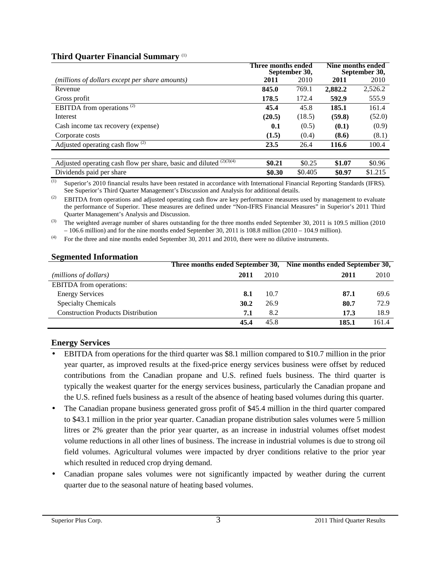# **Third Quarter Financial Summary** (1)

|                                                                       | Three months ended<br>September 30, |         | Nine months ended<br>September 30, |         |  |
|-----------------------------------------------------------------------|-------------------------------------|---------|------------------------------------|---------|--|
| (millions of dollars except per share amounts)                        | 2011                                | 2010    | 2011                               | 2010    |  |
| Revenue                                                               | 845.0                               | 769.1   | 2,882.2                            | 2,526.2 |  |
| Gross profit                                                          | 178.5                               | 172.4   | 592.9                              | 555.9   |  |
| EBITDA from operations $(2)$                                          | 45.4                                | 45.8    | 185.1                              | 161.4   |  |
| Interest                                                              | (20.5)                              | (18.5)  | (59.8)                             | (52.0)  |  |
| Cash income tax recovery (expense)                                    | 0.1                                 | (0.5)   | (0.1)                              | (0.9)   |  |
| Corporate costs                                                       | (1.5)                               | (0.4)   | (8.6)                              | (8.1)   |  |
| Adjusted operating cash flow $(2)$                                    | 23.5                                | 26.4    | 116.6                              | 100.4   |  |
|                                                                       |                                     |         |                                    |         |  |
| Adjusted operating cash flow per share, basic and diluted $(2)(3)(4)$ | \$0.21                              | \$0.25  | \$1.07                             | \$0.96  |  |
| Dividends paid per share                                              | \$0.30                              | \$0.405 | \$0.97                             | \$1.215 |  |

(1) Superior's 2010 financial results have been restated in accordance with International Financial Reporting Standards (IFRS). See Superior's Third Quarter Management's Discussion and Analysis for additional details.

<sup>(2)</sup> EBITDA from operations and adjusted operating cash flow are key performance measures used by management to evaluate the performance of Superior. These measures are defined under "Non-IFRS Financial Measures" in Superior's 2011 Third Quarter Management's Analysis and Discussion.

<sup>(3)</sup> The weighted average number of shares outstanding for the three months ended September 30, 2011 is 109.5 million (2010) – 106.6 million) and for the nine months ended September 30, 2011 is 108.8 million (2010 – 104.9 million).

 $(4)$  For the three and nine months ended September 30, 2011 and 2010, there were no dilutive instruments.

# **Segmented Information**

|                                           | Three months ended September 30, Nine months ended September 30, |      |       |       |
|-------------------------------------------|------------------------------------------------------------------|------|-------|-------|
| (millions of dollars)                     | 2011                                                             | 2010 | 2011  | 2010  |
| <b>EBITDA</b> from operations:            |                                                                  |      |       |       |
| <b>Energy Services</b>                    | 8.1                                                              | 10.7 | 87.1  | 69.6  |
| <b>Specialty Chemicals</b>                | 30.2                                                             | 26.9 | 80.7  | 72.9  |
| <b>Construction Products Distribution</b> | 7.1                                                              | 8.2  | 17.3  | 18.9  |
|                                           | 45.4                                                             | 45.8 | 185.1 | 161.4 |

# **Energy Services**

- EBITDA from operations for the third quarter was \$8.1 million compared to \$10.7 million in the prior year quarter, as improved results at the fixed-price energy services business were offset by reduced contributions from the Canadian propane and U.S. refined fuels business. The third quarter is typically the weakest quarter for the energy services business, particularly the Canadian propane and the U.S. refined fuels business as a result of the absence of heating based volumes during this quarter.
- The Canadian propane business generated gross profit of \$45.4 million in the third quarter compared to \$43.1 million in the prior year quarter. Canadian propane distribution sales volumes were 5 million litres or 2% greater than the prior year quarter, as an increase in industrial volumes offset modest volume reductions in all other lines of business. The increase in industrial volumes is due to strong oil field volumes. Agricultural volumes were impacted by dryer conditions relative to the prior year which resulted in reduced crop drying demand.
- Canadian propane sales volumes were not significantly impacted by weather during the current quarter due to the seasonal nature of heating based volumes.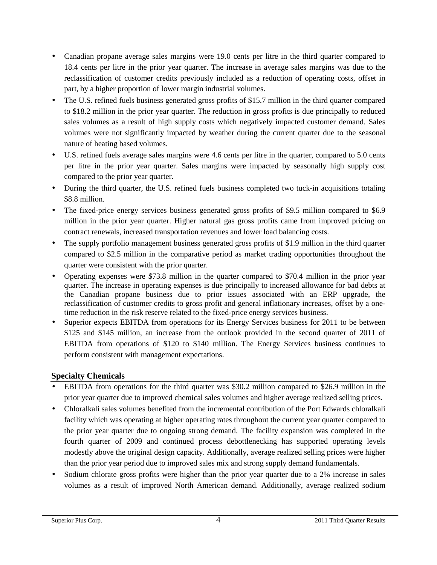- Canadian propane average sales margins were 19.0 cents per litre in the third quarter compared to 18.4 cents per litre in the prior year quarter. The increase in average sales margins was due to the reclassification of customer credits previously included as a reduction of operating costs, offset in part, by a higher proportion of lower margin industrial volumes.
- The U.S. refined fuels business generated gross profits of \$15.7 million in the third quarter compared to \$18.2 million in the prior year quarter. The reduction in gross profits is due principally to reduced sales volumes as a result of high supply costs which negatively impacted customer demand. Sales volumes were not significantly impacted by weather during the current quarter due to the seasonal nature of heating based volumes.
- U.S. refined fuels average sales margins were 4.6 cents per litre in the quarter, compared to 5.0 cents per litre in the prior year quarter. Sales margins were impacted by seasonally high supply cost compared to the prior year quarter.
- During the third quarter, the U.S. refined fuels business completed two tuck-in acquisitions totaling \$8.8 million.
- The fixed-price energy services business generated gross profits of \$9.5 million compared to \$6.9 million in the prior year quarter. Higher natural gas gross profits came from improved pricing on contract renewals, increased transportation revenues and lower load balancing costs.
- The supply portfolio management business generated gross profits of \$1.9 million in the third quarter compared to \$2.5 million in the comparative period as market trading opportunities throughout the quarter were consistent with the prior quarter.
- Operating expenses were \$73.8 million in the quarter compared to \$70.4 million in the prior year quarter. The increase in operating expenses is due principally to increased allowance for bad debts at the Canadian propane business due to prior issues associated with an ERP upgrade, the reclassification of customer credits to gross profit and general inflationary increases, offset by a onetime reduction in the risk reserve related to the fixed-price energy services business.
- Superior expects EBITDA from operations for its Energy Services business for 2011 to be between \$125 and \$145 million, an increase from the outlook provided in the second quarter of 2011 of EBITDA from operations of \$120 to \$140 million. The Energy Services business continues to perform consistent with management expectations.

# **Specialty Chemicals**

- EBITDA from operations for the third quarter was \$30.2 million compared to \$26.9 million in the prior year quarter due to improved chemical sales volumes and higher average realized selling prices.
- Chloralkali sales volumes benefited from the incremental contribution of the Port Edwards chloralkali facility which was operating at higher operating rates throughout the current year quarter compared to the prior year quarter due to ongoing strong demand. The facility expansion was completed in the fourth quarter of 2009 and continued process debottlenecking has supported operating levels modestly above the original design capacity. Additionally, average realized selling prices were higher than the prior year period due to improved sales mix and strong supply demand fundamentals.
- Sodium chlorate gross profits were higher than the prior year quarter due to a 2% increase in sales volumes as a result of improved North American demand. Additionally, average realized sodium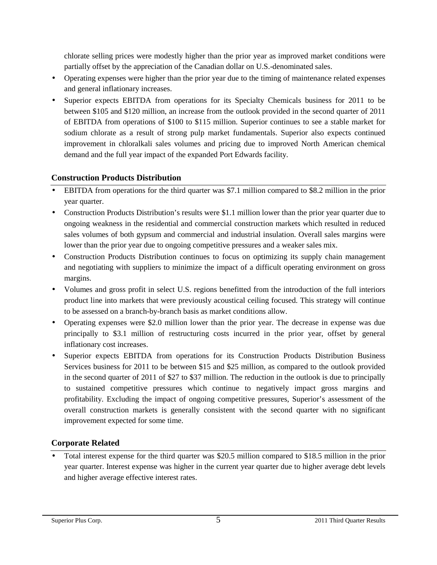chlorate selling prices were modestly higher than the prior year as improved market conditions were partially offset by the appreciation of the Canadian dollar on U.S.-denominated sales.

- Operating expenses were higher than the prior year due to the timing of maintenance related expenses and general inflationary increases.
- Superior expects EBITDA from operations for its Specialty Chemicals business for 2011 to be between \$105 and \$120 million, an increase from the outlook provided in the second quarter of 2011 of EBITDA from operations of \$100 to \$115 million. Superior continues to see a stable market for sodium chlorate as a result of strong pulp market fundamentals. Superior also expects continued improvement in chloralkali sales volumes and pricing due to improved North American chemical demand and the full year impact of the expanded Port Edwards facility.

# **Construction Products Distribution**

- EBITDA from operations for the third quarter was \$7.1 million compared to \$8.2 million in the prior year quarter.
- Construction Products Distribution's results were \$1.1 million lower than the prior year quarter due to ongoing weakness in the residential and commercial construction markets which resulted in reduced sales volumes of both gypsum and commercial and industrial insulation. Overall sales margins were lower than the prior year due to ongoing competitive pressures and a weaker sales mix.
- Construction Products Distribution continues to focus on optimizing its supply chain management and negotiating with suppliers to minimize the impact of a difficult operating environment on gross margins.
- Volumes and gross profit in select U.S. regions benefitted from the introduction of the full interiors product line into markets that were previously acoustical ceiling focused. This strategy will continue to be assessed on a branch-by-branch basis as market conditions allow.
- Operating expenses were \$2.0 million lower than the prior year. The decrease in expense was due principally to \$3.1 million of restructuring costs incurred in the prior year, offset by general inflationary cost increases.
- Superior expects EBITDA from operations for its Construction Products Distribution Business Services business for 2011 to be between \$15 and \$25 million, as compared to the outlook provided in the second quarter of 2011 of \$27 to \$37 million. The reduction in the outlook is due to principally to sustained competitive pressures which continue to negatively impact gross margins and profitability. Excluding the impact of ongoing competitive pressures, Superior's assessment of the overall construction markets is generally consistent with the second quarter with no significant improvement expected for some time.

# **Corporate Related**

• Total interest expense for the third quarter was \$20.5 million compared to \$18.5 million in the prior year quarter. Interest expense was higher in the current year quarter due to higher average debt levels and higher average effective interest rates.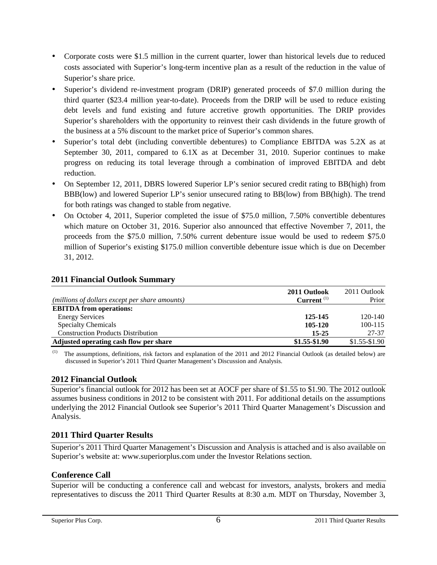- Corporate costs were \$1.5 million in the current quarter, lower than historical levels due to reduced costs associated with Superior's long-term incentive plan as a result of the reduction in the value of Superior's share price.
- Superior's dividend re-investment program (DRIP) generated proceeds of \$7.0 million during the third quarter (\$23.4 million year-to-date). Proceeds from the DRIP will be used to reduce existing debt levels and fund existing and future accretive growth opportunities. The DRIP provides Superior's shareholders with the opportunity to reinvest their cash dividends in the future growth of the business at a 5% discount to the market price of Superior's common shares.
- Superior's total debt (including convertible debentures) to Compliance EBITDA was 5.2X as at September 30, 2011, compared to 6.1X as at December 31, 2010. Superior continues to make progress on reducing its total leverage through a combination of improved EBITDA and debt reduction.
- On September 12, 2011, DBRS lowered Superior LP's senior secured credit rating to BB(high) from BBB(low) and lowered Superior LP's senior unsecured rating to BB(low) from BB(high). The trend for both ratings was changed to stable from negative.
- On October 4, 2011, Superior completed the issue of \$75.0 million, 7.50% convertible debentures which mature on October 31, 2016. Superior also announced that effective November 7, 2011, the proceeds from the \$75.0 million, 7.50% current debenture issue would be used to redeem \$75.0 million of Superior's existing \$175.0 million convertible debenture issue which is due on December 31, 2012.

|                                                | 2011 Outlook    | 2011 Outlook    |
|------------------------------------------------|-----------------|-----------------|
| (millions of dollars except per share amounts) | Current $(1)$   | Prior           |
| <b>EBITDA</b> from operations:                 |                 |                 |
| <b>Energy Services</b>                         | 125-145         | $120 - 140$     |
| <b>Specialty Chemicals</b>                     | 105-120         | 100-115         |
| <b>Construction Products Distribution</b>      | $15 - 25$       | 27-37           |
| Adjusted operating cash flow per share         | $$1.55 - $1.90$ | $$1.55 - $1.90$ |

# **2011 Financial Outlook Summary**

The assumptions, definitions, risk factors and explanation of the 2011 and 2012 Financial Outlook (as detailed below) are discussed in Superior's 2011 Third Quarter Management's Discussion and Analysis.

# **2012 Financial Outlook**

Superior's financial outlook for 2012 has been set at AOCF per share of \$1.55 to \$1.90. The 2012 outlook assumes business conditions in 2012 to be consistent with 2011. For additional details on the assumptions underlying the 2012 Financial Outlook see Superior's 2011 Third Quarter Management's Discussion and Analysis.

# **2011 Third Quarter Results**

Superior's 2011 Third Quarter Management's Discussion and Analysis is attached and is also available on Superior's website at: www.superiorplus.com under the Investor Relations section.

# **Conference Call**

Superior will be conducting a conference call and webcast for investors, analysts, brokers and media representatives to discuss the 2011 Third Quarter Results at 8:30 a.m. MDT on Thursday, November 3,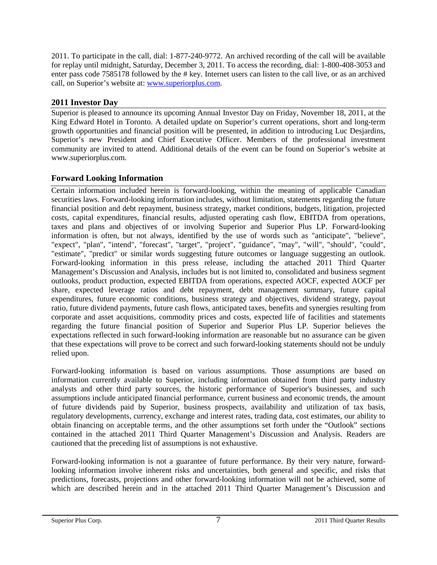2011. To participate in the call, dial: 1-877-240-9772. An archived recording of the call will be available for replay until midnight, Saturday, December 3, 2011. To access the recording, dial: 1-800-408-3053 and enter pass code 7585178 followed by the # key. Internet users can listen to the call live, or as an archived call, on Superior's website at: www.superiorplus.com.

# **2011 Investor Day**

Superior is pleased to announce its upcoming Annual Investor Day on Friday, November 18, 2011, at the King Edward Hotel in Toronto. A detailed update on Superior's current operations, short and long-term growth opportunities and financial position will be presented, in addition to introducing Luc Desjardins, Superior's new President and Chief Executive Officer. Members of the professional investment community are invited to attend. Additional details of the event can be found on Superior's website at www.superiorplus.com.

# **Forward Looking Information**

Certain information included herein is forward-looking, within the meaning of applicable Canadian securities laws. Forward-looking information includes, without limitation, statements regarding the future financial position and debt repayment, business strategy, market conditions, budgets, litigation, projected costs, capital expenditures, financial results, adjusted operating cash flow, EBITDA from operations, taxes and plans and objectives of or involving Superior and Superior Plus LP. Forward-looking information is often, but not always, identified by the use of words such as "anticipate", "believe", "expect", "plan", "intend", "forecast", "target", "project", "guidance", "may", "will", "should", "could", "estimate", "predict" or similar words suggesting future outcomes or language suggesting an outlook. Forward-looking information in this press release, including the attached 2011 Third Quarter Management's Discussion and Analysis, includes but is not limited to, consolidated and business segment outlooks, product production, expected EBITDA from operations, expected AOCF, expected AOCF per share, expected leverage ratios and debt repayment, debt management summary, future capital expenditures, future economic conditions, business strategy and objectives, dividend strategy, payout ratio, future dividend payments, future cash flows, anticipated taxes, benefits and synergies resulting from corporate and asset acquisitions, commodity prices and costs, expected life of facilities and statements regarding the future financial position of Superior and Superior Plus LP. Superior believes the expectations reflected in such forward-looking information are reasonable but no assurance can be given that these expectations will prove to be correct and such forward-looking statements should not be unduly relied upon.

Forward-looking information is based on various assumptions. Those assumptions are based on information currently available to Superior, including information obtained from third party industry analysts and other third party sources, the historic performance of Superior's businesses, and such assumptions include anticipated financial performance, current business and economic trends, the amount of future dividends paid by Superior, business prospects, availability and utilization of tax basis, regulatory developments, currency, exchange and interest rates, trading data, cost estimates, our ability to obtain financing on acceptable terms, and the other assumptions set forth under the "Outlook" sections contained in the attached 2011 Third Quarter Management's Discussion and Analysis. Readers are cautioned that the preceding list of assumptions is not exhaustive.

Forward-looking information is not a guarantee of future performance. By their very nature, forwardlooking information involve inherent risks and uncertainties, both general and specific, and risks that predictions, forecasts, projections and other forward-looking information will not be achieved, some of which are described herein and in the attached 2011 Third Quarter Management's Discussion and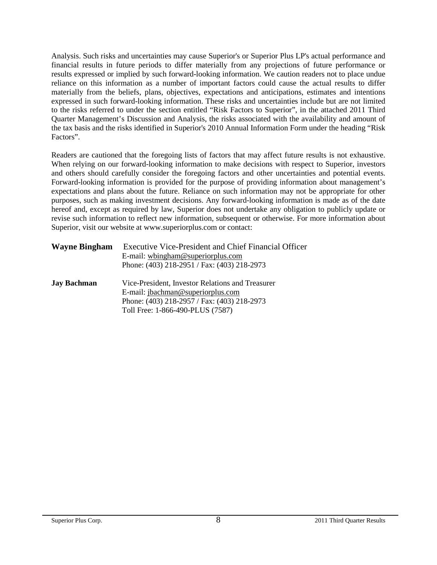Analysis. Such risks and uncertainties may cause Superior's or Superior Plus LP's actual performance and financial results in future periods to differ materially from any projections of future performance or results expressed or implied by such forward-looking information. We caution readers not to place undue reliance on this information as a number of important factors could cause the actual results to differ materially from the beliefs, plans, objectives, expectations and anticipations, estimates and intentions expressed in such forward-looking information. These risks and uncertainties include but are not limited to the risks referred to under the section entitled "Risk Factors to Superior", in the attached 2011 Third Quarter Management's Discussion and Analysis, the risks associated with the availability and amount of the tax basis and the risks identified in Superior's 2010 Annual Information Form under the heading "Risk Factors".

Readers are cautioned that the foregoing lists of factors that may affect future results is not exhaustive. When relying on our forward-looking information to make decisions with respect to Superior, investors and others should carefully consider the foregoing factors and other uncertainties and potential events. Forward-looking information is provided for the purpose of providing information about management's expectations and plans about the future. Reliance on such information may not be appropriate for other purposes, such as making investment decisions. Any forward-looking information is made as of the date hereof and, except as required by law, Superior does not undertake any obligation to publicly update or revise such information to reflect new information, subsequent or otherwise. For more information about Superior, visit our website at www.superiorplus.com or contact:

| <b>Wayne Bingham</b> | <b>Executive Vice-President and Chief Financial Officer</b>                                                                                                              |
|----------------------|--------------------------------------------------------------------------------------------------------------------------------------------------------------------------|
|                      | E-mail: whingham@superiorplus.com                                                                                                                                        |
|                      | Phone: (403) 218-2951 / Fax: (403) 218-2973                                                                                                                              |
| <b>Jay Bachman</b>   | Vice-President, Investor Relations and Treasurer<br>E-mail: jbachman@superiorplus.com<br>Phone: (403) 218-2957 / Fax: (403) 218-2973<br>Toll Free: 1-866-490-PLUS (7587) |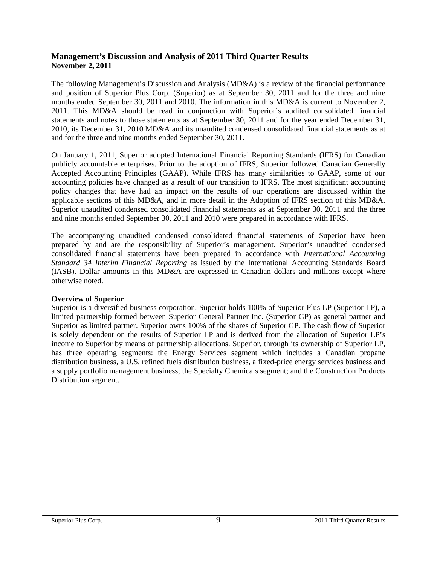## **Management's Discussion and Analysis of 2011 Third Quarter Results November 2, 2011**

The following Management's Discussion and Analysis (MD&A) is a review of the financial performance and position of Superior Plus Corp. (Superior) as at September 30, 2011 and for the three and nine months ended September 30, 2011 and 2010. The information in this MD&A is current to November 2, 2011. This MD&A should be read in conjunction with Superior's audited consolidated financial statements and notes to those statements as at September 30, 2011 and for the year ended December 31, 2010, its December 31, 2010 MD&A and its unaudited condensed consolidated financial statements as at and for the three and nine months ended September 30, 2011.

On January 1, 2011, Superior adopted International Financial Reporting Standards (IFRS) for Canadian publicly accountable enterprises. Prior to the adoption of IFRS, Superior followed Canadian Generally Accepted Accounting Principles (GAAP). While IFRS has many similarities to GAAP, some of our accounting policies have changed as a result of our transition to IFRS. The most significant accounting policy changes that have had an impact on the results of our operations are discussed within the applicable sections of this MD&A, and in more detail in the Adoption of IFRS section of this MD&A. Superior unaudited condensed consolidated financial statements as at September 30, 2011 and the three and nine months ended September 30, 2011 and 2010 were prepared in accordance with IFRS.

The accompanying unaudited condensed consolidated financial statements of Superior have been prepared by and are the responsibility of Superior's management. Superior's unaudited condensed consolidated financial statements have been prepared in accordance with *International Accounting Standard 34 Interim Financial Reporting* as issued by the International Accounting Standards Board (IASB). Dollar amounts in this MD&A are expressed in Canadian dollars and millions except where otherwise noted.

## **Overview of Superior**

Superior is a diversified business corporation. Superior holds 100% of Superior Plus LP (Superior LP), a limited partnership formed between Superior General Partner Inc. (Superior GP) as general partner and Superior as limited partner. Superior owns 100% of the shares of Superior GP. The cash flow of Superior is solely dependent on the results of Superior LP and is derived from the allocation of Superior LP's income to Superior by means of partnership allocations. Superior, through its ownership of Superior LP, has three operating segments: the Energy Services segment which includes a Canadian propane distribution business, a U.S. refined fuels distribution business, a fixed-price energy services business and a supply portfolio management business; the Specialty Chemicals segment; and the Construction Products Distribution segment.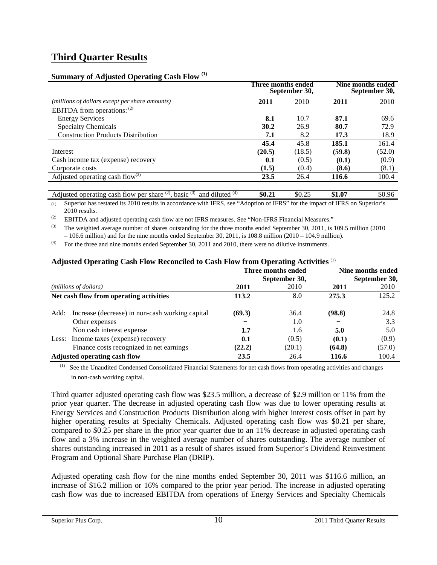# **Third Quarter Results**

## **Summary of Adjusted Operating Cash Flow (1)**

|                                                | Three months ended | September 30, |        | Nine months ended<br>September 30, |
|------------------------------------------------|--------------------|---------------|--------|------------------------------------|
| (millions of dollars except per share amounts) | 2011               | 2010          | 2011   | 2010                               |
| EBITDA from operations: $(2)$                  |                    |               |        |                                    |
| <b>Energy Services</b>                         | 8.1                | 10.7          | 87.1   | 69.6                               |
| <b>Specialty Chemicals</b>                     | 30.2               | 26.9          | 80.7   | 72.9                               |
| <b>Construction Products Distribution</b>      | 7.1                | 8.2           | 17.3   | 18.9                               |
|                                                | 45.4               | 45.8          | 185.1  | 161.4                              |
| Interest                                       | (20.5)             | (18.5)        | (59.8) | (52.0)                             |
| Cash income tax (expense) recovery             | 0.1                | (0.5)         | (0.1)  | (0.9)                              |
| Corporate costs                                | (1.5)              | (0.4)         | (8.6)  | (8.1)                              |
| Adjusted operating cash flow $^{(2)}$          | 23.5               | 26.4          | 116.6  | 100.4                              |
|                                                |                    |               |        |                                    |

Adjusted operating cash flow per share <sup>(2)</sup>, basic <sup>(3)</sup> and diluted <sup>(4)</sup>  $\text{\$0.21}$   $\text{\$0.25}$   $\text{\$1.07}$   $\text{\$0.96}$ 

(1) Superior has restated its 2010 results in accordance with IFRS, see "Adoption of IFRS" for the impact of IFRS on Superior's 2010 results.

<sup>(2)</sup> EBITDA and adjusted operating cash flow are not IFRS measures. See "Non-IFRS Financial Measures."

<sup>(3)</sup> The weighted average number of shares outstanding for the three months ended September 30, 2011, is 109.5 million (2010) – 106.6 million) and for the nine months ended September 30, 2011, is 108.8 million (2010 – 104.9 million).

 $^{(4)}$  For the three and nine months ended September 30, 2011 and 2010, there were no dilutive instruments.

#### **Adjusted Operating Cash Flow Reconciled to Cash Flow from Operating Activities** (1)

|      | $\sim$                                          |        | -<br>Three months ended | Nine months ended |               |  |
|------|-------------------------------------------------|--------|-------------------------|-------------------|---------------|--|
|      |                                                 |        | September 30,           |                   | September 30, |  |
|      | (millions of dollars)                           | 2011   | 2010                    | 2011              | 2010          |  |
|      | Net cash flow from operating activities         | 113.2  | 8.0                     | 275.3             | 125.2         |  |
| Add: | Increase (decrease) in non-cash working capital | (69.3) | 36.4                    | (98.8)            | 24.8          |  |
|      | Other expenses                                  |        | 1.0                     |                   | 3.3           |  |
|      | Non cash interest expense                       | 1.7    | 1.6                     | 5.0               | 5.0           |  |
|      | Less: Income taxes (expense) recovery           | 0.1    | (0.5)                   | (0.1)             | (0.9)         |  |
|      | Finance costs recognized in net earnings        | (22.2) | (20.1)                  | (64.8)            | (57.0)        |  |
|      | <b>Adjusted operating cash flow</b>             | 23.5   | 26.4                    | 116.6             | 100.4         |  |

(1) See the Unaudited Condensed Consolidated Financial Statements for net cash flows from operating activities and changes in non-cash working capital.

Third quarter adjusted operating cash flow was \$23.5 million, a decrease of \$2.9 million or 11% from the prior year quarter. The decrease in adjusted operating cash flow was due to lower operating results at Energy Services and Construction Products Distribution along with higher interest costs offset in part by higher operating results at Specialty Chemicals. Adjusted operating cash flow was \$0.21 per share, compared to \$0.25 per share in the prior year quarter due to an 11% decrease in adjusted operating cash flow and a 3% increase in the weighted average number of shares outstanding. The average number of shares outstanding increased in 2011 as a result of shares issued from Superior's Dividend Reinvestment Program and Optional Share Purchase Plan (DRIP).

Adjusted operating cash flow for the nine months ended September 30, 2011 was \$116.6 million, an increase of \$16.2 million or 16% compared to the prior year period. The increase in adjusted operating cash flow was due to increased EBITDA from operations of Energy Services and Specialty Chemicals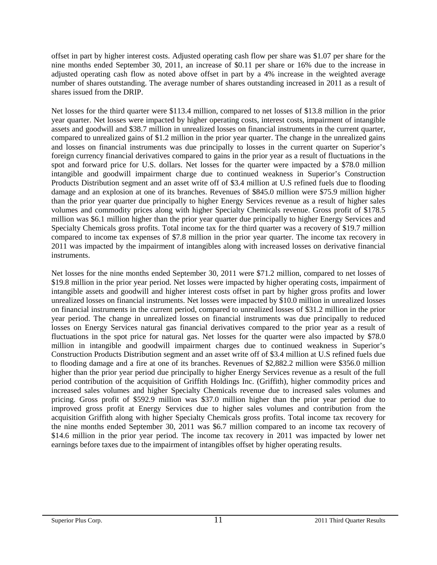offset in part by higher interest costs. Adjusted operating cash flow per share was \$1.07 per share for the nine months ended September 30, 2011, an increase of \$0.11 per share or 16% due to the increase in adjusted operating cash flow as noted above offset in part by a 4% increase in the weighted average number of shares outstanding. The average number of shares outstanding increased in 2011 as a result of shares issued from the DRIP.

Net losses for the third quarter were \$113.4 million, compared to net losses of \$13.8 million in the prior year quarter. Net losses were impacted by higher operating costs, interest costs, impairment of intangible assets and goodwill and \$38.7 million in unrealized losses on financial instruments in the current quarter, compared to unrealized gains of \$1.2 million in the prior year quarter. The change in the unrealized gains and losses on financial instruments was due principally to losses in the current quarter on Superior's foreign currency financial derivatives compared to gains in the prior year as a result of fluctuations in the spot and forward price for U.S. dollars. Net losses for the quarter were impacted by a \$78.0 million intangible and goodwill impairment charge due to continued weakness in Superior's Construction Products Distribution segment and an asset write off of \$3.4 million at U.S refined fuels due to flooding damage and an explosion at one of its branches. Revenues of \$845.0 million were \$75.9 million higher than the prior year quarter due principally to higher Energy Services revenue as a result of higher sales volumes and commodity prices along with higher Specialty Chemicals revenue. Gross profit of \$178.5 million was \$6.1 million higher than the prior year quarter due principally to higher Energy Services and Specialty Chemicals gross profits. Total income tax for the third quarter was a recovery of \$19.7 million compared to income tax expenses of \$7.8 million in the prior year quarter. The income tax recovery in 2011 was impacted by the impairment of intangibles along with increased losses on derivative financial instruments.

Net losses for the nine months ended September 30, 2011 were \$71.2 million, compared to net losses of \$19.8 million in the prior year period. Net losses were impacted by higher operating costs, impairment of intangible assets and goodwill and higher interest costs offset in part by higher gross profits and lower unrealized losses on financial instruments. Net losses were impacted by \$10.0 million in unrealized losses on financial instruments in the current period, compared to unrealized losses of \$31.2 million in the prior year period. The change in unrealized losses on financial instruments was due principally to reduced losses on Energy Services natural gas financial derivatives compared to the prior year as a result of fluctuations in the spot price for natural gas. Net losses for the quarter were also impacted by \$78.0 million in intangible and goodwill impairment charges due to continued weakness in Superior's Construction Products Distribution segment and an asset write off of \$3.4 million at U.S refined fuels due to flooding damage and a fire at one of its branches. Revenues of \$2,882.2 million were \$356.0 million higher than the prior year period due principally to higher Energy Services revenue as a result of the full period contribution of the acquisition of Griffith Holdings Inc. (Griffith), higher commodity prices and increased sales volumes and higher Specialty Chemicals revenue due to increased sales volumes and pricing. Gross profit of \$592.9 million was \$37.0 million higher than the prior year period due to improved gross profit at Energy Services due to higher sales volumes and contribution from the acquisition Griffith along with higher Specialty Chemicals gross profits. Total income tax recovery for the nine months ended September 30, 2011 was \$6.7 million compared to an income tax recovery of \$14.6 million in the prior year period. The income tax recovery in 2011 was impacted by lower net earnings before taxes due to the impairment of intangibles offset by higher operating results.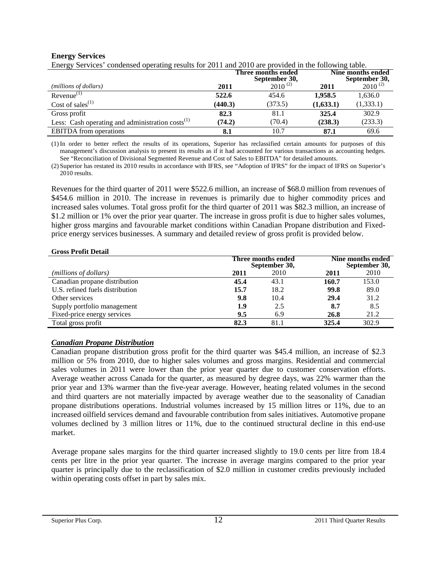#### **Energy Services**

| Energy Services' condensed operating results for 2011 and 2010 are provided in the following table. |         |                    |           |                   |  |  |  |
|-----------------------------------------------------------------------------------------------------|---------|--------------------|-----------|-------------------|--|--|--|
|                                                                                                     |         | Three months ended |           | Nine months ended |  |  |  |
|                                                                                                     |         | September 30,      |           | September 30,     |  |  |  |
| (millions of dollars)                                                                               | 2011    | $2010^{(2)}$       | 2011      | $2010^{(2)}$      |  |  |  |
| $Revenue^{(1)}$                                                                                     | 522.6   | 454.6              | 1,958.5   | 1,636.0           |  |  |  |
| Cost of sales <sup><math>(1)</math></sup>                                                           | (440.3) | (373.5)            | (1,633.1) | (1,333.1)         |  |  |  |
| Gross profit                                                                                        | 82.3    | 81.1               | 325.4     | 302.9             |  |  |  |
| Less: Cash operating and administration $costs^{(1)}$                                               | (74.2)  | (70.4)             | (238.3)   | (233.3)           |  |  |  |
| <b>EBITDA</b> from operations                                                                       | 8.1     | 10.7               | 87.1      | 69.6              |  |  |  |

Energy Services' condensed operating results for 2011 and 2010 are provided in the following table.

(1)In order to better reflect the results of its operations, Superior has reclassified certain amounts for purposes of this management's discussion analysis to present its results as if it had accounted for various transactions as accounting hedges. See "Reconciliation of Divisional Segmented Revenue and Cost of Sales to EBITDA" for detailed amounts.

(2) Superior has restated its 2010 results in accordance with IFRS, see "Adoption of IFRS" for the impact of IFRS on Superior's 2010 results.

Revenues for the third quarter of 2011 were \$522.6 million, an increase of \$68.0 million from revenues of \$454.6 million in 2010. The increase in revenues is primarily due to higher commodity prices and increased sales volumes. Total gross profit for the third quarter of 2011 was \$82.3 million, an increase of \$1.2 million or 1% over the prior year quarter. The increase in gross profit is due to higher sales volumes, higher gross margins and favourable market conditions within Canadian Propane distribution and Fixedprice energy services businesses. A summary and detailed review of gross profit is provided below.

#### **Gross Profit Detail**

|                                 | Three months ended<br>September 30, |      | <b>Nine months ended</b><br>September 30, |       |
|---------------------------------|-------------------------------------|------|-------------------------------------------|-------|
| (millions of dollars)           | 2011                                | 2010 | 2011                                      | 2010  |
| Canadian propane distribution   | 45.4                                | 43.1 | 160.7                                     | 153.0 |
| U.S. refined fuels distribution | 15.7                                | 18.2 | 99.8                                      | 89.0  |
| Other services                  | 9.8                                 | 10.4 | 29.4                                      | 31.2  |
| Supply portfolio management     | 1.9                                 | 2.5  | 8.7                                       | 8.5   |
| Fixed-price energy services     | 9.5                                 | 6.9  | 26.8                                      | 21.2  |
| Total gross profit              | 82.3                                | 81.1 | 325.4                                     | 302.9 |

#### *Canadian Propane Distribution*

Canadian propane distribution gross profit for the third quarter was \$45.4 million, an increase of \$2.3 million or 5% from 2010, due to higher sales volumes and gross margins. Residential and commercial sales volumes in 2011 were lower than the prior year quarter due to customer conservation efforts. Average weather across Canada for the quarter, as measured by degree days, was 22% warmer than the prior year and 13% warmer than the five-year average. However, heating related volumes in the second and third quarters are not materially impacted by average weather due to the seasonality of Canadian propane distributions operations. Industrial volumes increased by 15 million litres or 11%, due to an increased oilfield services demand and favourable contribution from sales initiatives. Automotive propane volumes declined by 3 million litres or 11%, due to the continued structural decline in this end-use market.

Average propane sales margins for the third quarter increased slightly to 19.0 cents per litre from 18.4 cents per litre in the prior year quarter. The increase in average margins compared to the prior year quarter is principally due to the reclassification of \$2.0 million in customer credits previously included within operating costs offset in part by sales mix.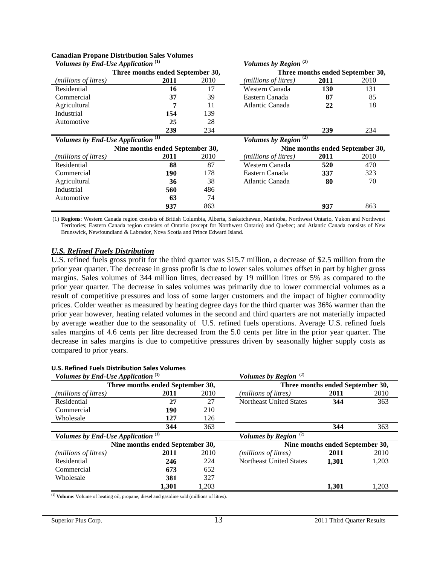| Volumes by End-Use Application <sup>(1)</sup> |                                 |      | Volumes by Region <sup>(2)</sup> |      |      |  |
|-----------------------------------------------|---------------------------------|------|----------------------------------|------|------|--|
| Three months ended September 30,              |                                 |      | Three months ended September 30, |      |      |  |
| (millions of litres)                          | 2011                            | 2010 | (millions of litres)             | 2011 | 2010 |  |
| Residential                                   | 16                              | 17   | Western Canada                   | 130  | 131  |  |
| Commercial                                    | 37                              | 39   | Eastern Canada                   | 87   | 85   |  |
| Agricultural                                  |                                 | 11   | Atlantic Canada                  | 22   | 18   |  |
| Industrial                                    | 154                             | 139  |                                  |      |      |  |
| Automotive                                    | 25                              | 28   |                                  |      |      |  |
|                                               | 239                             | 234  |                                  | 239  | 234  |  |
| Volumes by End-Use Application <sup>(1)</sup> |                                 |      | Volumes by Region <sup>(2)</sup> |      |      |  |
|                                               | Nine months ended September 30, |      | Nine months ended September 30,  |      |      |  |
|                                               |                                 |      |                                  |      |      |  |
| (millions of litres)                          | 2011                            | 2010 | (millions of litres)             | 2011 | 2010 |  |
| Residential                                   | 88                              | 87   | Western Canada                   | 520  | 470  |  |
| Commercial                                    | <b>190</b>                      | 178  | Eastern Canada                   | 337  | 323  |  |
| Agricultural                                  | 36                              | 38   | Atlantic Canada                  | 80   | 70   |  |
| Industrial                                    | 560                             | 486  |                                  |      |      |  |
| Automotive                                    | 63                              | 74   |                                  |      |      |  |

#### **Canadian Propane Distribution Sales Volumes**

(1) **Regions**: Western Canada region consists of British Columbia, Alberta, Saskatchewan, Manitoba, Northwest Ontario, Yukon and Northwest Territories; Eastern Canada region consists of Ontario (except for Northwest Ontario) and Quebec; and Atlantic Canada consists of New Brunswick, Newfoundland & Labrador, Nova Scotia and Prince Edward Island.

#### *U.S. Refined Fuels Distribution*

U.S. refined fuels gross profit for the third quarter was \$15.7 million, a decrease of \$2.5 million from the prior year quarter. The decrease in gross profit is due to lower sales volumes offset in part by higher gross margins. Sales volumes of 344 million litres, decreased by 19 million litres or 5% as compared to the prior year quarter. The decrease in sales volumes was primarily due to lower commercial volumes as a result of competitive pressures and loss of some larger customers and the impact of higher commodity prices. Colder weather as measured by heating degree days for the third quarter was 36% warmer than the prior year however, heating related volumes in the second and third quarters are not materially impacted by average weather due to the seasonality of U.S. refined fuels operations. Average U.S. refined fuels sales margins of 4.6 cents per litre decreased from the 5.0 cents per litre in the prior year quarter. The decrease in sales margins is due to competitive pressures driven by seasonally higher supply costs as compared to prior years.

| Volumes by End-Use Application <sup>(1)</sup> |                                  |       | Volumes by Region $(2)$          |                                 |       |
|-----------------------------------------------|----------------------------------|-------|----------------------------------|---------------------------------|-------|
|                                               | Three months ended September 30, |       | Three months ended September 30, |                                 |       |
| (millions of litres)                          | 2011                             | 2010  | (millions of litres)             | 2011                            | 2010  |
| Residential                                   | 27                               | 27    | <b>Northeast United States</b>   | 344                             | 363   |
| Commercial                                    | 190                              | 210   |                                  |                                 |       |
| Wholesale                                     | 127                              | 126   |                                  |                                 |       |
|                                               | 344                              | 363   |                                  | 344                             | 363   |
| Volumes by End-Use Application $(1)$          |                                  |       | Volumes by Region <sup>(2)</sup> |                                 |       |
|                                               | Nine months ended September 30,  |       |                                  | Nine months ended September 30, |       |
| (millions of litres)                          | 2011                             | 2010  | (millions of litres)             | 2011                            | 2010  |
| Residential                                   | 246                              | 224   | <b>Northeast United States</b>   | 1,301                           | 1,203 |
| Commercial                                    | 673                              | 652   |                                  |                                 |       |
| Wholesale                                     | 381                              | 327   |                                  |                                 |       |
|                                               | 1.301                            | 1.203 |                                  | 1.301                           | 1.203 |

#### U.S. Refined Fuels Distribution Sales Volumes

(1) **Volume**: Volume of heating oil, propane, diesel and gasoline sold (millions of litres).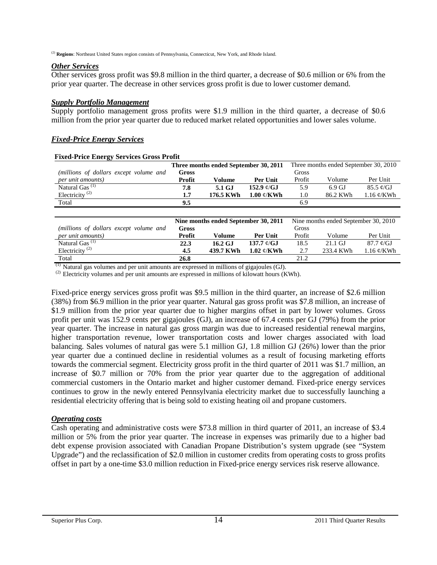(2) **Regions**: Northeast United States region consists of Pennsylvania, Connecticut, New York, and Rhode Island.

#### *Other Services*

Other services gross profit was \$9.8 million in the third quarter, a decrease of \$0.6 million or 6% from the prior year quarter. The decrease in other services gross profit is due to lower customer demand.

#### *Supply Portfolio Management*

Supply portfolio management gross profits were \$1.9 million in the third quarter, a decrease of \$0.6 million from the prior year quarter due to reduced market related opportunities and lower sales volume.

#### *Fixed-Price Energy Services*

#### **Fixed-Price Energy Services Gross Profit**

|                                         | Three months ended September 30, 2011 |                                      |                        | Three months ended September 30, 2010 |                                      |                                       |
|-----------------------------------------|---------------------------------------|--------------------------------------|------------------------|---------------------------------------|--------------------------------------|---------------------------------------|
| (millions of dollars except volume and  | <b>Gross</b>                          |                                      |                        | Gross                                 |                                      |                                       |
| per unit amounts)                       | <b>Profit</b>                         | Volume                               | Per Unit               | Profit                                | Volume                               | Per Unit                              |
| Natural Gas <sup>(1)</sup>              | 7.8                                   | 5.1 G.I                              | 152.9 $\mathcal{C}/GJ$ | 5.9                                   | 6.9 GJ                               | $85.5 \text{ }\mathcal{C}/\text{GJ}$  |
| Electricity <sup>(2)</sup>              | 1.7                                   | 176.5 KWh                            | 1.00 $\mathcal{C}/KWh$ | 1.0                                   | 86.2 KWh                             | $1.16 \ \text{e/KWh}$                 |
| Total                                   | 9.5<br>6.9                            |                                      |                        |                                       |                                      |                                       |
|                                         |                                       |                                      |                        |                                       |                                      |                                       |
|                                         |                                       | Nine months ended September 30, 2011 |                        |                                       | Nine months ended September 30, 2010 |                                       |
| (millions of dollars except volume and  | Gross                                 |                                      |                        | Gross                                 |                                      |                                       |
| per unit amounts)                       | <b>Profit</b>                         | Volume                               | Per Unit               | Profit                                | Volume                               | Per Unit                              |
| Natural Gas <sup>(1)</sup>              | 22.3                                  | 16.2 GJ                              | 137.7 $\mathcal{C}/GJ$ | 18.5                                  | 21.1 GJ                              | $87.7 \text{ } \mathcal{C}/\text{GJ}$ |
| Electricity <sup><math>(2)</math></sup> | 4.5                                   | 439.7 KWh                            | 1.02 $\phi$ /KWh       | 2.7                                   | 233.4 KWh                            | $1.16 \text{ }\mathcal{C}/KWh$        |
| Total                                   | 26.8                                  |                                      |                        | 21.2                                  |                                      |                                       |

(1) Natural gas volumes and per unit amounts are expressed in millions of gigajoules (GJ).

 $^{(2)}$  Electricity volumes and per unit amounts are expressed in millions of kilowatt hours (KWh).

Fixed-price energy services gross profit was \$9.5 million in the third quarter, an increase of \$2.6 million (38%) from \$6.9 million in the prior year quarter. Natural gas gross profit was \$7.8 million, an increase of \$1.9 million from the prior year quarter due to higher margins offset in part by lower volumes. Gross profit per unit was 152.9 cents per gigajoules (GJ), an increase of 67.4 cents per GJ (79%) from the prior year quarter. The increase in natural gas gross margin was due to increased residential renewal margins, higher transportation revenue, lower transportation costs and lower charges associated with load balancing. Sales volumes of natural gas were 5.1 million GJ, 1.8 million GJ (26%) lower than the prior year quarter due a continued decline in residential volumes as a result of focusing marketing efforts towards the commercial segment. Electricity gross profit in the third quarter of 2011 was \$1.7 million, an increase of \$0.7 million or 70% from the prior year quarter due to the aggregation of additional commercial customers in the Ontario market and higher customer demand. Fixed-price energy services continues to grow in the newly entered Pennsylvania electricity market due to successfully launching a residential electricity offering that is being sold to existing heating oil and propane customers.

#### *Operating costs*

Cash operating and administrative costs were \$73.8 million in third quarter of 2011, an increase of \$3.4 million or 5% from the prior year quarter. The increase in expenses was primarily due to a higher bad debt expense provision associated with Canadian Propane Distribution's system upgrade (see "System Upgrade") and the reclassification of \$2.0 million in customer credits from operating costs to gross profits offset in part by a one-time \$3.0 million reduction in Fixed-price energy services risk reserve allowance.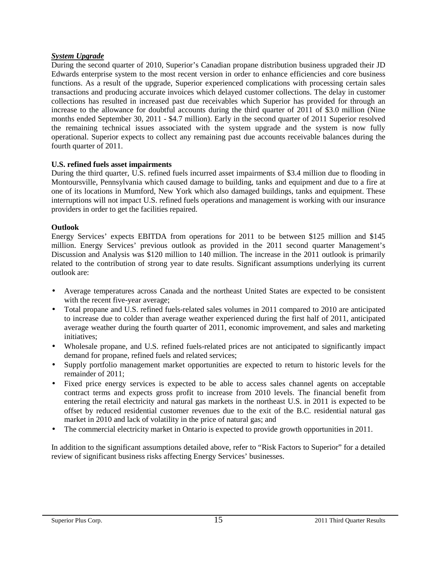# *System Upgrade*

During the second quarter of 2010, Superior's Canadian propane distribution business upgraded their JD Edwards enterprise system to the most recent version in order to enhance efficiencies and core business functions. As a result of the upgrade, Superior experienced complications with processing certain sales transactions and producing accurate invoices which delayed customer collections. The delay in customer collections has resulted in increased past due receivables which Superior has provided for through an increase to the allowance for doubtful accounts during the third quarter of 2011 of \$3.0 million (Nine months ended September 30, 2011 - \$4.7 million). Early in the second quarter of 2011 Superior resolved the remaining technical issues associated with the system upgrade and the system is now fully operational. Superior expects to collect any remaining past due accounts receivable balances during the fourth quarter of 2011.

## **U.S. refined fuels asset impairments**

During the third quarter, U.S. refined fuels incurred asset impairments of \$3.4 million due to flooding in Montoursville, Pennsylvania which caused damage to building, tanks and equipment and due to a fire at one of its locations in Mumford, New York which also damaged buildings, tanks and equipment. These interruptions will not impact U.S. refined fuels operations and management is working with our insurance providers in order to get the facilities repaired.

#### **Outlook**

Energy Services' expects EBITDA from operations for 2011 to be between \$125 million and \$145 million. Energy Services' previous outlook as provided in the 2011 second quarter Management's Discussion and Analysis was \$120 million to 140 million. The increase in the 2011 outlook is primarily related to the contribution of strong year to date results. Significant assumptions underlying its current outlook are:

- Average temperatures across Canada and the northeast United States are expected to be consistent with the recent five-year average;
- Total propane and U.S. refined fuels-related sales volumes in 2011 compared to 2010 are anticipated to increase due to colder than average weather experienced during the first half of 2011, anticipated average weather during the fourth quarter of 2011, economic improvement, and sales and marketing initiatives;
- Wholesale propane, and U.S. refined fuels-related prices are not anticipated to significantly impact demand for propane, refined fuels and related services;
- Supply portfolio management market opportunities are expected to return to historic levels for the remainder of 2011;
- Fixed price energy services is expected to be able to access sales channel agents on acceptable contract terms and expects gross profit to increase from 2010 levels. The financial benefit from entering the retail electricity and natural gas markets in the northeast U.S. in 2011 is expected to be offset by reduced residential customer revenues due to the exit of the B.C. residential natural gas market in 2010 and lack of volatility in the price of natural gas; and
- The commercial electricity market in Ontario is expected to provide growth opportunities in 2011.

In addition to the significant assumptions detailed above, refer to "Risk Factors to Superior" for a detailed review of significant business risks affecting Energy Services' businesses.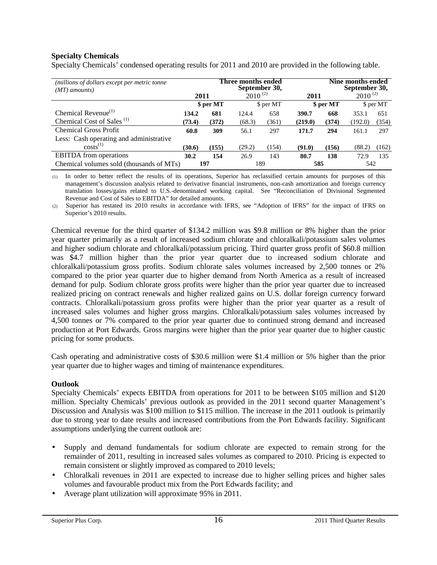## **Specialty Chemicals**

Specialty Chemicals' condensed operating results for 2011 and 2010 are provided in the following table.

| (millions of dollars except per metric tonne<br>$(MT)$ amounts) |           |       | Three months ended<br>September 30, |       |           | Nine months ended<br>September 30, |              |           |  |
|-----------------------------------------------------------------|-----------|-------|-------------------------------------|-------|-----------|------------------------------------|--------------|-----------|--|
|                                                                 | 2011      |       | $2010^{(2)}$                        |       | 2011      |                                    | $2010^{(2)}$ |           |  |
|                                                                 | \$ per MT |       | \$ per MT                           |       | \$ per MT |                                    |              | \$ per MT |  |
| Chemical Revenue $(1)$                                          | 134.2     | 681   | 124.4                               | 658   | 390.7     | 668                                | 353.1        | 651       |  |
| Chemical Cost of Sales <sup>(1)</sup>                           | (73.4)    | (372) | (68.3)                              | (361) | (219.0)   | (374)                              | (192.0)      | (354)     |  |
| <b>Chemical Gross Profit</b>                                    | 60.8      | 309   | 56.1                                | 297   | 171.7     | 294                                | 161.1        | 297       |  |
| Less: Cash operating and administrative                         |           |       |                                     |       |           |                                    |              |           |  |
| $costs^{(1)}$                                                   | (30.6)    | (155) | (29.2)                              | (154) | (91.0)    | (156)                              | (88.2)       | (162)     |  |
| <b>EBITDA</b> from operations                                   | 30.2      | 154   | 26.9                                | 143   | 80.7      | 138                                | 72.9         | 135       |  |
| Chemical volumes sold (thousands of MTs)                        | 197       |       | 189                                 |       | 585       |                                    | 542          |           |  |

(1) In order to better reflect the results of its operations, Superior has reclassified certain amounts for purposes of this management's discussion analysis related to derivative financial instruments, non-cash amortization and foreign currency translation losses/gains related to U.S.-denominated working capital. See "Reconciliation of Divisional Segmented Revenue and Cost of Sales to EBITDA" for detailed amounts.

(2) Superior has restated its 2010 results in accordance with IFRS, see "Adoption of IFRS" for the impact of IFRS on Superior's 2010 results.

Chemical revenue for the third quarter of \$134.2 million was \$9.8 million or 8% higher than the prior year quarter primarily as a result of increased sodium chlorate and chloralkali/potassium sales volumes and higher sodium chlorate and chloralkali/potassium pricing. Third quarter gross profit of \$60.8 million was \$4.7 million higher than the prior year quarter due to increased sodium chlorate and chloralkali/potassium gross profits. Sodium chlorate sales volumes increased by 2,500 tonnes or 2% compared to the prior year quarter due to higher demand from North America as a result of increased demand for pulp. Sodium chlorate gross profits were higher than the prior year quarter due to increased realized pricing on contract renewals and higher realized gains on U.S. dollar foreign currency forward contracts. Chloralkali/potassium gross profits were higher than the prior year quarter as a result of increased sales volumes and higher gross margins. Chloralkali/potassium sales volumes increased by 4,500 tonnes or 7% compared to the prior year quarter due to continued strong demand and increased production at Port Edwards. Gross margins were higher than the prior year quarter due to higher caustic pricing for some products.

Cash operating and administrative costs of \$30.6 million were \$1.4 million or 5% higher than the prior year quarter due to higher wages and timing of maintenance expenditures.

## **Outlook**

Specialty Chemicals' expects EBITDA from operations for 2011 to be between \$105 million and \$120 million. Specialty Chemicals' previous outlook as provided in the 2011 second quarter Management's Discussion and Analysis was \$100 million to \$115 million. The increase in the 2011 outlook is primarily due to strong year to date results and increased contributions from the Port Edwards facility. Significant assumptions underlying the current outlook are:

- Supply and demand fundamentals for sodium chlorate are expected to remain strong for the remainder of 2011, resulting in increased sales volumes as compared to 2010. Pricing is expected to remain consistent or slightly improved as compared to 2010 levels;
- Chloralkali revenues in 2011 are expected to increase due to higher selling prices and higher sales volumes and favourable product mix from the Port Edwards facility; and
- Average plant utilization will approximate 95% in 2011.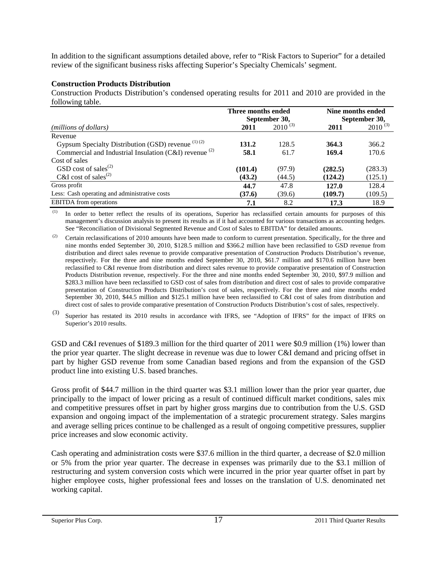In addition to the significant assumptions detailed above, refer to "Risk Factors to Superior" for a detailed review of the significant business risks affecting Superior's Specialty Chemicals' segment.

## **Construction Products Distribution**

Construction Products Distribution's condensed operating results for 2011 and 2010 are provided in the following table.

|                                                             | Three months ended |               | Nine months ended<br>September 30, |              |  |
|-------------------------------------------------------------|--------------------|---------------|------------------------------------|--------------|--|
|                                                             |                    | September 30, |                                    |              |  |
| ( <i>millions of dollars</i> )                              | 2011               | $2010^{(3)}$  | 2011                               | $2010^{(3)}$ |  |
| Revenue                                                     |                    |               |                                    |              |  |
| Gypsum Specialty Distribution (GSD) revenue $(1)(2)$        | 131.2              | 128.5         | 364.3                              | 366.2        |  |
| Commercial and Industrial Insulation (C&I) revenue $^{(2)}$ | 58.1               | 61.7          | 169.4                              | 170.6        |  |
| Cost of sales                                               |                    |               |                                    |              |  |
| GSD cost of sales <sup><math>(2)</math></sup>               | (101.4)            | (97.9)        | (282.5)                            | (283.3)      |  |
| C&I cost of sales <sup><math>(2)</math></sup>               | (43.2)             | (44.5)        | (124.2)                            | (125.1)      |  |
| Gross profit                                                | 44.7               | 47.8          | 127.0                              | 128.4        |  |
| Less: Cash operating and administrative costs               | (37.6)             | (39.6)        | (109.7)                            | (109.5)      |  |
| <b>EBITDA</b> from operations                               | 7.1                | 8.2           | 17.3                               | 18.9         |  |

(1) In order to better reflect the results of its operations, Superior has reclassified certain amounts for purposes of this management's discussion analysis to present its results as if it had accounted for various transactions as accounting hedges. See "Reconciliation of Divisional Segmented Revenue and Cost of Sales to EBITDA" for detailed amounts.

- (2) Certain reclassifications of 2010 amounts have been made to conform to current presentation. Specifically, for the three and nine months ended September 30, 2010, \$128.5 million and \$366.2 million have been reclassified to GSD revenue from distribution and direct sales revenue to provide comparative presentation of Construction Products Distribution's revenue, respectively. For the three and nine months ended September 30, 2010, \$61.7 million and \$170.6 million have been reclassified to C&I revenue from distribution and direct sales revenue to provide comparative presentation of Construction Products Distribution revenue, respectively. For the three and nine months ended September 30, 2010, \$97.9 million and \$283.3 million have been reclassified to GSD cost of sales from distribution and direct cost of sales to provide comparative presentation of Construction Products Distribution's cost of sales, respectively. For the three and nine months ended September 30, 2010, \$44.5 million and \$125.1 million have been reclassified to C&I cost of sales from distribution and direct cost of sales to provide comparative presentation of Construction Products Distribution's cost of sales, respectively.
- (3) Superior has restated its 2010 results in accordance with IFRS, see "Adoption of IFRS" for the impact of IFRS on Superior's 2010 results.

GSD and C&I revenues of \$189.3 million for the third quarter of 2011 were \$0.9 million (1%) lower than the prior year quarter. The slight decrease in revenue was due to lower C&I demand and pricing offset in part by higher GSD revenue from some Canadian based regions and from the expansion of the GSD product line into existing U.S. based branches.

Gross profit of \$44.7 million in the third quarter was \$3.1 million lower than the prior year quarter, due principally to the impact of lower pricing as a result of continued difficult market conditions, sales mix and competitive pressures offset in part by higher gross margins due to contribution from the U.S. GSD expansion and ongoing impact of the implementation of a strategic procurement strategy. Sales margins and average selling prices continue to be challenged as a result of ongoing competitive pressures, supplier price increases and slow economic activity.

Cash operating and administration costs were \$37.6 million in the third quarter, a decrease of \$2.0 million or 5% from the prior year quarter. The decrease in expenses was primarily due to the \$3.1 million of restructuring and system conversion costs which were incurred in the prior year quarter offset in part by higher employee costs, higher professional fees and losses on the translation of U.S. denominated net working capital.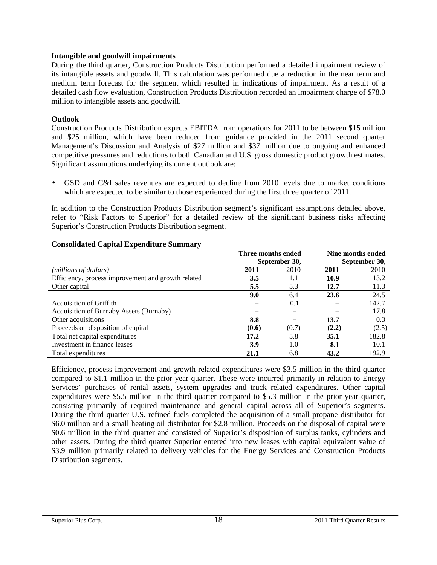#### **Intangible and goodwill impairments**

During the third quarter, Construction Products Distribution performed a detailed impairment review of its intangible assets and goodwill. This calculation was performed due a reduction in the near term and medium term forecast for the segment which resulted in indications of impairment. As a result of a detailed cash flow evaluation, Construction Products Distribution recorded an impairment charge of \$78.0 million to intangible assets and goodwill.

### **Outlook**

Construction Products Distribution expects EBITDA from operations for 2011 to be between \$15 million and \$25 million, which have been reduced from guidance provided in the 2011 second quarter Management's Discussion and Analysis of \$27 million and \$37 million due to ongoing and enhanced competitive pressures and reductions to both Canadian and U.S. gross domestic product growth estimates. Significant assumptions underlying its current outlook are:

GSD and C&I sales revenues are expected to decline from 2010 levels due to market conditions which are expected to be similar to those experienced during the first three quarter of 2011.

In addition to the Construction Products Distribution segment's significant assumptions detailed above, refer to "Risk Factors to Superior" for a detailed review of the significant business risks affecting Superior's Construction Products Distribution segment.

|                                                    | Three months ended |               | Nine months ended |               |  |
|----------------------------------------------------|--------------------|---------------|-------------------|---------------|--|
|                                                    |                    | September 30, |                   | September 30, |  |
| ( <i>millions of dollars</i> )                     | 2011               | 2010          | 2011              | 2010          |  |
| Efficiency, process improvement and growth related | 3.5                | 1.1           | 10.9              | 13.2          |  |
| Other capital                                      | 5.5                | 5.3           | 12.7              | 11.3          |  |
|                                                    | 9.0                | 6.4           | 23.6              | 24.5          |  |
| Acquisition of Griffith                            |                    | 0.1           |                   | 142.7         |  |
| Acquisition of Burnaby Assets (Burnaby)            |                    |               |                   | 17.8          |  |
| Other acquisitions                                 | 8.8                |               | 13.7              | 0.3           |  |
| Proceeds on disposition of capital                 | (0.6)              | (0.7)         | (2.2)             | (2.5)         |  |
| Total net capital expenditures                     | 17.2               | 5.8           | 35.1              | 182.8         |  |
| Investment in finance leases                       | <b>3.9</b>         | 1.0           | 8.1               | 10.1          |  |
| Total expenditures                                 | 21.1               | 6.8           | 43.2              | 192.9         |  |

#### **Consolidated Capital Expenditure Summary**

Efficiency, process improvement and growth related expenditures were \$3.5 million in the third quarter compared to \$1.1 million in the prior year quarter. These were incurred primarily in relation to Energy Services' purchases of rental assets, system upgrades and truck related expenditures. Other capital expenditures were \$5.5 million in the third quarter compared to \$5.3 million in the prior year quarter, consisting primarily of required maintenance and general capital across all of Superior's segments. During the third quarter U.S. refined fuels completed the acquisition of a small propane distributor for \$6.0 million and a small heating oil distributor for \$2.8 million. Proceeds on the disposal of capital were \$0.6 million in the third quarter and consisted of Superior's disposition of surplus tanks, cylinders and other assets. During the third quarter Superior entered into new leases with capital equivalent value of \$3.9 million primarily related to delivery vehicles for the Energy Services and Construction Products Distribution segments.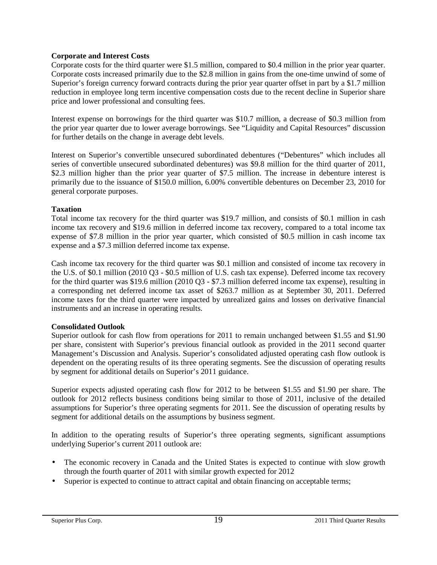## **Corporate and Interest Costs**

Corporate costs for the third quarter were \$1.5 million, compared to \$0.4 million in the prior year quarter. Corporate costs increased primarily due to the \$2.8 million in gains from the one-time unwind of some of Superior's foreign currency forward contracts during the prior year quarter offset in part by a \$1.7 million reduction in employee long term incentive compensation costs due to the recent decline in Superior share price and lower professional and consulting fees.

Interest expense on borrowings for the third quarter was \$10.7 million, a decrease of \$0.3 million from the prior year quarter due to lower average borrowings. See "Liquidity and Capital Resources" discussion for further details on the change in average debt levels.

Interest on Superior's convertible unsecured subordinated debentures ("Debentures" which includes all series of convertible unsecured subordinated debentures) was \$9.8 million for the third quarter of 2011, \$2.3 million higher than the prior year quarter of \$7.5 million. The increase in debenture interest is primarily due to the issuance of \$150.0 million, 6.00% convertible debentures on December 23, 2010 for general corporate purposes.

#### **Taxation**

Total income tax recovery for the third quarter was \$19.7 million, and consists of \$0.1 million in cash income tax recovery and \$19.6 million in deferred income tax recovery, compared to a total income tax expense of \$7.8 million in the prior year quarter, which consisted of \$0.5 million in cash income tax expense and a \$7.3 million deferred income tax expense.

Cash income tax recovery for the third quarter was \$0.1 million and consisted of income tax recovery in the U.S. of \$0.1 million (2010 Q3 - \$0.5 million of U.S. cash tax expense). Deferred income tax recovery for the third quarter was \$19.6 million (2010 Q3 - \$7.3 million deferred income tax expense), resulting in a corresponding net deferred income tax asset of \$263.7 million as at September 30, 2011. Deferred income taxes for the third quarter were impacted by unrealized gains and losses on derivative financial instruments and an increase in operating results.

## **Consolidated Outlook**

Superior outlook for cash flow from operations for 2011 to remain unchanged between \$1.55 and \$1.90 per share, consistent with Superior's previous financial outlook as provided in the 2011 second quarter Management's Discussion and Analysis. Superior's consolidated adjusted operating cash flow outlook is dependent on the operating results of its three operating segments. See the discussion of operating results by segment for additional details on Superior's 2011 guidance.

Superior expects adjusted operating cash flow for 2012 to be between \$1.55 and \$1.90 per share. The outlook for 2012 reflects business conditions being similar to those of 2011, inclusive of the detailed assumptions for Superior's three operating segments for 2011. See the discussion of operating results by segment for additional details on the assumptions by business segment.

In addition to the operating results of Superior's three operating segments, significant assumptions underlying Superior's current 2011 outlook are:

- The economic recovery in Canada and the United States is expected to continue with slow growth through the fourth quarter of 2011 with similar growth expected for 2012
- Superior is expected to continue to attract capital and obtain financing on acceptable terms;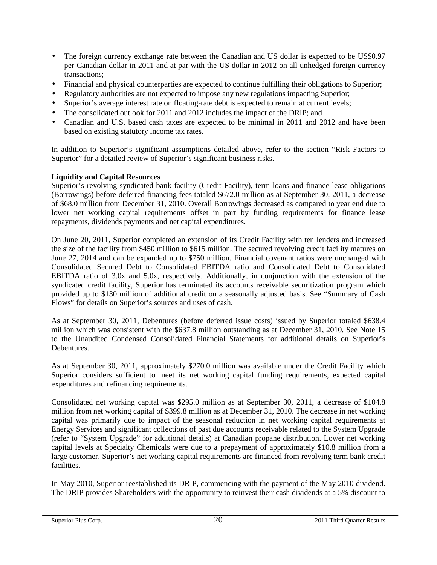- The foreign currency exchange rate between the Canadian and US dollar is expected to be US\$0.97 per Canadian dollar in 2011 and at par with the US dollar in 2012 on all unhedged foreign currency transactions;
- Financial and physical counterparties are expected to continue fulfilling their obligations to Superior;
- Regulatory authorities are not expected to impose any new regulations impacting Superior;
- Superior's average interest rate on floating-rate debt is expected to remain at current levels;
- The consolidated outlook for 2011 and 2012 includes the impact of the DRIP; and
- Canadian and U.S. based cash taxes are expected to be minimal in 2011 and 2012 and have been based on existing statutory income tax rates.

In addition to Superior's significant assumptions detailed above, refer to the section "Risk Factors to Superior" for a detailed review of Superior's significant business risks.

## **Liquidity and Capital Resources**

Superior's revolving syndicated bank facility (Credit Facility), term loans and finance lease obligations (Borrowings) before deferred financing fees totaled \$672.0 million as at September 30, 2011, a decrease of \$68.0 million from December 31, 2010. Overall Borrowings decreased as compared to year end due to lower net working capital requirements offset in part by funding requirements for finance lease repayments, dividends payments and net capital expenditures.

On June 20, 2011, Superior completed an extension of its Credit Facility with ten lenders and increased the size of the facility from \$450 million to \$615 million. The secured revolving credit facility matures on June 27, 2014 and can be expanded up to \$750 million. Financial covenant ratios were unchanged with Consolidated Secured Debt to Consolidated EBITDA ratio and Consolidated Debt to Consolidated EBITDA ratio of 3.0x and 5.0x, respectively. Additionally, in conjunction with the extension of the syndicated credit facility, Superior has terminated its accounts receivable securitization program which provided up to \$130 million of additional credit on a seasonally adjusted basis. See "Summary of Cash Flows" for details on Superior's sources and uses of cash.

As at September 30, 2011, Debentures (before deferred issue costs) issued by Superior totaled \$638.4 million which was consistent with the \$637.8 million outstanding as at December 31, 2010. See Note 15 to the Unaudited Condensed Consolidated Financial Statements for additional details on Superior's **Debentures** 

As at September 30, 2011, approximately \$270.0 million was available under the Credit Facility which Superior considers sufficient to meet its net working capital funding requirements, expected capital expenditures and refinancing requirements.

Consolidated net working capital was \$295.0 million as at September 30, 2011, a decrease of \$104.8 million from net working capital of \$399.8 million as at December 31, 2010. The decrease in net working capital was primarily due to impact of the seasonal reduction in net working capital requirements at Energy Services and significant collections of past due accounts receivable related to the System Upgrade (refer to "System Upgrade" for additional details) at Canadian propane distribution. Lower net working capital levels at Specialty Chemicals were due to a prepayment of approximately \$10.8 million from a large customer. Superior's net working capital requirements are financed from revolving term bank credit facilities.

In May 2010, Superior reestablished its DRIP, commencing with the payment of the May 2010 dividend. The DRIP provides Shareholders with the opportunity to reinvest their cash dividends at a 5% discount to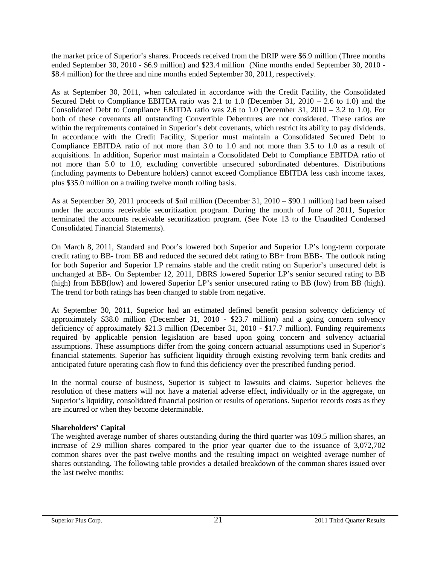the market price of Superior's shares. Proceeds received from the DRIP were \$6.9 million (Three months ended September 30, 2010 - \$6.9 million) and \$23.4 million (Nine months ended September 30, 2010 - \$8.4 million) for the three and nine months ended September 30, 2011, respectively.

As at September 30, 2011, when calculated in accordance with the Credit Facility, the Consolidated Secured Debt to Compliance EBITDA ratio was 2.1 to 1.0 (December 31,  $2010 - 2.6$  to 1.0) and the Consolidated Debt to Compliance EBITDA ratio was 2.6 to 1.0 (December 31, 2010 – 3.2 to 1.0). For both of these covenants all outstanding Convertible Debentures are not considered. These ratios are within the requirements contained in Superior's debt covenants, which restrict its ability to pay dividends. In accordance with the Credit Facility, Superior must maintain a Consolidated Secured Debt to Compliance EBITDA ratio of not more than 3.0 to 1.0 and not more than 3.5 to 1.0 as a result of acquisitions. In addition, Superior must maintain a Consolidated Debt to Compliance EBITDA ratio of not more than 5.0 to 1.0, excluding convertible unsecured subordinated debentures. Distributions (including payments to Debenture holders) cannot exceed Compliance EBITDA less cash income taxes, plus \$35.0 million on a trailing twelve month rolling basis.

As at September 30, 2011 proceeds of \$nil million (December 31, 2010 – \$90.1 million) had been raised under the accounts receivable securitization program. During the month of June of 2011, Superior terminated the accounts receivable securitization program. (See Note 13 to the Unaudited Condensed Consolidated Financial Statements).

On March 8, 2011, Standard and Poor's lowered both Superior and Superior LP's long-term corporate credit rating to BB- from BB and reduced the secured debt rating to BB+ from BBB-. The outlook rating for both Superior and Superior LP remains stable and the credit rating on Superior's unsecured debt is unchanged at BB-. On September 12, 2011, DBRS lowered Superior LP's senior secured rating to BB (high) from BBB(low) and lowered Superior LP's senior unsecured rating to BB (low) from BB (high). The trend for both ratings has been changed to stable from negative.

At September 30, 2011, Superior had an estimated defined benefit pension solvency deficiency of approximately \$38.0 million (December 31, 2010 - \$23.7 million) and a going concern solvency deficiency of approximately \$21.3 million (December 31, 2010 - \$17.7 million). Funding requirements required by applicable pension legislation are based upon going concern and solvency actuarial assumptions. These assumptions differ from the going concern actuarial assumptions used in Superior's financial statements. Superior has sufficient liquidity through existing revolving term bank credits and anticipated future operating cash flow to fund this deficiency over the prescribed funding period.

In the normal course of business, Superior is subject to lawsuits and claims. Superior believes the resolution of these matters will not have a material adverse effect, individually or in the aggregate, on Superior's liquidity, consolidated financial position or results of operations. Superior records costs as they are incurred or when they become determinable.

# **Shareholders' Capital**

The weighted average number of shares outstanding during the third quarter was 109.5 million shares, an increase of 2.9 million shares compared to the prior year quarter due to the issuance of 3,072,702 common shares over the past twelve months and the resulting impact on weighted average number of shares outstanding. The following table provides a detailed breakdown of the common shares issued over the last twelve months: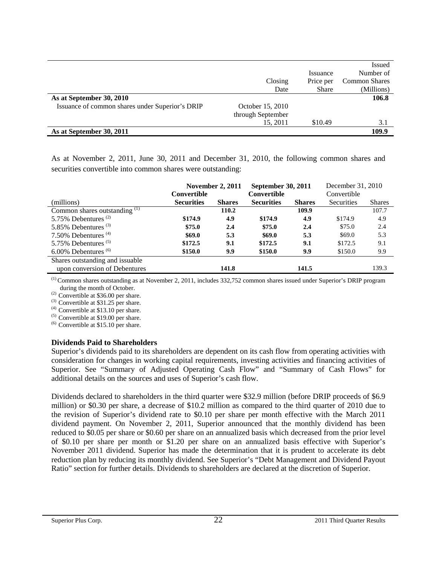|                                                 |                   |              | Issued               |
|-------------------------------------------------|-------------------|--------------|----------------------|
|                                                 |                   | Issuance     | Number of            |
|                                                 | Closing           | Price per    | <b>Common Shares</b> |
|                                                 | Date              | <b>Share</b> | (Millions)           |
| As at September 30, 2010                        |                   |              | 106.8                |
| Issuance of common shares under Superior's DRIP | October 15, 2010  |              |                      |
|                                                 | through September |              |                      |
|                                                 | 15, 2011          | \$10.49      | 3.1                  |
| As at September 30, 2011                        |                   |              | 109.9                |

As at November 2, 2011, June 30, 2011 and December 31, 2010, the following common shares and securities convertible into common shares were outstanding:

|                                          | <b>November 2, 2011</b><br><b>Convertible</b> |               | <b>September 30, 2011</b><br><b>Convertible</b> |               | December 31, 2010<br>Convertible |               |
|------------------------------------------|-----------------------------------------------|---------------|-------------------------------------------------|---------------|----------------------------------|---------------|
| (millions)                               | <b>Securities</b>                             | <b>Shares</b> | <b>Securities</b>                               | <b>Shares</b> | <b>Securities</b>                | <b>Shares</b> |
| Common shares outstanding <sup>(1)</sup> |                                               | 110.2         |                                                 | 109.9         |                                  | 107.7         |
| 5.75% Debentures $(2)$                   | \$174.9                                       | 4.9           | \$174.9                                         | 4.9           | \$174.9                          | 4.9           |
| 5.85% Debentures <sup>(3)</sup>          | \$75.0                                        | 2.4           | \$75.0                                          | 2.4           | \$75.0                           | 2.4           |
| 7.50% Debentures $(4)$                   | \$69.0                                        | 5.3           | \$69.0                                          | 5.3           | \$69.0                           | 5.3           |
| 5.75% Debentures $(5)$                   | \$172.5                                       | 9.1           | \$172.5                                         | 9.1           | \$172.5                          | 9.1           |
| $6.00\%$ Debentures $^{(6)}$             | \$150.0                                       | 9.9           | \$150.0                                         | 9.9           | \$150.0                          | 9.9           |
| Shares outstanding and issuable          |                                               |               |                                                 |               |                                  |               |
| upon conversion of Debentures            |                                               | 141.8         |                                                 | 141.5         |                                  | 139.3         |

(1) Common shares outstanding as at November 2, 2011, includes 332,752 common shares issued under Superior's DRIP program during the month of October.

 $^{(2)}$  Convertible at \$36.00 per share.

 $^{(3)}$  Convertible at \$31.25 per share.

 $^{(4)}$  Convertible at \$13.10 per share.

 $(5)$  Convertible at \$19.00 per share.

 $^{(6)}$  Convertible at \$15.10 per share.

#### **Dividends Paid to Shareholders**

Superior's dividends paid to its shareholders are dependent on its cash flow from operating activities with consideration for changes in working capital requirements, investing activities and financing activities of Superior. See "Summary of Adjusted Operating Cash Flow" and "Summary of Cash Flows" for additional details on the sources and uses of Superior's cash flow.

Dividends declared to shareholders in the third quarter were \$32.9 million (before DRIP proceeds of \$6.9 million) or \$0.30 per share, a decrease of \$10.2 million as compared to the third quarter of 2010 due to the revision of Superior's dividend rate to \$0.10 per share per month effective with the March 2011 dividend payment. On November 2, 2011, Superior announced that the monthly dividend has been reduced to \$0.05 per share or \$0.60 per share on an annualized basis which decreased from the prior level of \$0.10 per share per month or \$1.20 per share on an annualized basis effective with Superior's November 2011 dividend. Superior has made the determination that it is prudent to accelerate its debt reduction plan by reducing its monthly dividend. See Superior's "Debt Management and Dividend Payout Ratio" section for further details. Dividends to shareholders are declared at the discretion of Superior.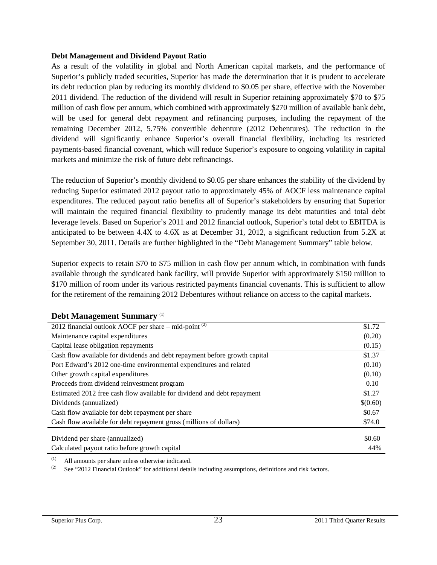#### **Debt Management and Dividend Payout Ratio**

As a result of the volatility in global and North American capital markets, and the performance of Superior's publicly traded securities, Superior has made the determination that it is prudent to accelerate its debt reduction plan by reducing its monthly dividend to \$0.05 per share, effective with the November 2011 dividend. The reduction of the dividend will result in Superior retaining approximately \$70 to \$75 million of cash flow per annum, which combined with approximately \$270 million of available bank debt, will be used for general debt repayment and refinancing purposes, including the repayment of the remaining December 2012, 5.75% convertible debenture (2012 Debentures). The reduction in the dividend will significantly enhance Superior's overall financial flexibility, including its restricted payments-based financial covenant, which will reduce Superior's exposure to ongoing volatility in capital markets and minimize the risk of future debt refinancings.

The reduction of Superior's monthly dividend to \$0.05 per share enhances the stability of the dividend by reducing Superior estimated 2012 payout ratio to approximately 45% of AOCF less maintenance capital expenditures. The reduced payout ratio benefits all of Superior's stakeholders by ensuring that Superior will maintain the required financial flexibility to prudently manage its debt maturities and total debt leverage levels. Based on Superior's 2011 and 2012 financial outlook, Superior's total debt to EBITDA is anticipated to be between 4.4X to 4.6X as at December 31, 2012, a significant reduction from 5.2X at September 30, 2011. Details are further highlighted in the "Debt Management Summary" table below.

Superior expects to retain \$70 to \$75 million in cash flow per annum which, in combination with funds available through the syndicated bank facility, will provide Superior with approximately \$150 million to \$170 million of room under its various restricted payments financial covenants. This is sufficient to allow for the retirement of the remaining 2012 Debentures without reliance on access to the capital markets.

| всю гланадентент о анници у                                                |          |
|----------------------------------------------------------------------------|----------|
| 2012 financial outlook AOCF per share – mid-point <sup>(2)</sup>           | \$1.72   |
| Maintenance capital expenditures                                           | (0.20)   |
| Capital lease obligation repayments                                        | (0.15)   |
| Cash flow available for dividends and debt repayment before growth capital | \$1.37   |
| Port Edward's 2012 one-time environmental expenditures and related         | (0.10)   |
| Other growth capital expenditures                                          | (0.10)   |
| Proceeds from dividend reinvestment program                                | 0.10     |
| Estimated 2012 free cash flow available for dividend and debt repayment    | \$1.27   |
| Dividends (annualized)                                                     | \$(0.60) |
| Cash flow available for debt repayment per share                           | \$0.67   |
| Cash flow available for debt repayment gross (millions of dollars)         | \$74.0   |
|                                                                            |          |
| Dividend per share (annualized)                                            | \$0.60   |
| Calculated payout ratio before growth capital                              | 44%      |

# **Debt Management Summary** (1)

All amounts per share unless otherwise indicated.

(2) See "2012 Financial Outlook" for additional details including assumptions, definitions and risk factors.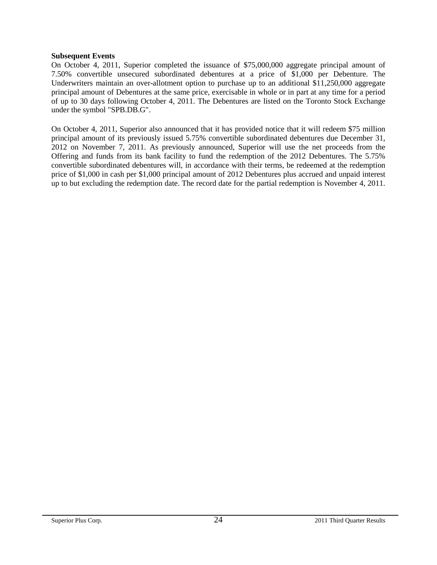#### **Subsequent Events**

On October 4, 2011, Superior completed the issuance of \$75,000,000 aggregate principal amount of 7.50% convertible unsecured subordinated debentures at a price of \$1,000 per Debenture. The Underwriters maintain an over-allotment option to purchase up to an additional \$11,250,000 aggregate principal amount of Debentures at the same price, exercisable in whole or in part at any time for a period of up to 30 days following October 4, 2011. The Debentures are listed on the Toronto Stock Exchange under the symbol "SPB.DB.G".

On October 4, 2011, Superior also announced that it has provided notice that it will redeem \$75 million principal amount of its previously issued 5.75% convertible subordinated debentures due December 31, 2012 on November 7, 2011. As previously announced, Superior will use the net proceeds from the Offering and funds from its bank facility to fund the redemption of the 2012 Debentures. The 5.75% convertible subordinated debentures will, in accordance with their terms, be redeemed at the redemption price of \$1,000 in cash per \$1,000 principal amount of 2012 Debentures plus accrued and unpaid interest up to but excluding the redemption date. The record date for the partial redemption is November 4, 2011.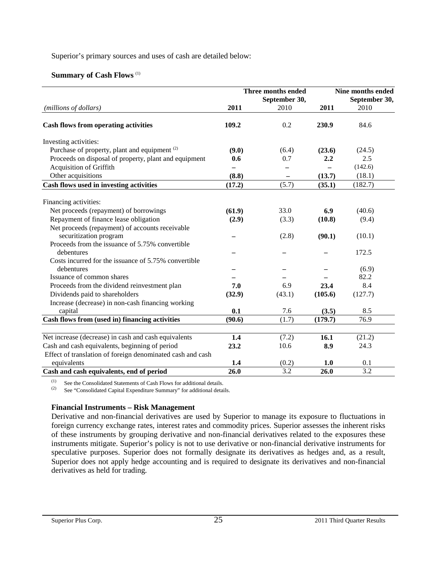Superior's primary sources and uses of cash are detailed below:

#### **Summary of Cash Flows** (1)

|                                                                           |        | Three months ended<br>September 30, |         | Nine months ended<br>September 30, |
|---------------------------------------------------------------------------|--------|-------------------------------------|---------|------------------------------------|
| (millions of dollars)                                                     | 2011   | 2010                                | 2011    | 2010                               |
| <b>Cash flows from operating activities</b>                               | 109.2  | 0.2                                 | 230.9   | 84.6                               |
| Investing activities:                                                     |        |                                     |         |                                    |
| Purchase of property, plant and equipment <sup>(2)</sup>                  | (9.0)  | (6.4)                               | (23.6)  | (24.5)                             |
| Proceeds on disposal of property, plant and equipment                     | 0.6    | 0.7                                 | 2,2     | 2.5                                |
| Acquisition of Griffith                                                   |        |                                     |         | (142.6)                            |
| Other acquisitions                                                        | (8.8)  |                                     | (13.7)  | (18.1)                             |
| Cash flows used in investing activities                                   | (17.2) | (5.7)                               | (35.1)  | (182.7)                            |
| Financing activities:                                                     |        |                                     |         |                                    |
| Net proceeds (repayment) of borrowings                                    | (61.9) | 33.0                                | 6.9     | (40.6)                             |
| Repayment of finance lease obligation                                     | (2.9)  | (3.3)                               | (10.8)  | (9.4)                              |
|                                                                           |        |                                     |         |                                    |
| Net proceeds (repayment) of accounts receivable<br>securitization program |        |                                     |         |                                    |
| Proceeds from the issuance of 5.75% convertible                           |        | (2.8)                               | (90.1)  | (10.1)                             |
| debentures                                                                |        |                                     |         | 172.5                              |
| Costs incurred for the issuance of 5.75% convertible                      |        |                                     |         |                                    |
| debentures                                                                |        |                                     |         | (6.9)                              |
| Issuance of common shares                                                 |        |                                     |         | 82.2                               |
| Proceeds from the dividend reinvestment plan                              | 7.0    | 6.9                                 | 23.4    | 8.4                                |
| Dividends paid to shareholders                                            | (32.9) | (43.1)                              | (105.6) | (127.7)                            |
| Increase (decrease) in non-cash financing working                         |        |                                     |         |                                    |
| capital                                                                   | 0.1    | 7.6                                 | (3.5)   | 8.5                                |
|                                                                           |        | (1.7)                               |         | 76.9                               |
| Cash flows from (used in) financing activities                            | (90.6) |                                     | (179.7) |                                    |
| Net increase (decrease) in cash and cash equivalents                      | 1.4    | (7.2)                               | 16.1    | (21.2)                             |
| Cash and cash equivalents, beginning of period                            | 23.2   | 10.6                                | 8.9     | 24.3                               |
| Effect of translation of foreign denominated cash and cash                |        |                                     |         |                                    |
| equivalents                                                               | 1.4    | (0.2)                               | 1.0     | 0.1                                |
| Cash and cash equivalents, end of period                                  | 26.0   | $\overline{3.2}$                    | 26.0    | $\overline{3.2}$                   |

 $(1)$ (1) See the Consolidated Statements of Cash Flows for additional details.<br>
See "Consolidated Capital Expenditure Summers" for additional details.

See "Consolidated Capital Expenditure Summary" for additional details.

#### **Financial Instruments – Risk Management**

Derivative and non-financial derivatives are used by Superior to manage its exposure to fluctuations in foreign currency exchange rates, interest rates and commodity prices. Superior assesses the inherent risks of these instruments by grouping derivative and non-financial derivatives related to the exposures these instruments mitigate. Superior's policy is not to use derivative or non-financial derivative instruments for speculative purposes. Superior does not formally designate its derivatives as hedges and, as a result, Superior does not apply hedge accounting and is required to designate its derivatives and non-financial derivatives as held for trading.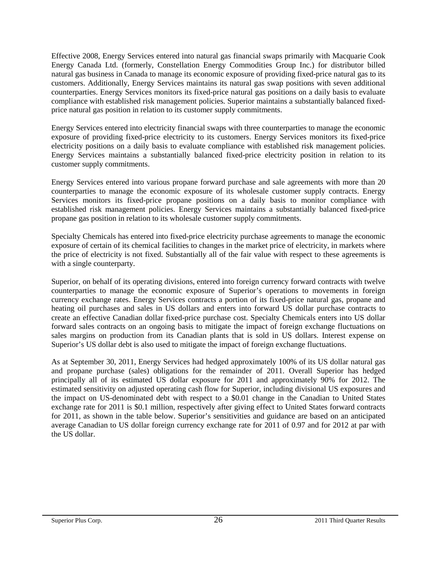Effective 2008, Energy Services entered into natural gas financial swaps primarily with Macquarie Cook Energy Canada Ltd. (formerly, Constellation Energy Commodities Group Inc.) for distributor billed natural gas business in Canada to manage its economic exposure of providing fixed-price natural gas to its customers. Additionally, Energy Services maintains its natural gas swap positions with seven additional counterparties. Energy Services monitors its fixed-price natural gas positions on a daily basis to evaluate compliance with established risk management policies. Superior maintains a substantially balanced fixedprice natural gas position in relation to its customer supply commitments.

Energy Services entered into electricity financial swaps with three counterparties to manage the economic exposure of providing fixed-price electricity to its customers. Energy Services monitors its fixed-price electricity positions on a daily basis to evaluate compliance with established risk management policies. Energy Services maintains a substantially balanced fixed-price electricity position in relation to its customer supply commitments.

Energy Services entered into various propane forward purchase and sale agreements with more than 20 counterparties to manage the economic exposure of its wholesale customer supply contracts. Energy Services monitors its fixed-price propane positions on a daily basis to monitor compliance with established risk management policies. Energy Services maintains a substantially balanced fixed-price propane gas position in relation to its wholesale customer supply commitments.

Specialty Chemicals has entered into fixed-price electricity purchase agreements to manage the economic exposure of certain of its chemical facilities to changes in the market price of electricity, in markets where the price of electricity is not fixed. Substantially all of the fair value with respect to these agreements is with a single counterparty.

Superior, on behalf of its operating divisions, entered into foreign currency forward contracts with twelve counterparties to manage the economic exposure of Superior's operations to movements in foreign currency exchange rates. Energy Services contracts a portion of its fixed-price natural gas, propane and heating oil purchases and sales in US dollars and enters into forward US dollar purchase contracts to create an effective Canadian dollar fixed-price purchase cost. Specialty Chemicals enters into US dollar forward sales contracts on an ongoing basis to mitigate the impact of foreign exchange fluctuations on sales margins on production from its Canadian plants that is sold in US dollars. Interest expense on Superior's US dollar debt is also used to mitigate the impact of foreign exchange fluctuations.

As at September 30, 2011, Energy Services had hedged approximately 100% of its US dollar natural gas and propane purchase (sales) obligations for the remainder of 2011. Overall Superior has hedged principally all of its estimated US dollar exposure for 2011 and approximately 90% for 2012. The estimated sensitivity on adjusted operating cash flow for Superior, including divisional US exposures and the impact on US-denominated debt with respect to a \$0.01 change in the Canadian to United States exchange rate for 2011 is \$0.1 million, respectively after giving effect to United States forward contracts for 2011, as shown in the table below. Superior's sensitivities and guidance are based on an anticipated average Canadian to US dollar foreign currency exchange rate for 2011 of 0.97 and for 2012 at par with the US dollar.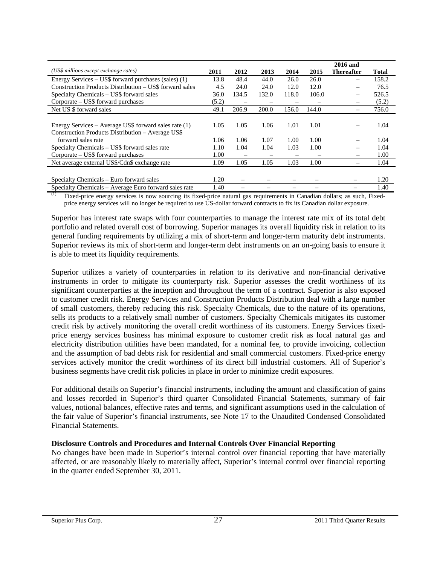|                                                          |       |       |       |       |       | 2016 and                 |              |
|----------------------------------------------------------|-------|-------|-------|-------|-------|--------------------------|--------------|
| (US\$ millions except exchange rates)                    | 2011  | 2012  | 2013  | 2014  | 2015  | <b>Thereafter</b>        | <b>Total</b> |
| Energy Services – US\$ forward purchases (sales) (1)     | 13.8  | 48.4  | 44.0  | 26.0  | 26.0  |                          | 158.2        |
| Construction Products Distribution – US\$ forward sales  | 4.5   | 24.0  | 24.0  | 12.0  | 12.0  | $\overline{\phantom{0}}$ | 76.5         |
| Specialty Chemicals – US\$ forward sales                 | 36.0  | 134.5 | 132.0 | 118.0 | 106.0 | $\overline{\phantom{0}}$ | 526.5        |
| Corporate – US\$ forward purchases                       | (5.2) |       |       |       |       |                          | (5.2)        |
| Net US \$ forward sales                                  | 49.1  | 206.9 | 200.0 | 156.0 | 144.0 |                          | 756.0        |
|                                                          |       |       |       |       |       |                          |              |
| Energy Services – Average US\$ forward sales rate (1)    | 1.05  | 1.05  | 1.06  | 1.01  | 1.01  |                          | 1.04         |
| <b>Construction Products Distribution – Average US\$</b> |       |       |       |       |       |                          |              |
| forward sales rate                                       | 1.06  | 1.06  | 1.07  | 1.00  | 1.00  |                          | 1.04         |
| Specialty Chemicals – US\$ forward sales rate            | 1.10  | 1.04  | 1.04  | 1.03  | 1.00  | -                        | 1.04         |
| Corporate – US\$ forward purchases                       | 1.00  |       |       |       |       |                          | 1.00         |
| Net average external US\$/Cdn\$ exchange rate            | 1.09  | 1.05  | 1.05  | 1.03  | 1.00  |                          | 1.04         |
|                                                          |       |       |       |       |       |                          |              |
| Specialty Chemicals – Euro forward sales                 | 1.20  |       |       |       |       |                          | 1.20         |
| Specialty Chemicals - Average Euro forward sales rate    | 1.40  |       |       |       |       |                          | 1.40         |

Fixed-price energy services is now sourcing its fixed-price natural gas requirements in Canadian dollars; as such, Fixedprice energy services will no longer be required to use US-dollar forward contracts to fix its Canadian dollar exposure.

Superior has interest rate swaps with four counterparties to manage the interest rate mix of its total debt portfolio and related overall cost of borrowing. Superior manages its overall liquidity risk in relation to its general funding requirements by utilizing a mix of short-term and longer-term maturity debt instruments. Superior reviews its mix of short-term and longer-term debt instruments on an on-going basis to ensure it is able to meet its liquidity requirements.

Superior utilizes a variety of counterparties in relation to its derivative and non-financial derivative instruments in order to mitigate its counterparty risk. Superior assesses the credit worthiness of its significant counterparties at the inception and throughout the term of a contract. Superior is also exposed to customer credit risk. Energy Services and Construction Products Distribution deal with a large number of small customers, thereby reducing this risk. Specialty Chemicals, due to the nature of its operations, sells its products to a relatively small number of customers. Specialty Chemicals mitigates its customer credit risk by actively monitoring the overall credit worthiness of its customers. Energy Services fixedprice energy services business has minimal exposure to customer credit risk as local natural gas and electricity distribution utilities have been mandated, for a nominal fee, to provide invoicing, collection and the assumption of bad debts risk for residential and small commercial customers. Fixed-price energy services actively monitor the credit worthiness of its direct bill industrial customers. All of Superior's business segments have credit risk policies in place in order to minimize credit exposures.

For additional details on Superior's financial instruments, including the amount and classification of gains and losses recorded in Superior's third quarter Consolidated Financial Statements, summary of fair values, notional balances, effective rates and terms, and significant assumptions used in the calculation of the fair value of Superior's financial instruments, see Note 17 to the Unaudited Condensed Consolidated Financial Statements.

## **Disclosure Controls and Procedures and Internal Controls Over Financial Reporting**

No changes have been made in Superior's internal control over financial reporting that have materially affected, or are reasonably likely to materially affect, Superior's internal control over financial reporting in the quarter ended September 30, 2011.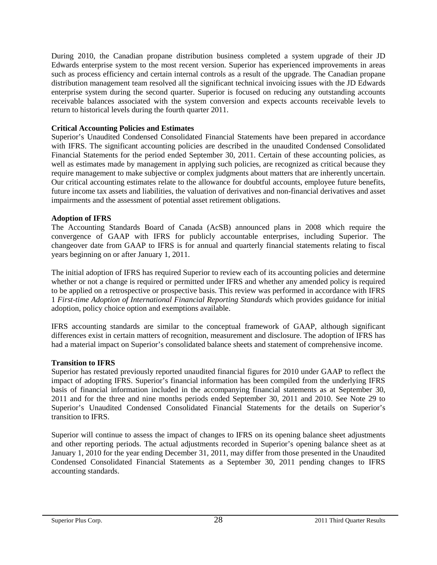During 2010, the Canadian propane distribution business completed a system upgrade of their JD Edwards enterprise system to the most recent version. Superior has experienced improvements in areas such as process efficiency and certain internal controls as a result of the upgrade. The Canadian propane distribution management team resolved all the significant technical invoicing issues with the JD Edwards enterprise system during the second quarter. Superior is focused on reducing any outstanding accounts receivable balances associated with the system conversion and expects accounts receivable levels to return to historical levels during the fourth quarter 2011.

## **Critical Accounting Policies and Estimates**

Superior's Unaudited Condensed Consolidated Financial Statements have been prepared in accordance with IFRS. The significant accounting policies are described in the unaudited Condensed Consolidated Financial Statements for the period ended September 30, 2011. Certain of these accounting policies, as well as estimates made by management in applying such policies, are recognized as critical because they require management to make subjective or complex judgments about matters that are inherently uncertain. Our critical accounting estimates relate to the allowance for doubtful accounts, employee future benefits, future income tax assets and liabilities, the valuation of derivatives and non-financial derivatives and asset impairments and the assessment of potential asset retirement obligations.

## **Adoption of IFRS**

The Accounting Standards Board of Canada (AcSB) announced plans in 2008 which require the convergence of GAAP with IFRS for publicly accountable enterprises, including Superior. The changeover date from GAAP to IFRS is for annual and quarterly financial statements relating to fiscal years beginning on or after January 1, 2011.

The initial adoption of IFRS has required Superior to review each of its accounting policies and determine whether or not a change is required or permitted under IFRS and whether any amended policy is required to be applied on a retrospective or prospective basis. This review was performed in accordance with IFRS 1 *First-time Adoption of International Financial Reporting Standards* which provides guidance for initial adoption, policy choice option and exemptions available.

IFRS accounting standards are similar to the conceptual framework of GAAP, although significant differences exist in certain matters of recognition, measurement and disclosure. The adoption of IFRS has had a material impact on Superior's consolidated balance sheets and statement of comprehensive income.

## **Transition to IFRS**

Superior has restated previously reported unaudited financial figures for 2010 under GAAP to reflect the impact of adopting IFRS. Superior's financial information has been compiled from the underlying IFRS basis of financial information included in the accompanying financial statements as at September 30, 2011 and for the three and nine months periods ended September 30, 2011 and 2010. See Note 29 to Superior's Unaudited Condensed Consolidated Financial Statements for the details on Superior's transition to IFRS.

Superior will continue to assess the impact of changes to IFRS on its opening balance sheet adjustments and other reporting periods. The actual adjustments recorded in Superior's opening balance sheet as at January 1, 2010 for the year ending December 31, 2011, may differ from those presented in the Unaudited Condensed Consolidated Financial Statements as a September 30, 2011 pending changes to IFRS accounting standards.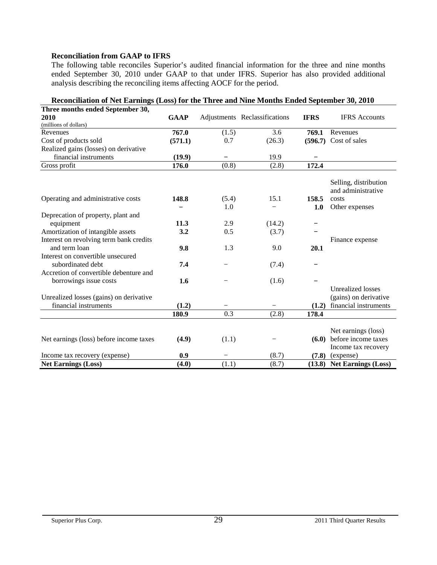#### **Reconciliation from GAAP to IFRS**

The following table reconciles Superior's audited financial information for the three and nine months ended September 30, 2010 under GAAP to that under IFRS. Superior has also provided additional analysis describing the reconciling items affecting AOCF for the period.

| Reconciliation of Net Earnings (Loss) for the Three and Nine Months Ended September 30, 2010 |             |                  |                               |             |                                                                   |  |  |  |  |
|----------------------------------------------------------------------------------------------|-------------|------------------|-------------------------------|-------------|-------------------------------------------------------------------|--|--|--|--|
| Three months ended September 30,                                                             |             |                  |                               |             |                                                                   |  |  |  |  |
| 2010                                                                                         | <b>GAAP</b> |                  | Adjustments Reclassifications | <b>IFRS</b> | <b>IFRS</b> Accounts                                              |  |  |  |  |
| (millions of dollars)                                                                        |             |                  |                               |             |                                                                   |  |  |  |  |
| Revenues                                                                                     | 767.0       | (1.5)            | 3.6                           | 769.1       | Revenues                                                          |  |  |  |  |
| Cost of products sold                                                                        | (571.1)     | 0.7              | (26.3)                        | (596.7)     | Cost of sales                                                     |  |  |  |  |
| Realized gains (losses) on derivative                                                        |             |                  |                               |             |                                                                   |  |  |  |  |
| financial instruments                                                                        | (19.9)      |                  | 19.9                          |             |                                                                   |  |  |  |  |
| Gross profit                                                                                 | 176.0       | (0.8)            | (2.8)                         | 172.4       |                                                                   |  |  |  |  |
| Operating and administrative costs                                                           | 148.8       | (5.4)            | 15.1                          | 158.5       | Selling, distribution<br>and administrative<br>costs              |  |  |  |  |
|                                                                                              |             | 1.0              |                               | 1.0         |                                                                   |  |  |  |  |
|                                                                                              |             |                  |                               |             | Other expenses                                                    |  |  |  |  |
| Deprecation of property, plant and                                                           | 11.3        | 2.9              |                               |             |                                                                   |  |  |  |  |
| equipment                                                                                    | 3.2         | 0.5              | (14.2)                        |             |                                                                   |  |  |  |  |
| Amortization of intangible assets                                                            |             |                  | (3.7)                         |             |                                                                   |  |  |  |  |
| Interest on revolving term bank credits                                                      |             |                  |                               |             | Finance expense                                                   |  |  |  |  |
| and term loan                                                                                | 9.8         | 1.3              | 9.0                           | 20.1        |                                                                   |  |  |  |  |
| Interest on convertible unsecured                                                            |             |                  |                               |             |                                                                   |  |  |  |  |
| subordinated debt                                                                            | 7.4         |                  | (7.4)                         |             |                                                                   |  |  |  |  |
| Accretion of convertible debenture and                                                       |             |                  |                               |             |                                                                   |  |  |  |  |
| borrowings issue costs                                                                       | 1.6         |                  | (1.6)                         |             |                                                                   |  |  |  |  |
| Unrealized losses (gains) on derivative                                                      |             |                  |                               |             | <b>Unrealized losses</b><br>(gains) on derivative                 |  |  |  |  |
| financial instruments                                                                        | (1.2)       |                  |                               | (1.2)       | financial instruments                                             |  |  |  |  |
|                                                                                              | 180.9       | $\overline{0.3}$ | (2.8)                         | 178.4       |                                                                   |  |  |  |  |
| Net earnings (loss) before income taxes                                                      | (4.9)       | (1.1)            |                               | (6.0)       | Net earnings (loss)<br>before income taxes<br>Income tax recovery |  |  |  |  |
| Income tax recovery (expense)                                                                | 0.9         |                  | (8.7)                         | (7.8)       | (expense)                                                         |  |  |  |  |
| <b>Net Earnings (Loss)</b>                                                                   | (4.0)       | (1.1)            | (8.7)                         |             | (13.8) Net Earnings (Loss)                                        |  |  |  |  |

**Reconciliation of Net Earnings (Loss) for the Three and Nine Months Ended September 30, 2010**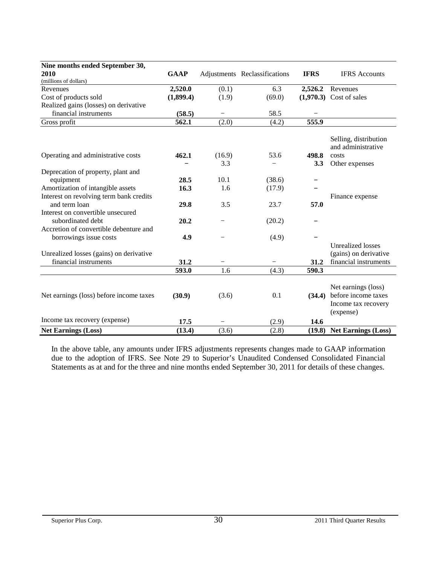| Nine months ended September 30,         |             |               |                               |              |                                                                                |
|-----------------------------------------|-------------|---------------|-------------------------------|--------------|--------------------------------------------------------------------------------|
| 2010                                    | <b>GAAP</b> |               | Adjustments Reclassifications | <b>IFRS</b>  | <b>IFRS</b> Accounts                                                           |
| (millions of dollars)                   |             |               |                               |              |                                                                                |
| Revenues                                | 2,520.0     | (0.1)         | 6.3                           | 2,526.2      | Revenues                                                                       |
| Cost of products sold                   | (1,899.4)   | (1.9)         | (69.0)                        |              | $(1,970.3)$ Cost of sales                                                      |
| Realized gains (losses) on derivative   |             |               |                               |              |                                                                                |
| financial instruments                   | (58.5)      | —             | 58.5                          |              |                                                                                |
| Gross profit                            | 562.1       | (2.0)         | (4.2)                         | 555.9        |                                                                                |
| Operating and administrative costs      | 462.1       | (16.9)<br>3.3 | 53.6                          | 498.8<br>3.3 | Selling, distribution<br>and administrative<br>costs<br>Other expenses         |
| Deprecation of property, plant and      |             |               |                               |              |                                                                                |
| equipment                               | 28.5        | 10.1          | (38.6)                        |              |                                                                                |
| Amortization of intangible assets       | 16.3        | 1.6           | (17.9)                        |              |                                                                                |
| Interest on revolving term bank credits |             |               |                               |              | Finance expense                                                                |
| and term loan                           | 29.8        | 3.5           | 23.7                          | 57.0         |                                                                                |
| Interest on convertible unsecured       |             |               |                               |              |                                                                                |
| subordinated debt                       | 20.2        |               | (20.2)                        |              |                                                                                |
| Accretion of convertible debenture and  |             |               |                               |              |                                                                                |
| borrowings issue costs                  | 4.9         |               | (4.9)                         |              |                                                                                |
| Unrealized losses (gains) on derivative |             |               |                               |              | <b>Unrealized</b> losses<br>(gains) on derivative                              |
| financial instruments                   | 31.2        |               |                               | 31.2         | financial instruments                                                          |
|                                         | 593.0       | 1.6           | (4.3)                         | 590.3        |                                                                                |
| Net earnings (loss) before income taxes | (30.9)      | (3.6)         | 0.1                           | (34.4)       | Net earnings (loss)<br>before income taxes<br>Income tax recovery<br>(expense) |
| Income tax recovery (expense)           | 17.5        |               | (2.9)                         | 14.6         |                                                                                |
| <b>Net Earnings (Loss)</b>              | (13.4)      | (3.6)         | (2.8)                         | (19.8)       | <b>Net Earnings (Loss)</b>                                                     |

In the above table, any amounts under IFRS adjustments represents changes made to GAAP information due to the adoption of IFRS. See Note 29 to Superior's Unaudited Condensed Consolidated Financial Statements as at and for the three and nine months ended September 30, 2011 for details of these changes.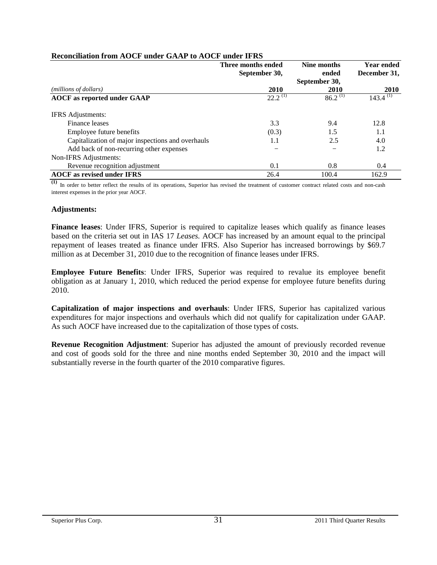|                                                   | Three months ended<br>September 30, | Nine months<br>ended  | <b>Year ended</b><br>December 31, |
|---------------------------------------------------|-------------------------------------|-----------------------|-----------------------------------|
|                                                   |                                     | September 30,         |                                   |
| (millions of dollars)                             | 2010                                | 2010                  | 2010                              |
| <b>AOCF</b> as reported under GAAP                | $22.2$ <sup>(1)</sup>               | $86.2$ <sup>(1)</sup> | $143.4$ <sup>(1)</sup>            |
| IFRS Adjustments:                                 |                                     |                       |                                   |
| Finance leases                                    | 3.3                                 | 9.4                   | 12.8                              |
| Employee future benefits                          | (0.3)                               | 1.5                   | 1.1                               |
| Capitalization of major inspections and overhauls | 1.1                                 | 2.5                   | 4.0                               |
| Add back of non-recurring other expenses          |                                     |                       | 1.2                               |
| Non-IFRS Adjustments:                             |                                     |                       |                                   |
| Revenue recognition adjustment                    | 0.1                                 | 0.8                   | 0.4                               |
| <b>AOCF</b> as revised under IFRS                 | 26.4                                | 100.4                 | 162.9                             |

## **Reconciliation from AOCF under GAAP to AOCF under IFRS**

**(1)** In order to better reflect the results of its operations, Superior has revised the treatment of customer contract related costs and non-cash interest expenses in the prior year AOCF.

#### **Adjustments:**

**Finance leases**: Under IFRS, Superior is required to capitalize leases which qualify as finance leases based on the criteria set out in IAS 17 *Leases.* AOCF has increased by an amount equal to the principal repayment of leases treated as finance under IFRS. Also Superior has increased borrowings by \$69.7 million as at December 31, 2010 due to the recognition of finance leases under IFRS.

**Employee Future Benefits**: Under IFRS, Superior was required to revalue its employee benefit obligation as at January 1, 2010, which reduced the period expense for employee future benefits during 2010.

**Capitalization of major inspections and overhauls**: Under IFRS, Superior has capitalized various expenditures for major inspections and overhauls which did not qualify for capitalization under GAAP. As such AOCF have increased due to the capitalization of those types of costs.

**Revenue Recognition Adjustment**: Superior has adjusted the amount of previously recorded revenue and cost of goods sold for the three and nine months ended September 30, 2010 and the impact will substantially reverse in the fourth quarter of the 2010 comparative figures.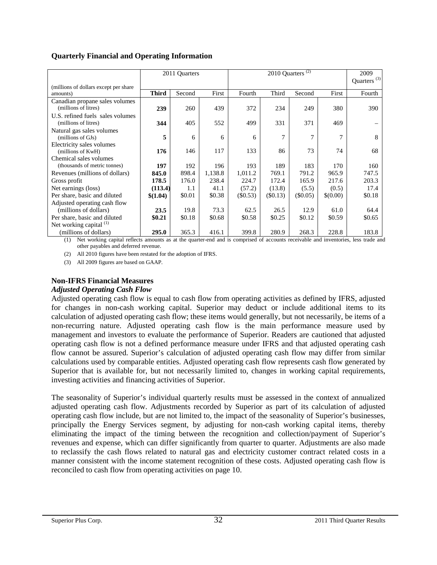**Quarterly Financial and Operating Information** 

|                                                          | 2011 Quarters |        |         | 2010 Quarters <sup><math>(2)</math></sup> |            |            |                | 2009<br>Quarters $(3)$ |
|----------------------------------------------------------|---------------|--------|---------|-------------------------------------------|------------|------------|----------------|------------------------|
| (millions of dollars except per share)<br>amounts)       | <b>Third</b>  | Second | First   | Fourth                                    | Third      | Second     | First          | Fourth                 |
| Canadian propane sales volumes<br>(millions of litres)   | 239           | 260    | 439     | 372                                       | 234        | 249        | 380            | 390                    |
| U.S. refined fuels sales volumes<br>(millions of litres) | 344           | 405    | 552     | 499                                       | 331        | 371        | 469            |                        |
| Natural gas sales volumes<br>(millions of GJs)           | 5             | 6      | 6       | 6                                         | 7          | 7          | $\overline{7}$ | 8                      |
| Electricity sales volumes<br>(millions of KwH)           | 176           | 146    | 117     | 133                                       | 86         | 73         | 74             | 68                     |
| Chemical sales volumes                                   |               |        |         |                                           |            |            |                |                        |
| (thousands of metric tonnes)                             | 197           | 192    | 196     | 193                                       | 189        | 183        | 170            | 160                    |
| Revenues (millions of dollars)                           | 845.0         | 898.4  | 1,138.8 | 1,011.2                                   | 769.1      | 791.2      | 965.9          | 747.5                  |
| Gross profit                                             | 178.5         | 176.0  | 238.4   | 224.7                                     | 172.4      | 165.9      | 217.6          | 203.3                  |
| Net earnings (loss)                                      | (113.4)       | 1.1    | 41.1    | (57.2)                                    | (13.8)     | (5.5)      | (0.5)          | 17.4                   |
| Per share, basic and diluted                             | \$(1.04)      | \$0.01 | \$0.38  | $(\$0.53)$                                | $(\$0.13)$ | $(\$0.05)$ | \$(0.00)       | \$0.18                 |
| Adjusted operating cash flow                             |               |        |         |                                           |            |            |                |                        |
| (millions of dollars)                                    | 23.5          | 19.8   | 73.3    | 62.5                                      | 26.5       | 12.9       | 61.0           | 64.4                   |
| Per share, basic and diluted                             | \$0.21        | \$0.18 | \$0.68  | \$0.58                                    | \$0.25     | \$0.12     | \$0.59         | \$0.65                 |
| Net working capital $(1)$                                |               |        |         |                                           |            |            |                |                        |
| (millions of dollars)                                    | 295.0         | 365.3  | 416.1   | 399.8                                     | 280.9      | 268.3      | 228.8          | 183.8                  |

(1) Net working capital reflects amounts as at the quarter-end and is comprised of accounts receivable and inventories, less trade and other payables and deferred revenue.

(2) All 2010 figures have been restated for the adoption of IFRS.

(3) All 2009 figures are based on GAAP.

## **Non-IFRS Financial Measures**

## *Adjusted Operating Cash Flow*

Adjusted operating cash flow is equal to cash flow from operating activities as defined by IFRS, adjusted for changes in non-cash working capital. Superior may deduct or include additional items to its calculation of adjusted operating cash flow; these items would generally, but not necessarily, be items of a non-recurring nature. Adjusted operating cash flow is the main performance measure used by management and investors to evaluate the performance of Superior. Readers are cautioned that adjusted operating cash flow is not a defined performance measure under IFRS and that adjusted operating cash flow cannot be assured. Superior's calculation of adjusted operating cash flow may differ from similar calculations used by comparable entities. Adjusted operating cash flow represents cash flow generated by Superior that is available for, but not necessarily limited to, changes in working capital requirements, investing activities and financing activities of Superior.

The seasonality of Superior's individual quarterly results must be assessed in the context of annualized adjusted operating cash flow. Adjustments recorded by Superior as part of its calculation of adjusted operating cash flow include, but are not limited to, the impact of the seasonality of Superior's businesses, principally the Energy Services segment, by adjusting for non-cash working capital items, thereby eliminating the impact of the timing between the recognition and collection/payment of Superior's revenues and expense, which can differ significantly from quarter to quarter. Adjustments are also made to reclassify the cash flows related to natural gas and electricity customer contract related costs in a manner consistent with the income statement recognition of these costs. Adjusted operating cash flow is reconciled to cash flow from operating activities on page 10.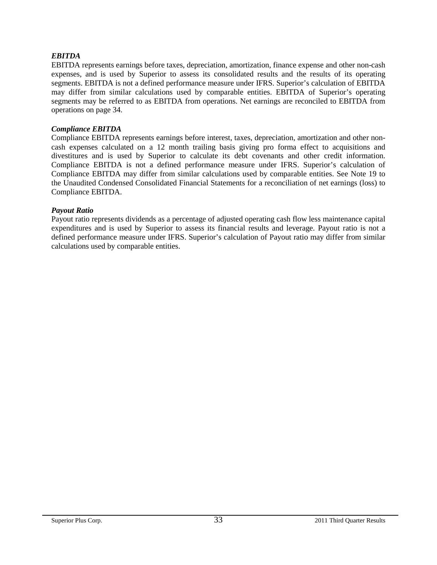## *EBITDA*

EBITDA represents earnings before taxes, depreciation, amortization, finance expense and other non-cash expenses, and is used by Superior to assess its consolidated results and the results of its operating segments. EBITDA is not a defined performance measure under IFRS. Superior's calculation of EBITDA may differ from similar calculations used by comparable entities. EBITDA of Superior's operating segments may be referred to as EBITDA from operations. Net earnings are reconciled to EBITDA from operations on page 34.

#### *Compliance EBITDA*

Compliance EBITDA represents earnings before interest, taxes, depreciation, amortization and other noncash expenses calculated on a 12 month trailing basis giving pro forma effect to acquisitions and divestitures and is used by Superior to calculate its debt covenants and other credit information. Compliance EBITDA is not a defined performance measure under IFRS. Superior's calculation of Compliance EBITDA may differ from similar calculations used by comparable entities. See Note 19 to the Unaudited Condensed Consolidated Financial Statements for a reconciliation of net earnings (loss) to Compliance EBITDA.

#### *Payout Ratio*

Payout ratio represents dividends as a percentage of adjusted operating cash flow less maintenance capital expenditures and is used by Superior to assess its financial results and leverage. Payout ratio is not a defined performance measure under IFRS. Superior's calculation of Payout ratio may differ from similar calculations used by comparable entities.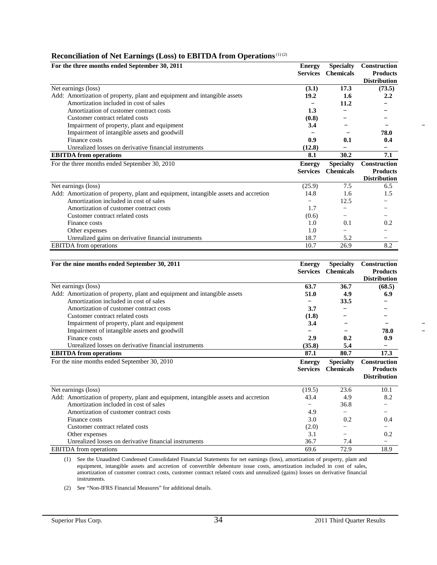| Reconciliation of Net Earnings (Loss) to EBITDA from Operations <sup>(1)(2)</sup> |  |  |
|-----------------------------------------------------------------------------------|--|--|
|-----------------------------------------------------------------------------------|--|--|

| For the three months ended September 30, 2011                                       | <b>Energy</b><br><b>Services</b> | <b>Specialty</b><br><b>Chemicals</b> | <b>Construction</b><br><b>Products</b><br><b>Distribution</b> |
|-------------------------------------------------------------------------------------|----------------------------------|--------------------------------------|---------------------------------------------------------------|
| Net earnings (loss)                                                                 | (3.1)                            | 17.3                                 | (73.5)                                                        |
| Add: Amortization of property, plant and equipment and intangible assets            | 19.2                             | 1.6                                  | 2.2                                                           |
| Amortization included in cost of sales                                              |                                  | 11.2                                 |                                                               |
| Amortization of customer contract costs                                             | 1.3                              |                                      |                                                               |
| Customer contract related costs                                                     | (0.8)                            |                                      |                                                               |
| Impairment of property, plant and equipment                                         | 3.4                              |                                      |                                                               |
| Impairment of intangible assets and goodwill                                        |                                  |                                      | 78.0                                                          |
| Finance costs                                                                       | 0.9                              | 0.1                                  | 0.4                                                           |
| Unrealized losses on derivative financial instruments                               | (12.8)                           |                                      |                                                               |
| <b>EBITDA</b> from operations                                                       | 8.1                              | 30.2                                 | 7.1                                                           |
| For the three months ended September 30, 2010                                       |                                  | <b>Specialty</b>                     | Construction                                                  |
|                                                                                     | <b>Services</b>                  | <b>Chemicals</b>                     | <b>Products</b>                                               |
|                                                                                     |                                  |                                      | <b>Distribution</b>                                           |
| Net earnings (loss)                                                                 | (25.9)                           | 7.5                                  | 6.5                                                           |
| Add: Amortization of property, plant and equipment, intangible assets and accretion | 14.8                             | 1.6                                  | 1.5                                                           |
| Amortization included in cost of sales                                              |                                  | 12.5                                 |                                                               |
| Amortization of customer contract costs                                             | 1.7                              |                                      |                                                               |
| Customer contract related costs                                                     | (0.6)                            |                                      |                                                               |
| Finance costs                                                                       | 1.0                              | 0.1                                  | 0.2                                                           |
| Other expenses                                                                      | 1.0                              |                                      |                                                               |
| Unrealized gains on derivative financial instruments                                | 18.7                             | 5.2                                  |                                                               |
|                                                                                     |                                  | 26.9                                 | 8.2                                                           |

| For the nine months ended September 30, 2011                                        | <b>Energy</b><br><b>Services</b> | <b>Specialty</b><br><b>Chemicals</b> | Construction<br><b>Products</b><br><b>Distribution</b> |
|-------------------------------------------------------------------------------------|----------------------------------|--------------------------------------|--------------------------------------------------------|
| Net earnings (loss)                                                                 | 63.7                             | 36.7                                 | (68.5)                                                 |
| Add: Amortization of property, plant and equipment and intangible assets            | 51.0                             | 4.9                                  | 6.9                                                    |
| Amortization included in cost of sales                                              |                                  | 33.5                                 |                                                        |
| Amortization of customer contract costs                                             | 3.7                              |                                      |                                                        |
| Customer contract related costs                                                     | (1.8)                            |                                      |                                                        |
| Impairment of property, plant and equipment                                         | 3.4                              |                                      |                                                        |
| Impairment of intangible assets and goodwill                                        |                                  |                                      | 78.0                                                   |
| Finance costs                                                                       | 2.9                              | 0.2                                  | 0.9                                                    |
| Unrealized losses on derivative financial instruments                               | (35.8)                           | 5.4                                  |                                                        |
| <b>EBITDA</b> from operations                                                       | 87.1                             | 80.7                                 | 17.3                                                   |
| For the nine months ended September 30, 2010                                        | <b>Energy</b>                    | <b>Specialty</b>                     | Construction                                           |
|                                                                                     | <b>Services</b>                  | <b>Chemicals</b>                     | <b>Products</b>                                        |
|                                                                                     |                                  |                                      | <b>Distribution</b>                                    |
| Net earnings (loss)                                                                 | (19.5)                           | 23.6                                 | 10.1                                                   |
| Add: Amortization of property, plant and equipment, intangible assets and accretion | 43.4                             | 4.9                                  | 8.2                                                    |
| Amortization included in cost of sales                                              |                                  | 36.8                                 |                                                        |
| Amortization of customer contract costs                                             | 4.9                              |                                      |                                                        |
| Finance costs                                                                       | 3.0                              | 0.2                                  | 0.4                                                    |
| Customer contract related costs                                                     | (2.0)                            |                                      |                                                        |
| Other expenses                                                                      | 3.1                              |                                      | 0.2                                                    |
| Unrealized losses on derivative financial instruments                               | 36.7                             | 7.4                                  | $\overline{\phantom{0}}$                               |
| <b>EBITDA</b> from operations                                                       | 69.6                             | 72.9                                 | 18.9                                                   |

(1) See the Unaudited Condensed Consolidated Financial Statements for net earnings (loss), amortization of property, plant and equipment, intangible assets and accretion of convertible debenture issue costs, amortization included in cost of sales, amortization of customer contract costs, customer contract related costs and unrealized (gains) losses on derivative financial instruments.

(2) See "Non-IFRS Financial Measures" for additional details.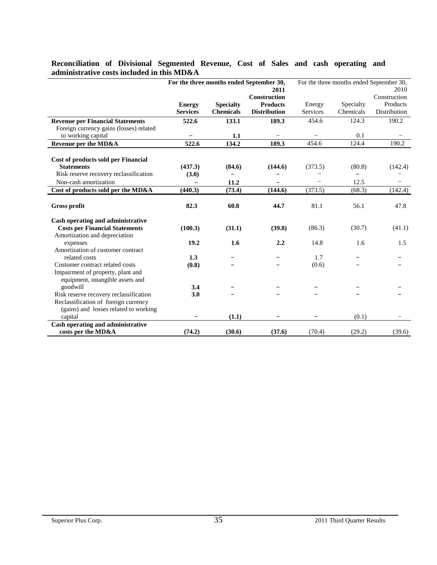|                                                                                    | For the three months ended September 30,<br>2011 |                  |                     | For the three months ended September 30,<br>2010 |           |              |  |
|------------------------------------------------------------------------------------|--------------------------------------------------|------------------|---------------------|--------------------------------------------------|-----------|--------------|--|
|                                                                                    | Construction                                     |                  |                     | Construction                                     |           |              |  |
|                                                                                    | <b>Energy</b>                                    | <b>Specialty</b> | <b>Products</b>     | Energy                                           | Specialty | Products     |  |
|                                                                                    | <b>Services</b>                                  | <b>Chemicals</b> | <b>Distribution</b> | Services                                         | Chemicals | Distribution |  |
| <b>Revenue per Financial Statements</b><br>Foreign currency gains (losses) related | 522.6                                            | 133.1            | 189.3               | 454.6                                            | 124.3     | 190.2        |  |
| to working capital                                                                 |                                                  | 1.1              |                     |                                                  | 0.1       |              |  |
| Revenue per the MD&A                                                               | 522.6                                            | 134.2            | 189.3               | 454.6                                            | 124.4     | 190.2        |  |
|                                                                                    |                                                  |                  |                     |                                                  |           |              |  |
| Cost of products sold per Financial                                                |                                                  |                  |                     |                                                  |           |              |  |
| <b>Statements</b>                                                                  | (437.3)                                          | (84.6)           | (144.6)             | (373.5)                                          | (80.8)    | (142.4)      |  |
| Risk reserve recovery reclassification                                             | (3.0)                                            |                  |                     |                                                  |           |              |  |
| Non-cash amortization                                                              |                                                  | 11.2             | -                   |                                                  | 12.5      |              |  |
| Cost of products sold per the MD&A                                                 | (440.3)                                          | (73.4)           | (144.6)             | (373.5)                                          | (68.3)    | (142.4)      |  |
|                                                                                    |                                                  |                  |                     |                                                  |           |              |  |
| <b>Gross profit</b>                                                                | 82.3                                             | 60.8             | 44.7                | 81.1                                             | 56.1      | 47.8         |  |
| Cash operating and administrative                                                  |                                                  |                  |                     |                                                  |           |              |  |
| <b>Costs per Financial Statements</b>                                              | (100.3)                                          | (31.1)           | (39.8)              | (86.3)                                           | (30.7)    | (41.1)       |  |
| Amortization and depreciation                                                      |                                                  |                  |                     |                                                  |           |              |  |
| expenses                                                                           | 19.2                                             | 1.6              | 2.2                 | 14.8                                             | 1.6       | 1.5          |  |
| Amortization of customer contract                                                  |                                                  |                  |                     |                                                  |           |              |  |
| related costs                                                                      | 1.3                                              |                  |                     | 1.7                                              |           |              |  |
| Customer contract related costs                                                    | (0.8)                                            |                  |                     | (0.6)                                            |           |              |  |
| Impairment of property, plant and                                                  |                                                  |                  |                     |                                                  |           |              |  |
| equipment, intangible assets and                                                   |                                                  |                  |                     |                                                  |           |              |  |
| goodwill                                                                           | 3.4                                              |                  |                     |                                                  |           |              |  |
| Risk reserve recovery reclassification                                             | 3.0                                              |                  |                     |                                                  |           |              |  |
| Reclassification of foreign currency                                               |                                                  |                  |                     |                                                  |           |              |  |
| (gains) and losses related to working                                              |                                                  |                  |                     |                                                  |           |              |  |
| capital                                                                            |                                                  | (1.1)            |                     |                                                  | (0.1)     |              |  |
| Cash operating and administrative                                                  |                                                  |                  |                     |                                                  |           |              |  |
| costs per the MD&A                                                                 | (74.2)                                           | (30.6)           | (37.6)              | (70.4)                                           | (29.2)    | (39.6)       |  |

#### **Reconciliation of Divisional Segmented Revenue, Cost of Sales and cash operating and administrative costs included in this MD&A**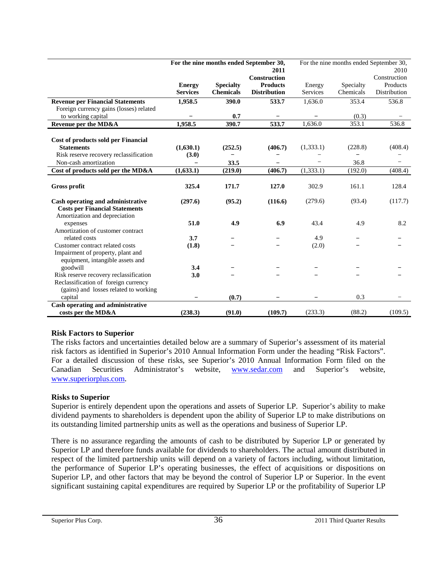|                                         | For the nine months ended September 30, |                                      |                                        | For the nine months ended September 30, |                        |                          |  |
|-----------------------------------------|-----------------------------------------|--------------------------------------|----------------------------------------|-----------------------------------------|------------------------|--------------------------|--|
|                                         |                                         |                                      | 2011                                   | 2010                                    |                        |                          |  |
|                                         |                                         |                                      | Construction                           |                                         |                        | Construction<br>Products |  |
|                                         | <b>Energy</b><br><b>Services</b>        | <b>Specialty</b><br><b>Chemicals</b> | <b>Products</b><br><b>Distribution</b> | Energy<br><b>Services</b>               | Specialty<br>Chemicals | Distribution             |  |
|                                         |                                         |                                      |                                        |                                         |                        |                          |  |
| <b>Revenue per Financial Statements</b> | 1,958.5                                 | 390.0                                | 533.7                                  | 1,636.0                                 | 353.4                  | 536.8                    |  |
| Foreign currency gains (losses) related |                                         |                                      |                                        |                                         |                        |                          |  |
| to working capital                      |                                         | 0.7                                  |                                        | 1,636.0                                 | (0.3)                  |                          |  |
| Revenue per the MD&A                    | 1,958.5                                 | 390.7                                | 533.7                                  |                                         | 353.1                  | 536.8                    |  |
| Cost of products sold per Financial     |                                         |                                      |                                        |                                         |                        |                          |  |
| <b>Statements</b>                       | (1,630.1)                               | (252.5)                              | (406.7)                                | (1, 333.1)                              | (228.8)                | (408.4)                  |  |
| Risk reserve recovery reclassification  | (3.0)                                   |                                      |                                        |                                         |                        |                          |  |
| Non-cash amortization                   |                                         | 33.5                                 |                                        |                                         | 36.8                   |                          |  |
| Cost of products sold per the MD&A      | (1,633.1)                               | (219.0)                              | (406.7)                                | (1, 333.1)                              | (192.0)                | (408.4)                  |  |
|                                         |                                         |                                      |                                        |                                         |                        |                          |  |
| <b>Gross profit</b>                     | 325.4                                   | 171.7                                | 127.0                                  | 302.9                                   | 161.1                  | 128.4                    |  |
| Cash operating and administrative       | (297.6)                                 | (95.2)                               | (116.6)                                | (279.6)                                 | (93.4)                 | (117.7)                  |  |
| <b>Costs per Financial Statements</b>   |                                         |                                      |                                        |                                         |                        |                          |  |
| Amortization and depreciation           |                                         |                                      |                                        |                                         |                        |                          |  |
| expenses                                | 51.0                                    | 4.9                                  | 6.9                                    | 43.4                                    | 4.9                    | 8.2                      |  |
| Amortization of customer contract       |                                         |                                      |                                        |                                         |                        |                          |  |
| related costs                           | 3.7                                     |                                      |                                        | 4.9                                     |                        |                          |  |
| Customer contract related costs         | (1.8)                                   |                                      |                                        | (2.0)                                   |                        |                          |  |
| Impairment of property, plant and       |                                         |                                      |                                        |                                         |                        |                          |  |
| equipment, intangible assets and        |                                         |                                      |                                        |                                         |                        |                          |  |
| goodwill                                | 3.4                                     |                                      |                                        |                                         |                        |                          |  |
| Risk reserve recovery reclassification  | 3.0                                     |                                      |                                        |                                         |                        |                          |  |
| Reclassification of foreign currency    |                                         |                                      |                                        |                                         |                        |                          |  |
| (gains) and losses related to working   |                                         |                                      |                                        |                                         |                        |                          |  |
| capital                                 |                                         | (0.7)                                |                                        |                                         | 0.3                    |                          |  |
| Cash operating and administrative       |                                         |                                      |                                        |                                         |                        |                          |  |
| costs per the MD&A                      | (238.3)                                 | (91.0)                               | (109.7)                                | (233.3)                                 | (88.2)                 | (109.5)                  |  |

## **Risk Factors to Superior**

The risks factors and uncertainties detailed below are a summary of Superior's assessment of its material risk factors as identified in Superior's 2010 Annual Information Form under the heading "Risk Factors". For a detailed discussion of these risks, see Superior's 2010 Annual Information Form filed on the Canadian Securities Administrator's website, www.sedar.com and Superior's website, www.superiorplus.com.

#### **Risks to Superior**

Superior is entirely dependent upon the operations and assets of Superior LP. Superior's ability to make dividend payments to shareholders is dependent upon the ability of Superior LP to make distributions on its outstanding limited partnership units as well as the operations and business of Superior LP.

There is no assurance regarding the amounts of cash to be distributed by Superior LP or generated by Superior LP and therefore funds available for dividends to shareholders. The actual amount distributed in respect of the limited partnership units will depend on a variety of factors including, without limitation, the performance of Superior LP's operating businesses, the effect of acquisitions or dispositions on Superior LP, and other factors that may be beyond the control of Superior LP or Superior. In the event significant sustaining capital expenditures are required by Superior LP or the profitability of Superior LP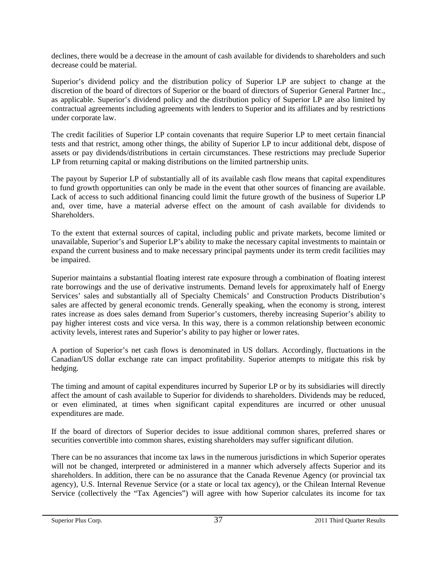declines, there would be a decrease in the amount of cash available for dividends to shareholders and such decrease could be material.

Superior's dividend policy and the distribution policy of Superior LP are subject to change at the discretion of the board of directors of Superior or the board of directors of Superior General Partner Inc., as applicable. Superior's dividend policy and the distribution policy of Superior LP are also limited by contractual agreements including agreements with lenders to Superior and its affiliates and by restrictions under corporate law.

The credit facilities of Superior LP contain covenants that require Superior LP to meet certain financial tests and that restrict, among other things, the ability of Superior LP to incur additional debt, dispose of assets or pay dividends/distributions in certain circumstances. These restrictions may preclude Superior LP from returning capital or making distributions on the limited partnership units.

The payout by Superior LP of substantially all of its available cash flow means that capital expenditures to fund growth opportunities can only be made in the event that other sources of financing are available. Lack of access to such additional financing could limit the future growth of the business of Superior LP and, over time, have a material adverse effect on the amount of cash available for dividends to Shareholders.

To the extent that external sources of capital, including public and private markets, become limited or unavailable, Superior's and Superior LP's ability to make the necessary capital investments to maintain or expand the current business and to make necessary principal payments under its term credit facilities may be impaired.

Superior maintains a substantial floating interest rate exposure through a combination of floating interest rate borrowings and the use of derivative instruments. Demand levels for approximately half of Energy Services' sales and substantially all of Specialty Chemicals' and Construction Products Distribution's sales are affected by general economic trends. Generally speaking, when the economy is strong, interest rates increase as does sales demand from Superior's customers, thereby increasing Superior's ability to pay higher interest costs and vice versa. In this way, there is a common relationship between economic activity levels, interest rates and Superior's ability to pay higher or lower rates.

A portion of Superior's net cash flows is denominated in US dollars. Accordingly, fluctuations in the Canadian/US dollar exchange rate can impact profitability. Superior attempts to mitigate this risk by hedging.

The timing and amount of capital expenditures incurred by Superior LP or by its subsidiaries will directly affect the amount of cash available to Superior for dividends to shareholders. Dividends may be reduced, or even eliminated, at times when significant capital expenditures are incurred or other unusual expenditures are made.

If the board of directors of Superior decides to issue additional common shares, preferred shares or securities convertible into common shares, existing shareholders may suffer significant dilution.

There can be no assurances that income tax laws in the numerous jurisdictions in which Superior operates will not be changed, interpreted or administered in a manner which adversely affects Superior and its shareholders. In addition, there can be no assurance that the Canada Revenue Agency (or provincial tax agency), U.S. Internal Revenue Service (or a state or local tax agency), or the Chilean Internal Revenue Service (collectively the "Tax Agencies") will agree with how Superior calculates its income for tax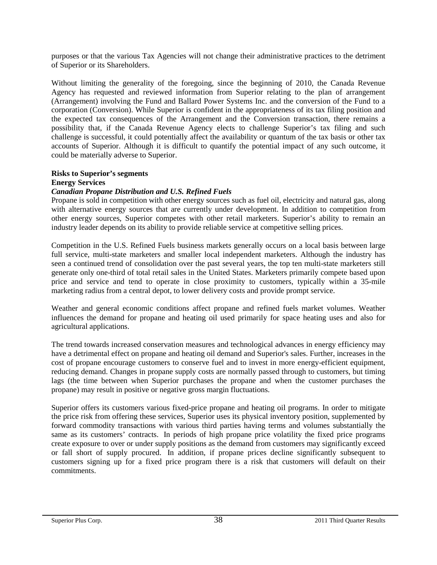purposes or that the various Tax Agencies will not change their administrative practices to the detriment of Superior or its Shareholders.

Without limiting the generality of the foregoing, since the beginning of 2010, the Canada Revenue Agency has requested and reviewed information from Superior relating to the plan of arrangement (Arrangement) involving the Fund and Ballard Power Systems Inc. and the conversion of the Fund to a corporation (Conversion). While Superior is confident in the appropriateness of its tax filing position and the expected tax consequences of the Arrangement and the Conversion transaction, there remains a possibility that, if the Canada Revenue Agency elects to challenge Superior's tax filing and such challenge is successful, it could potentially affect the availability or quantum of the tax basis or other tax accounts of Superior. Although it is difficult to quantify the potential impact of any such outcome, it could be materially adverse to Superior.

## **Risks to Superior's segments Energy Services**

# *Canadian Propane Distribution and U.S. Refined Fuels*

Propane is sold in competition with other energy sources such as fuel oil, electricity and natural gas, along with alternative energy sources that are currently under development. In addition to competition from other energy sources, Superior competes with other retail marketers. Superior's ability to remain an industry leader depends on its ability to provide reliable service at competitive selling prices.

Competition in the U.S. Refined Fuels business markets generally occurs on a local basis between large full service, multi-state marketers and smaller local independent marketers. Although the industry has seen a continued trend of consolidation over the past several years, the top ten multi-state marketers still generate only one-third of total retail sales in the United States. Marketers primarily compete based upon price and service and tend to operate in close proximity to customers, typically within a 35-mile marketing radius from a central depot, to lower delivery costs and provide prompt service.

Weather and general economic conditions affect propane and refined fuels market volumes. Weather influences the demand for propane and heating oil used primarily for space heating uses and also for agricultural applications.

The trend towards increased conservation measures and technological advances in energy efficiency may have a detrimental effect on propane and heating oil demand and Superior's sales. Further, increases in the cost of propane encourage customers to conserve fuel and to invest in more energy-efficient equipment, reducing demand. Changes in propane supply costs are normally passed through to customers, but timing lags (the time between when Superior purchases the propane and when the customer purchases the propane) may result in positive or negative gross margin fluctuations.

Superior offers its customers various fixed-price propane and heating oil programs. In order to mitigate the price risk from offering these services, Superior uses its physical inventory position, supplemented by forward commodity transactions with various third parties having terms and volumes substantially the same as its customers' contracts. In periods of high propane price volatility the fixed price programs create exposure to over or under supply positions as the demand from customers may significantly exceed or fall short of supply procured. In addition, if propane prices decline significantly subsequent to customers signing up for a fixed price program there is a risk that customers will default on their commitments.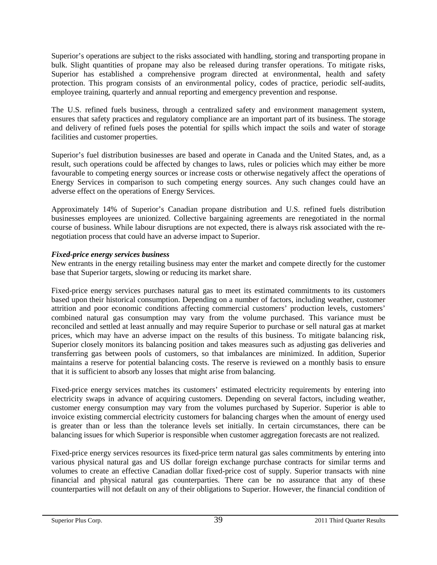Superior's operations are subject to the risks associated with handling, storing and transporting propane in bulk. Slight quantities of propane may also be released during transfer operations. To mitigate risks, Superior has established a comprehensive program directed at environmental, health and safety protection. This program consists of an environmental policy, codes of practice, periodic self-audits, employee training, quarterly and annual reporting and emergency prevention and response.

The U.S. refined fuels business, through a centralized safety and environment management system, ensures that safety practices and regulatory compliance are an important part of its business. The storage and delivery of refined fuels poses the potential for spills which impact the soils and water of storage facilities and customer properties.

Superior's fuel distribution businesses are based and operate in Canada and the United States, and, as a result, such operations could be affected by changes to laws, rules or policies which may either be more favourable to competing energy sources or increase costs or otherwise negatively affect the operations of Energy Services in comparison to such competing energy sources. Any such changes could have an adverse effect on the operations of Energy Services.

Approximately 14% of Superior's Canadian propane distribution and U.S. refined fuels distribution businesses employees are unionized. Collective bargaining agreements are renegotiated in the normal course of business. While labour disruptions are not expected, there is always risk associated with the renegotiation process that could have an adverse impact to Superior.

# *Fixed-price energy services business*

New entrants in the energy retailing business may enter the market and compete directly for the customer base that Superior targets, slowing or reducing its market share.

Fixed-price energy services purchases natural gas to meet its estimated commitments to its customers based upon their historical consumption. Depending on a number of factors, including weather, customer attrition and poor economic conditions affecting commercial customers' production levels, customers' combined natural gas consumption may vary from the volume purchased. This variance must be reconciled and settled at least annually and may require Superior to purchase or sell natural gas at market prices, which may have an adverse impact on the results of this business. To mitigate balancing risk, Superior closely monitors its balancing position and takes measures such as adjusting gas deliveries and transferring gas between pools of customers, so that imbalances are minimized. In addition, Superior maintains a reserve for potential balancing costs. The reserve is reviewed on a monthly basis to ensure that it is sufficient to absorb any losses that might arise from balancing.

Fixed-price energy services matches its customers' estimated electricity requirements by entering into electricity swaps in advance of acquiring customers. Depending on several factors, including weather, customer energy consumption may vary from the volumes purchased by Superior. Superior is able to invoice existing commercial electricity customers for balancing charges when the amount of energy used is greater than or less than the tolerance levels set initially. In certain circumstances, there can be balancing issues for which Superior is responsible when customer aggregation forecasts are not realized.

Fixed-price energy services resources its fixed-price term natural gas sales commitments by entering into various physical natural gas and US dollar foreign exchange purchase contracts for similar terms and volumes to create an effective Canadian dollar fixed-price cost of supply. Superior transacts with nine financial and physical natural gas counterparties. There can be no assurance that any of these counterparties will not default on any of their obligations to Superior. However, the financial condition of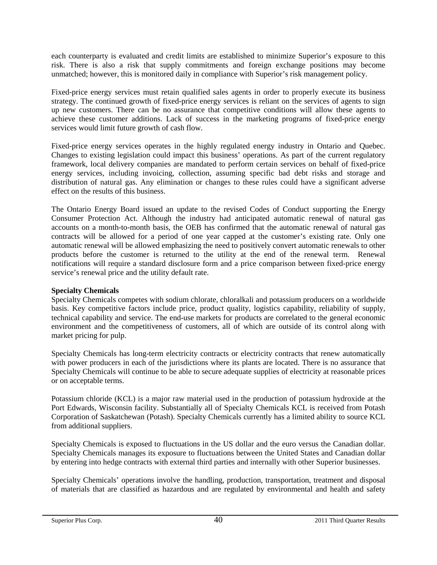each counterparty is evaluated and credit limits are established to minimize Superior's exposure to this risk. There is also a risk that supply commitments and foreign exchange positions may become unmatched; however, this is monitored daily in compliance with Superior's risk management policy.

Fixed-price energy services must retain qualified sales agents in order to properly execute its business strategy. The continued growth of fixed-price energy services is reliant on the services of agents to sign up new customers. There can be no assurance that competitive conditions will allow these agents to achieve these customer additions. Lack of success in the marketing programs of fixed-price energy services would limit future growth of cash flow.

Fixed-price energy services operates in the highly regulated energy industry in Ontario and Quebec. Changes to existing legislation could impact this business' operations. As part of the current regulatory framework, local delivery companies are mandated to perform certain services on behalf of fixed-price energy services, including invoicing, collection, assuming specific bad debt risks and storage and distribution of natural gas. Any elimination or changes to these rules could have a significant adverse effect on the results of this business.

The Ontario Energy Board issued an update to the revised Codes of Conduct supporting the Energy Consumer Protection Act. Although the industry had anticipated automatic renewal of natural gas accounts on a month-to-month basis, the OEB has confirmed that the automatic renewal of natural gas contracts will be allowed for a period of one year capped at the customer's existing rate. Only one automatic renewal will be allowed emphasizing the need to positively convert automatic renewals to other products before the customer is returned to the utility at the end of the renewal term. Renewal notifications will require a standard disclosure form and a price comparison between fixed-price energy service's renewal price and the utility default rate.

# **Specialty Chemicals**

Specialty Chemicals competes with sodium chlorate, chloralkali and potassium producers on a worldwide basis. Key competitive factors include price, product quality, logistics capability, reliability of supply, technical capability and service. The end-use markets for products are correlated to the general economic environment and the competitiveness of customers, all of which are outside of its control along with market pricing for pulp.

Specialty Chemicals has long-term electricity contracts or electricity contracts that renew automatically with power producers in each of the jurisdictions where its plants are located. There is no assurance that Specialty Chemicals will continue to be able to secure adequate supplies of electricity at reasonable prices or on acceptable terms.

Potassium chloride (KCL) is a major raw material used in the production of potassium hydroxide at the Port Edwards, Wisconsin facility. Substantially all of Specialty Chemicals KCL is received from Potash Corporation of Saskatchewan (Potash). Specialty Chemicals currently has a limited ability to source KCL from additional suppliers.

Specialty Chemicals is exposed to fluctuations in the US dollar and the euro versus the Canadian dollar. Specialty Chemicals manages its exposure to fluctuations between the United States and Canadian dollar by entering into hedge contracts with external third parties and internally with other Superior businesses.

Specialty Chemicals' operations involve the handling, production, transportation, treatment and disposal of materials that are classified as hazardous and are regulated by environmental and health and safety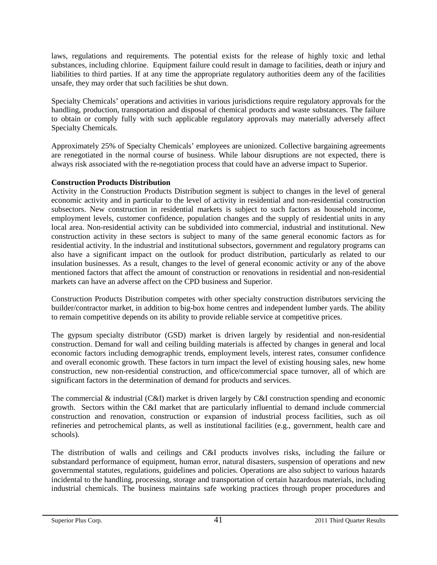laws, regulations and requirements. The potential exists for the release of highly toxic and lethal substances, including chlorine. Equipment failure could result in damage to facilities, death or injury and liabilities to third parties. If at any time the appropriate regulatory authorities deem any of the facilities unsafe, they may order that such facilities be shut down.

Specialty Chemicals' operations and activities in various jurisdictions require regulatory approvals for the handling, production, transportation and disposal of chemical products and waste substances. The failure to obtain or comply fully with such applicable regulatory approvals may materially adversely affect Specialty Chemicals.

Approximately 25% of Specialty Chemicals' employees are unionized. Collective bargaining agreements are renegotiated in the normal course of business. While labour disruptions are not expected, there is always risk associated with the re-negotiation process that could have an adverse impact to Superior.

# **Construction Products Distribution**

Activity in the Construction Products Distribution segment is subject to changes in the level of general economic activity and in particular to the level of activity in residential and non-residential construction subsectors. New construction in residential markets is subject to such factors as household income, employment levels, customer confidence, population changes and the supply of residential units in any local area. Non-residential activity can be subdivided into commercial, industrial and institutional. New construction activity in these sectors is subject to many of the same general economic factors as for residential activity. In the industrial and institutional subsectors, government and regulatory programs can also have a significant impact on the outlook for product distribution, particularly as related to our insulation businesses. As a result, changes to the level of general economic activity or any of the above mentioned factors that affect the amount of construction or renovations in residential and non-residential markets can have an adverse affect on the CPD business and Superior.

Construction Products Distribution competes with other specialty construction distributors servicing the builder/contractor market, in addition to big-box home centres and independent lumber yards. The ability to remain competitive depends on its ability to provide reliable service at competitive prices.

The gypsum specialty distributor (GSD) market is driven largely by residential and non-residential construction. Demand for wall and ceiling building materials is affected by changes in general and local economic factors including demographic trends, employment levels, interest rates, consumer confidence and overall economic growth. These factors in turn impact the level of existing housing sales, new home construction, new non-residential construction, and office/commercial space turnover, all of which are significant factors in the determination of demand for products and services.

The commercial  $\&$  industrial (C $\&$ I) market is driven largely by C $\&$ I construction spending and economic growth. Sectors within the C&I market that are particularly influential to demand include commercial construction and renovation, construction or expansion of industrial process facilities, such as oil refineries and petrochemical plants, as well as institutional facilities (e.g., government, health care and schools).

The distribution of walls and ceilings and C&I products involves risks, including the failure or substandard performance of equipment, human error, natural disasters, suspension of operations and new governmental statutes, regulations, guidelines and policies. Operations are also subject to various hazards incidental to the handling, processing, storage and transportation of certain hazardous materials, including industrial chemicals. The business maintains safe working practices through proper procedures and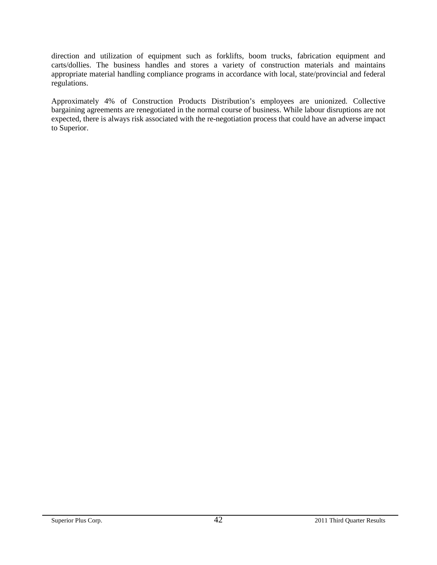direction and utilization of equipment such as forklifts, boom trucks, fabrication equipment and carts/dollies. The business handles and stores a variety of construction materials and maintains appropriate material handling compliance programs in accordance with local, state/provincial and federal regulations.

Approximately 4% of Construction Products Distribution's employees are unionized. Collective bargaining agreements are renegotiated in the normal course of business. While labour disruptions are not expected, there is always risk associated with the re-negotiation process that could have an adverse impact to Superior.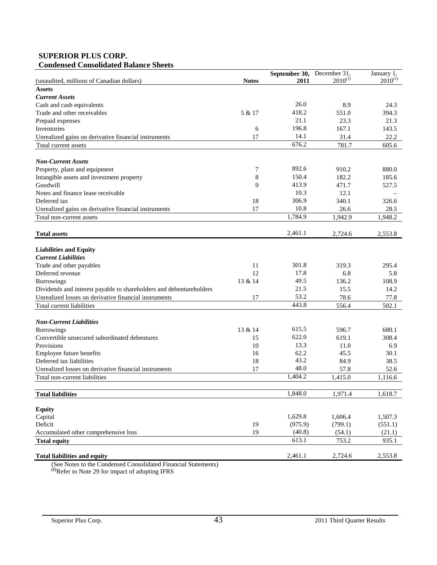## **SUPERIOR PLUS CORP. Condensed Consolidated Balance Sheets**

|                                                                                                                              |               | September 30, December 31, |              | January 1,    |
|------------------------------------------------------------------------------------------------------------------------------|---------------|----------------------------|--------------|---------------|
| (unaudited, millions of Canadian dollars)                                                                                    | <b>Notes</b>  | 2011                       | $2010^{(1)}$ | $2010^{(1)}$  |
| <b>Assets</b>                                                                                                                |               |                            |              |               |
| <b>Current Assets</b>                                                                                                        |               |                            |              |               |
| Cash and cash equivalents                                                                                                    |               | 26.0                       | 8.9          | 24.3          |
| Trade and other receivables                                                                                                  | 5 & 17        | 418.2                      | 551.0        | 394.3         |
| Prepaid expenses                                                                                                             |               | 21.1                       | 23.3         | 21.3          |
| Inventories                                                                                                                  | 6             | 196.8                      | 167.1        | 143.5         |
| Unrealized gains on derivative financial instruments                                                                         | 17            | 14.1                       | 31.4         | 22.2          |
| Total current assets                                                                                                         |               | 676.2                      | 781.7        | 605.6         |
|                                                                                                                              |               |                            |              |               |
| <b>Non-Current Assets</b>                                                                                                    |               |                            |              |               |
| Property, plant and equipment                                                                                                | 7             | 892.6                      | 910.2        | 880.0         |
| Intangible assets and investment property                                                                                    | 8             | 150.4                      | 182.2        | 185.6         |
| Goodwill                                                                                                                     | 9             | 413.9                      | 471.7        | 527.5         |
| Notes and finance lease receivable                                                                                           |               | 10.3                       | 12.1         |               |
| Deferred tax                                                                                                                 | 18            | 306.9                      | 340.1        | 326.6         |
| Unrealized gains on derivative financial instruments                                                                         | 17            | 10.8                       | 26.6         | 28.5          |
| Total non-current assets                                                                                                     |               | 1,784.9                    | 1,942.9      | 1,948.2       |
|                                                                                                                              |               |                            |              |               |
| <b>Total assets</b>                                                                                                          |               | 2,461.1                    | 2,724.6      | 2,553.8       |
|                                                                                                                              |               |                            |              |               |
| <b>Liabilities and Equity</b>                                                                                                |               |                            |              |               |
| <b>Current Liabilities</b>                                                                                                   |               | 301.8                      |              |               |
| Trade and other payables                                                                                                     | 11            | 17.8                       | 319.3        | 295.4         |
| Deferred revenue                                                                                                             | 12<br>13 & 14 | 49.5                       | 6.8          | 5.8<br>108.9  |
| <b>Borrowings</b>                                                                                                            |               | 21.5                       | 136.2        |               |
| Dividends and interest payable to shareholders and debentureholders<br>Unrealized losses on derivative financial instruments | 17            | 53.2                       | 15.5<br>78.6 | 14.2          |
| Total current liabilities                                                                                                    |               | 443.8                      | 556.4        | 77.8<br>502.1 |
|                                                                                                                              |               |                            |              |               |
| <b>Non-Current Liabilities</b>                                                                                               |               |                            |              |               |
| <b>Borrowings</b>                                                                                                            | 13 & 14       | 615.5                      | 596.7        | 680.1         |
| Convertible unsecured subordinated debentures                                                                                | 15            | 622.0                      | 619.1        | 308.4         |
| Provisions                                                                                                                   | 10            | 13.3                       | 11.0         | 6.9           |
| Employee future benefits                                                                                                     | 16            | 62.2                       | 45.5         | 30.1          |
| Deferred tax liabilities                                                                                                     | 18            | 43.2                       | 84.9         | 38.5          |
| Unrealized losses on derivative financial instruments                                                                        | 17            | 48.0                       | 57.8         | 52.6          |
| Total non-current liabilities                                                                                                |               | 1,404.2                    | 1,415.0      | 1.116.6       |
|                                                                                                                              |               |                            |              |               |
| <b>Total liabilities</b>                                                                                                     |               | 1,848.0                    | 1,971.4      | 1,618.7       |
|                                                                                                                              |               |                            |              |               |
| <b>Equity</b>                                                                                                                |               |                            |              |               |
| Capital                                                                                                                      |               | 1,629.8                    | 1,606.4      | 1,507.3       |
| Deficit                                                                                                                      | 19            | (975.9)                    | (799.1)      | (551.1)       |
| Accumulated other comprehensive loss                                                                                         | 19            | (40.8)                     | (54.1)       | (21.1)        |
| <b>Total equity</b>                                                                                                          |               | 613.1                      | 753.2        | 935.1         |
|                                                                                                                              |               |                            |              |               |
| <b>Total liabilities and equity</b>                                                                                          |               | 2,461.1                    | 2,724.6      | 2,553.8       |

(See Notes to the Condensed Consolidated Financial Statements)

**(1)**Refer to Note 29 for impact of adopting IFRS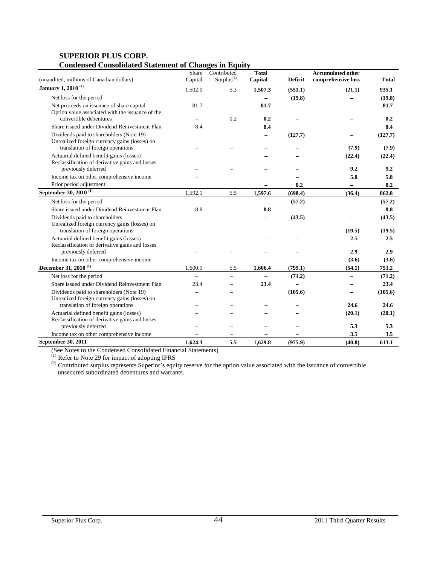| сонасняса сонзонаатса втатент от спандез ні вічні у                                         | Share                    | Contributed              | <b>Total</b>             |                | <b>Accumulated other</b> |              |
|---------------------------------------------------------------------------------------------|--------------------------|--------------------------|--------------------------|----------------|--------------------------|--------------|
| (unaudited, millions of Canadian dollars)                                                   | Capital                  | $Surplus^{(2)}$          | Capital                  | <b>Deficit</b> | comprehensive loss       | <b>Total</b> |
| January 1, 2010 <sup>(1)</sup>                                                              | 1,502.0                  | 5.3                      | 1,507.3                  | (551.1)        | (21.1)                   | 935.1        |
| Net loss for the period                                                                     |                          |                          |                          | (19.8)         |                          | (19.8)       |
| Net proceeds on issuance of share capital                                                   | 81.7                     |                          | 81.7                     |                |                          | 81.7         |
| Option value associated with the issuance of the                                            |                          |                          |                          |                |                          |              |
| convertible debentures                                                                      | $\overline{\phantom{0}}$ | 0.2                      | 0.2                      |                |                          | 0.2          |
| Share issued under Dividend Reinvestment Plan                                               | 8.4                      |                          | 8.4                      |                |                          | 8.4          |
| Dividends paid to shareholders (Note 19)                                                    |                          |                          | $\overline{\phantom{0}}$ | (127.7)        |                          | (127.7)      |
| Unrealized foreign currency gains (losses) on<br>translation of foreign operations          |                          |                          |                          |                | (7.9)                    | (7.9)        |
|                                                                                             |                          |                          |                          |                |                          |              |
| Actuarial defined benefit gains (losses)<br>Reclassification of derivative gains and losses |                          |                          |                          |                | (22.4)                   | (22.4)       |
| previously deferred                                                                         |                          |                          |                          |                | 9.2                      | 9.2          |
| Income tax on other comprehensive income                                                    |                          |                          |                          |                | 5.8                      | 5.8          |
| Prior period adjustment                                                                     | $\overline{\phantom{0}}$ | $\overline{\phantom{0}}$ |                          | 0.2            |                          | 0.2          |
| September 30, 2010 <sup>(1)</sup>                                                           | 1,592.1                  | 5.5                      | 1,597.6                  | (698.4)        | (36.4)                   | 862.8        |
| Net loss for the period                                                                     | $\overline{\phantom{0}}$ | $\overline{\phantom{0}}$ |                          | (57.2)         | $\overline{\phantom{0}}$ | (57.2)       |
| Share issued under Dividend Reinvestment Plan                                               | 8.8                      |                          | 8.8                      |                | $\overline{\phantom{0}}$ | 8.8          |
| Dividends paid to shareholders                                                              |                          |                          | $\overline{\phantom{0}}$ | (43.5)         |                          | (43.5)       |
| Unrealized foreign currency gains (losses) on                                               |                          |                          |                          |                |                          |              |
| translation of foreign operations                                                           |                          |                          |                          |                | (19.5)                   | (19.5)       |
| Actuarial defined benefit gains (losses)                                                    |                          |                          |                          |                | 2.5                      | 2.5          |
| Reclassification of derivative gains and losses                                             |                          |                          |                          |                |                          |              |
| previously deferred                                                                         |                          |                          |                          |                | 2.9                      | 2.9          |
| Income tax on other comprehensive income                                                    | Ξ.                       | $\overline{\phantom{0}}$ |                          |                | (3.6)                    | (3.6)        |
| December 31, 2010 <sup>(1)</sup>                                                            | 1,600.9                  | 5.5                      | 1,606.4                  | (799.1)        | (54.1)                   | 753.2        |
| Net loss for the period                                                                     | $\overline{\phantom{0}}$ | $\overline{\phantom{0}}$ | $\overline{\phantom{0}}$ | (71.2)         | $\overline{\phantom{0}}$ | (71.2)       |
| Share issued under Dividend Reinvestment Plan                                               | 23.4                     |                          | 23.4                     |                | $\overline{\phantom{0}}$ | 23.4         |
| Dividends paid to shareholders (Note 19)                                                    |                          |                          |                          | (105.6)        |                          | (105.6)      |
| Unrealized foreign currency gains (losses) on                                               |                          |                          |                          |                |                          |              |
| translation of foreign operations                                                           |                          |                          |                          |                | 24.6                     | 24.6         |
| Actuarial defined benefit gains (losses)                                                    |                          |                          |                          |                | (20.1)                   | (20.1)       |
| Reclassification of derivative gains and losses<br>previously deferred                      |                          |                          |                          |                | 5.3                      | 5.3          |
| Income tax on other comprehensive income                                                    |                          |                          |                          |                | 3.5                      | 3.5          |
| September 30, 2011                                                                          | 1,624.3                  | 5.5                      | 1,629.8                  | (975.9)        | (40.8)                   | 613.1        |
|                                                                                             |                          |                          |                          |                |                          |              |

## **SUPERIOR PLUS CORP. Condensed Consolidated Statement of Changes in Equity**

(See Notes to the Condensed Consolidated Financial Statements)<br><sup>(1)</sup> Refer to Note 29 for impact of adopting IFRS

 $^{(2)}$  Contributed surplus represents Superior's equity reserve for the option value associated with the issuance of convertible unsecured subordinated debentures and warrants.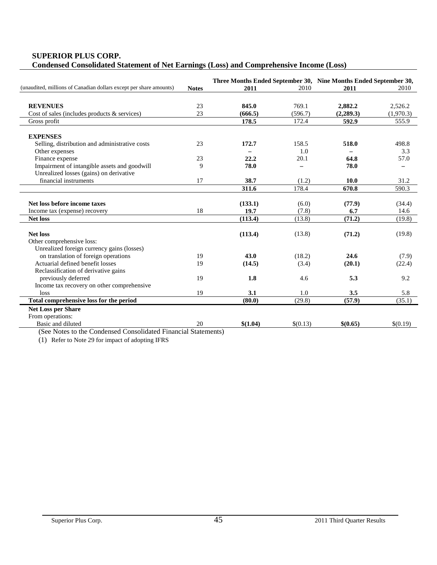# **SUPERIOR PLUS CORP. Condensed Consolidated Statement of Net Earnings (Loss) and Comprehensive Income (Loss)**

| (unaudited, millions of Canadian dollars except per share amounts) | <b>Notes</b> | Three Months Ended September 30, Nine Months Ended September 30,<br>2011 | 2010                     | 2011      | 2010      |
|--------------------------------------------------------------------|--------------|--------------------------------------------------------------------------|--------------------------|-----------|-----------|
|                                                                    |              |                                                                          |                          |           |           |
| <b>REVENUES</b>                                                    | 23           | 845.0                                                                    | 769.1                    | 2,882.2   | 2,526.2   |
| Cost of sales (includes products $&$ services)                     | 23           | (666.5)                                                                  | (596.7)                  | (2,289.3) | (1,970.3) |
| Gross profit                                                       |              | 178.5                                                                    | 172.4                    | 592.9     | 555.9     |
|                                                                    |              |                                                                          |                          |           |           |
| <b>EXPENSES</b>                                                    |              |                                                                          |                          |           |           |
| Selling, distribution and administrative costs                     | 23           | 172.7                                                                    | 158.5                    | 518.0     | 498.8     |
| Other expenses                                                     |              |                                                                          | 1.0                      |           | 3.3       |
| Finance expense                                                    | 23           | 22.2                                                                     | 20.1                     | 64.8      | 57.0      |
| Impairment of intangible assets and goodwill                       | 9            | 78.0                                                                     | $\overline{\phantom{0}}$ | 78.0      |           |
| Unrealized losses (gains) on derivative                            |              |                                                                          |                          |           |           |
| financial instruments                                              | 17           | 38.7                                                                     | (1.2)                    | 10.0      | 31.2      |
|                                                                    |              | 311.6                                                                    | 178.4                    | 670.8     | 590.3     |
|                                                                    |              |                                                                          |                          |           |           |
| Net loss before income taxes                                       |              | (133.1)                                                                  | (6.0)                    | (77.9)    | (34.4)    |
| Income tax (expense) recovery                                      | 18           | 19.7                                                                     | (7.8)                    | 6.7       | 14.6      |
| <b>Net loss</b>                                                    |              | (113.4)                                                                  | (13.8)                   | (71.2)    | (19.8)    |
| <b>Net loss</b>                                                    |              | (113.4)                                                                  | (13.8)                   | (71.2)    | (19.8)    |
| Other comprehensive loss:                                          |              |                                                                          |                          |           |           |
| Unrealized foreign currency gains (losses)                         |              |                                                                          |                          |           |           |
| on translation of foreign operations                               | 19           | 43.0                                                                     | (18.2)                   | 24.6      | (7.9)     |
| Actuarial defined benefit losses                                   | 19           | (14.5)                                                                   | (3.4)                    | (20.1)    | (22.4)    |
| Reclassification of derivative gains                               |              |                                                                          |                          |           |           |
| previously deferred                                                | 19           | 1.8                                                                      | 4.6                      | 5.3       | 9.2       |
| Income tax recovery on other comprehensive                         |              |                                                                          |                          |           |           |
| loss                                                               | 19           | 3.1                                                                      | 1.0                      | 3.5       | 5.8       |
| Total comprehensive loss for the period                            |              | (80.0)                                                                   | (29.8)                   | (57.9)    | (35.1)    |
| <b>Net Loss per Share</b>                                          |              |                                                                          |                          |           |           |
| From operations:                                                   |              |                                                                          |                          |           |           |
| Basic and diluted                                                  | 20           | \$(1.04)                                                                 | \$(0.13)                 | \$(0.65)  | \$(0.19)  |
|                                                                    |              |                                                                          |                          |           |           |

(See Notes to the Condensed Consolidated Financial Statements)

(1) Refer to Note 29 for impact of adopting IFRS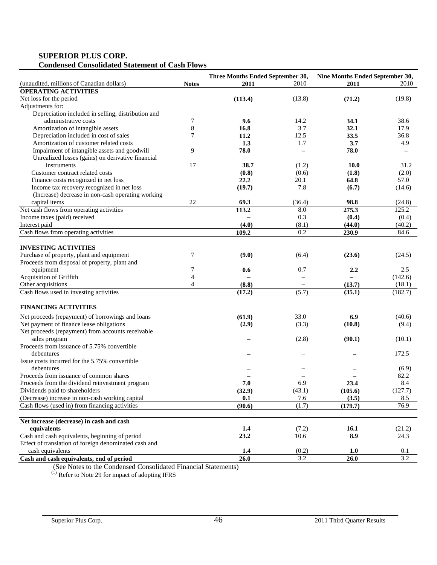## **SUPERIOR PLUS CORP. Condensed Consolidated Statement of Cash Flows**

|                                                       |                | Three Months Ended September 30, |        | Nine Months Ended September 30, |         |
|-------------------------------------------------------|----------------|----------------------------------|--------|---------------------------------|---------|
| (unaudited, millions of Canadian dollars)             | <b>Notes</b>   | 2011                             | 2010   | 2011                            | 2010    |
| <b>OPERATING ACTIVITIES</b>                           |                |                                  |        |                                 |         |
| Net loss for the period                               |                | (113.4)                          | (13.8) | (71.2)                          | (19.8)  |
| Adjustments for:                                      |                |                                  |        |                                 |         |
| Depreciation included in selling, distribution and    |                |                                  |        |                                 |         |
| administrative costs                                  | 7              | 9.6                              | 14.2   | 34.1                            | 38.6    |
| Amortization of intangible assets                     | 8              | 16.8                             | 3.7    | 32.1                            | 17.9    |
| Depreciation included in cost of sales                | 7              | 11.2                             | 12.5   | 33.5                            | 36.8    |
| Amortization of customer related costs                |                | 1.3                              | 1.7    | 3.7                             | 4.9     |
| Impairment of intangible assets and goodwill          | 9              | 78.0                             |        | 78.0                            |         |
| Unrealized losses (gains) on derivative financial     |                |                                  |        |                                 |         |
| instruments                                           | 17             | 38.7                             | (1.2)  | 10.0                            | 31.2    |
| Customer contract related costs                       |                | (0.8)                            | (0.6)  | (1.8)                           | (2.0)   |
| Finance costs recognized in net loss                  |                | 22.2                             | 20.1   | 64.8                            | 57.0    |
| Income tax recovery recognized in net loss            |                | (19.7)                           | 7.8    | (6.7)                           | (14.6)  |
| (Increase) decrease in non-cash operating working     |                |                                  |        |                                 |         |
| capital items                                         | 22             | 69.3                             | (36.4) | 98.8                            | (24.8)  |
| Net cash flows from operating activities              |                | 113.2                            | 8.0    | 275.3                           | 125.2   |
| Income taxes (paid) received                          |                |                                  | 0.3    | (0.4)                           | (0.4)   |
| Interest paid                                         |                | (4.0)                            | (8.1)  | (44.0)                          | (40.2)  |
| Cash flows from operating activities                  |                | 109.2                            | 0.2    | 230.9                           | 84.6    |
|                                                       |                |                                  |        |                                 |         |
| <b>INVESTING ACTIVITIES</b>                           |                |                                  |        |                                 |         |
| Purchase of property, plant and equipment             | $\overline{7}$ | (9.0)                            | (6.4)  | (23.6)                          | (24.5)  |
| Proceeds from disposal of property, plant and         |                |                                  |        |                                 |         |
| equipment                                             | 7              | 0.6                              | 0.7    | 2.2                             | 2.5     |
| Acquisition of Griffith                               | 4              | $\overline{\phantom{0}}$         | L,     | $\equiv$                        | (142.6) |
| Other acquisitions                                    | 4              | (8.8)                            |        | (13.7)                          | (18.1)  |
| Cash flows used in investing activities               |                | (17.2)                           | (5.7)  | (35.1)                          | (182.7) |
|                                                       |                |                                  |        |                                 |         |
| <b>FINANCING ACTIVITIES</b>                           |                |                                  |        |                                 |         |
| Net proceeds (repayment) of borrowings and loans      |                | (61.9)                           | 33.0   | 6.9                             | (40.6)  |
| Net payment of finance lease obligations              |                | (2.9)                            | (3.3)  | (10.8)                          | (9.4)   |
| Net proceeds (repayment) from accounts receivable     |                |                                  |        |                                 |         |
| sales program                                         |                |                                  | (2.8)  | (90.1)                          | (10.1)  |
| Proceeds from issuance of 5.75% convertible           |                |                                  |        |                                 |         |
| debentures                                            |                |                                  |        |                                 | 172.5   |
| Issue costs incurred for the 5.75% convertible        |                |                                  |        |                                 |         |
| debentures                                            |                |                                  |        |                                 | (6.9)   |
| Proceeds from issuance of common shares               |                |                                  |        |                                 | 82.2    |
| Proceeds from the dividend reinvestment program       |                | 7.0                              | 6.9    | 23.4                            | 8.4     |
| Dividends paid to shareholders                        |                | (32.9)                           | (43.1) | (105.6)                         | (127.7) |
| (Decrease) increase in non-cash working capital       |                | 0.1                              | 7.6    | (3.5)                           | 8.5     |
| Cash flows (used in) from financing activities        |                | (90.6)                           | (1.7)  | (179.7)                         | 76.9    |
|                                                       |                |                                  |        |                                 |         |
| Net increase (decrease) in cash and cash              |                |                                  |        |                                 |         |
| equivalents                                           |                | 1.4                              | (7.2)  | 16.1                            | (21.2)  |
| Cash and cash equivalents, beginning of period        |                | 23.2                             | 10.6   | 8.9                             | 24.3    |
| Effect of translation of foreign denominated cash and |                |                                  |        |                                 |         |
| cash equivalents                                      |                | 1.4                              | (0.2)  | 1.0                             | 0.1     |
| Cash and cash equivalents, end of period              |                | 26.0                             | 3.2    | 26.0                            | 3.2     |

(See Notes to the Condensed Consolidated Financial Statements)

 $<sup>(1)</sup>$  Refer to Note 29 for impact of adopting IFRS</sup>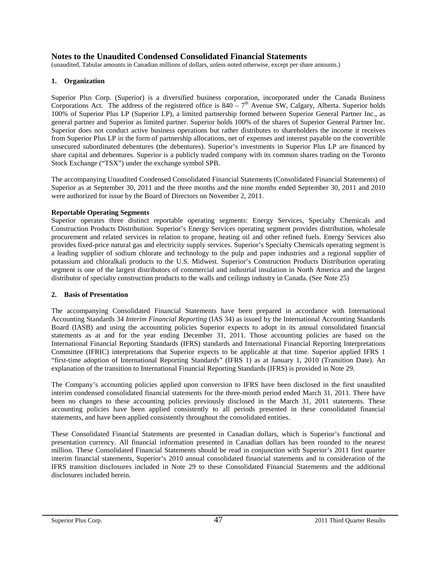# **Notes to the Unaudited Condensed Consolidated Financial Statements**

(unaudited, Tabular amounts in Canadian millions of dollars, unless noted otherwise, except per share amounts.)

## **1. Organization**

Superior Plus Corp. (Superior) is a diversified business corporation, incorporated under the Canada Business Corporations Act. The address of the registered office is  $840 - 7$ <sup>th</sup> Avenue SW, Calgary, Alberta. Superior holds 100% of Superior Plus LP (Superior LP), a limited partnership formed between Superior General Partner Inc., as general partner and Superior as limited partner. Superior holds 100% of the shares of Superior General Partner Inc. Superior does not conduct active business operations but rather distributes to shareholders the income it receives from Superior Plus LP in the form of partnership allocations, net of expenses and interest payable on the convertible unsecured subordinated debentures (the debentures). Superior's investments in Superior Plus LP are financed by share capital and debentures. Superior is a publicly traded company with its common shares trading on the Toronto Stock Exchange ("TSX") under the exchange symbol SPB.

The accompanying Unaudited Condensed Consolidated Financial Statements (Consolidated Financial Statements) of Superior as at September 30, 2011 and the three months and the nine months ended September 30, 2011 and 2010 were authorized for issue by the Board of Directors on November 2, 2011.

## **Reportable Operating Segments**

Superior operates three distinct reportable operating segments: Energy Services, Specialty Chemicals and Construction Products Distribution. Superior's Energy Services operating segment provides distribution, wholesale procurement and related services in relation to propane, heating oil and other refined fuels. Energy Services also provides fixed-price natural gas and electricity supply services. Superior's Specialty Chemicals operating segment is a leading supplier of sodium chlorate and technology to the pulp and paper industries and a regional supplier of potassium and chloralkali products to the U.S. Midwest. Superior's Construction Products Distribution operating segment is one of the largest distributors of commercial and industrial insulation in North America and the largest distributor of specialty construction products to the walls and ceilings industry in Canada. (See Note 25)

### **2. Basis of Presentation**

The accompanying Consolidated Financial Statements have been prepared in accordance with International Accounting Standards 34 *Interim Financial Reporting* (IAS 34) as issued by the International Accounting Standards Board (IASB) and using the accounting policies Superior expects to adopt in its annual consolidated financial statements as at and for the year ending December 31, 2011. Those accounting policies are based on the International Financial Reporting Standards (IFRS) standards and International Financial Reporting Interpretations Committee (IFRIC) interpretations that Superior expects to be applicable at that time. Superior applied IFRS 1 "first-time adoption of International Reporting Standards" (IFRS 1) as at January 1, 2010 (Transition Date). An explanation of the transition to International Financial Reporting Standards (IFRS) is provided in Note 29.

The Company's accounting policies applied upon conversion to IFRS have been disclosed in the first unaudited interim condensed consolidated financial statements for the three-month period ended March 31, 2011. There have been no changes to these accounting policies previously disclosed in the March 31, 2011 statements. These accounting policies have been applied consistently to all periods presented in these consolidated financial statements, and have been applied consistently throughout the consolidated entities.

These Consolidated Financial Statements are presented in Canadian dollars, which is Superior's functional and presentation currency. All financial information presented in Canadian dollars has been rounded to the nearest million. These Consolidated Financial Statements should be read in conjunction with Superior's 2011 first quarter interim financial statements, Superior's 2010 annual consolidated financial statements and in consideration of the IFRS transition disclosures included in Note 29 to these Consolidated Financial Statements and the additional disclosures included herein.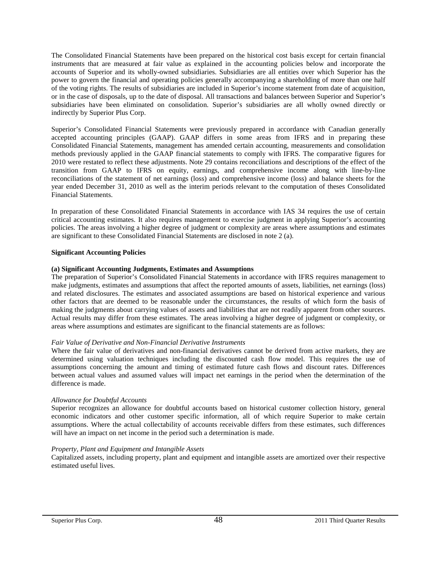The Consolidated Financial Statements have been prepared on the historical cost basis except for certain financial instruments that are measured at fair value as explained in the accounting policies below and incorporate the accounts of Superior and its wholly-owned subsidiaries. Subsidiaries are all entities over which Superior has the power to govern the financial and operating policies generally accompanying a shareholding of more than one half of the voting rights. The results of subsidiaries are included in Superior's income statement from date of acquisition, or in the case of disposals, up to the date of disposal. All transactions and balances between Superior and Superior's subsidiaries have been eliminated on consolidation. Superior's subsidiaries are all wholly owned directly or indirectly by Superior Plus Corp.

Superior's Consolidated Financial Statements were previously prepared in accordance with Canadian generally accepted accounting principles (GAAP). GAAP differs in some areas from IFRS and in preparing these Consolidated Financial Statements, management has amended certain accounting, measurements and consolidation methods previously applied in the GAAP financial statements to comply with IFRS. The comparative figures for 2010 were restated to reflect these adjustments. Note 29 contains reconciliations and descriptions of the effect of the transition from GAAP to IFRS on equity, earnings, and comprehensive income along with line-by-line reconciliations of the statement of net earnings (loss) and comprehensive income (loss) and balance sheets for the year ended December 31, 2010 as well as the interim periods relevant to the computation of theses Consolidated Financial Statements.

In preparation of these Consolidated Financial Statements in accordance with IAS 34 requires the use of certain critical accounting estimates. It also requires management to exercise judgment in applying Superior's accounting policies. The areas involving a higher degree of judgment or complexity are areas where assumptions and estimates are significant to these Consolidated Financial Statements are disclosed in note 2 (a).

## **Significant Accounting Policies**

## **(a) Significant Accounting Judgments, Estimates and Assumptions**

The preparation of Superior's Consolidated Financial Statements in accordance with IFRS requires management to make judgments, estimates and assumptions that affect the reported amounts of assets, liabilities, net earnings (loss) and related disclosures. The estimates and associated assumptions are based on historical experience and various other factors that are deemed to be reasonable under the circumstances, the results of which form the basis of making the judgments about carrying values of assets and liabilities that are not readily apparent from other sources. Actual results may differ from these estimates. The areas involving a higher degree of judgment or complexity, or areas where assumptions and estimates are significant to the financial statements are as follows:

### *Fair Value of Derivative and Non-Financial Derivative Instruments*

Where the fair value of derivatives and non-financial derivatives cannot be derived from active markets, they are determined using valuation techniques including the discounted cash flow model. This requires the use of assumptions concerning the amount and timing of estimated future cash flows and discount rates. Differences between actual values and assumed values will impact net earnings in the period when the determination of the difference is made.

### *Allowance for Doubtful Accounts*

Superior recognizes an allowance for doubtful accounts based on historical customer collection history, general economic indicators and other customer specific information, all of which require Superior to make certain assumptions. Where the actual collectability of accounts receivable differs from these estimates, such differences will have an impact on net income in the period such a determination is made.

## *Property, Plant and Equipment and Intangible Assets*

Capitalized assets, including property, plant and equipment and intangible assets are amortized over their respective estimated useful lives.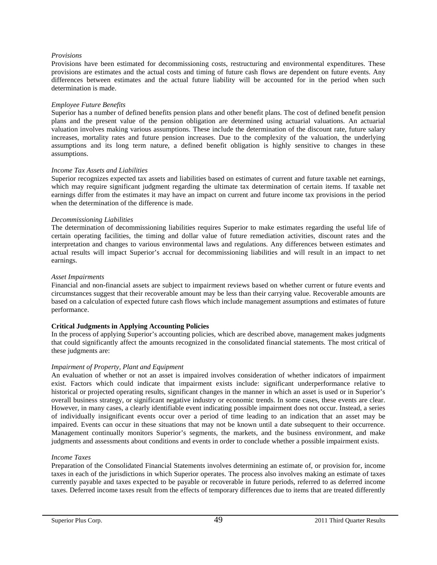### *Provisions*

Provisions have been estimated for decommissioning costs, restructuring and environmental expenditures. These provisions are estimates and the actual costs and timing of future cash flows are dependent on future events. Any differences between estimates and the actual future liability will be accounted for in the period when such determination is made.

### *Employee Future Benefits*

Superior has a number of defined benefits pension plans and other benefit plans. The cost of defined benefit pension plans and the present value of the pension obligation are determined using actuarial valuations. An actuarial valuation involves making various assumptions. These include the determination of the discount rate, future salary increases, mortality rates and future pension increases. Due to the complexity of the valuation, the underlying assumptions and its long term nature, a defined benefit obligation is highly sensitive to changes in these assumptions.

### *Income Tax Assets and Liabilities*

Superior recognizes expected tax assets and liabilities based on estimates of current and future taxable net earnings, which may require significant judgment regarding the ultimate tax determination of certain items. If taxable net earnings differ from the estimates it may have an impact on current and future income tax provisions in the period when the determination of the difference is made.

## *Decommissioning Liabilities*

The determination of decommissioning liabilities requires Superior to make estimates regarding the useful life of certain operating facilities, the timing and dollar value of future remediation activities, discount rates and the interpretation and changes to various environmental laws and regulations. Any differences between estimates and actual results will impact Superior's accrual for decommissioning liabilities and will result in an impact to net earnings.

## *Asset Impairments*

Financial and non-financial assets are subject to impairment reviews based on whether current or future events and circumstances suggest that their recoverable amount may be less than their carrying value. Recoverable amounts are based on a calculation of expected future cash flows which include management assumptions and estimates of future performance.

## **Critical Judgments in Applying Accounting Policies**

In the process of applying Superior's accounting policies, which are described above, management makes judgments that could significantly affect the amounts recognized in the consolidated financial statements. The most critical of these judgments are:

### *Impairment of Property, Plant and Equipment*

An evaluation of whether or not an asset is impaired involves consideration of whether indicators of impairment exist. Factors which could indicate that impairment exists include: significant underperformance relative to historical or projected operating results, significant changes in the manner in which an asset is used or in Superior's overall business strategy, or significant negative industry or economic trends. In some cases, these events are clear. However, in many cases, a clearly identifiable event indicating possible impairment does not occur. Instead, a series of individually insignificant events occur over a period of time leading to an indication that an asset may be impaired. Events can occur in these situations that may not be known until a date subsequent to their occurrence. Management continually monitors Superior's segments, the markets, and the business environment, and make judgments and assessments about conditions and events in order to conclude whether a possible impairment exists.

### *Income Taxes*

Preparation of the Consolidated Financial Statements involves determining an estimate of, or provision for, income taxes in each of the jurisdictions in which Superior operates. The process also involves making an estimate of taxes currently payable and taxes expected to be payable or recoverable in future periods, referred to as deferred income taxes. Deferred income taxes result from the effects of temporary differences due to items that are treated differently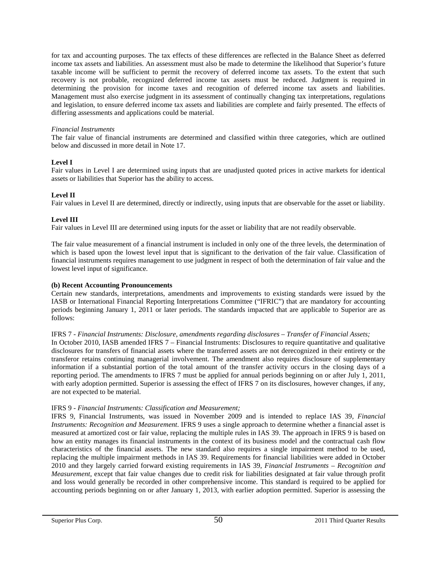for tax and accounting purposes. The tax effects of these differences are reflected in the Balance Sheet as deferred income tax assets and liabilities. An assessment must also be made to determine the likelihood that Superior's future taxable income will be sufficient to permit the recovery of deferred income tax assets. To the extent that such recovery is not probable, recognized deferred income tax assets must be reduced. Judgment is required in determining the provision for income taxes and recognition of deferred income tax assets and liabilities. Management must also exercise judgment in its assessment of continually changing tax interpretations, regulations and legislation, to ensure deferred income tax assets and liabilities are complete and fairly presented. The effects of differing assessments and applications could be material.

### *Financial Instruments*

The fair value of financial instruments are determined and classified within three categories, which are outlined below and discussed in more detail in Note 17.

## **Level I**

Fair values in Level I are determined using inputs that are unadjusted quoted prices in active markets for identical assets or liabilities that Superior has the ability to access.

## **Level II**

Fair values in Level II are determined, directly or indirectly, using inputs that are observable for the asset or liability.

## **Level III**

Fair values in Level III are determined using inputs for the asset or liability that are not readily observable.

The fair value measurement of a financial instrument is included in only one of the three levels, the determination of which is based upon the lowest level input that is significant to the derivation of the fair value. Classification of financial instruments requires management to use judgment in respect of both the determination of fair value and the lowest level input of significance.

### **(b) Recent Accounting Pronouncements**

Certain new standards, interpretations, amendments and improvements to existing standards were issued by the IASB or International Financial Reporting Interpretations Committee ("IFRIC") that are mandatory for accounting periods beginning January 1, 2011 or later periods. The standards impacted that are applicable to Superior are as follows:

### IFRS 7 - *Financial Instruments: Disclosure, amendments regarding disclosures – Transfer of Financial Assets;*

In October 2010, IASB amended IFRS 7 – Financial Instruments: Disclosures to require quantitative and qualitative disclosures for transfers of financial assets where the transferred assets are not derecognized in their entirety or the transferor retains continuing managerial involvement. The amendment also requires disclosure of supplementary information if a substantial portion of the total amount of the transfer activity occurs in the closing days of a reporting period. The amendments to IFRS 7 must be applied for annual periods beginning on or after July 1, 2011, with early adoption permitted. Superior is assessing the effect of IFRS 7 on its disclosures, however changes, if any, are not expected to be material.

### IFRS 9 - *Financial Instruments: Classification and Measurement;*

IFRS 9, Financial Instruments, was issued in November 2009 and is intended to replace IAS 39*, Financial Instruments: Recognition and Measurement*. IFRS 9 uses a single approach to determine whether a financial asset is measured at amortized cost or fair value, replacing the multiple rules in IAS 39. The approach in IFRS 9 is based on how an entity manages its financial instruments in the context of its business model and the contractual cash flow characteristics of the financial assets. The new standard also requires a single impairment method to be used, replacing the multiple impairment methods in IAS 39. Requirements for financial liabilities were added in October 2010 and they largely carried forward existing requirements in IAS 39, *Financial Instruments – Recognition and Measurement*, except that fair value changes due to credit risk for liabilities designated at fair value through profit and loss would generally be recorded in other comprehensive income. This standard is required to be applied for accounting periods beginning on or after January 1, 2013, with earlier adoption permitted. Superior is assessing the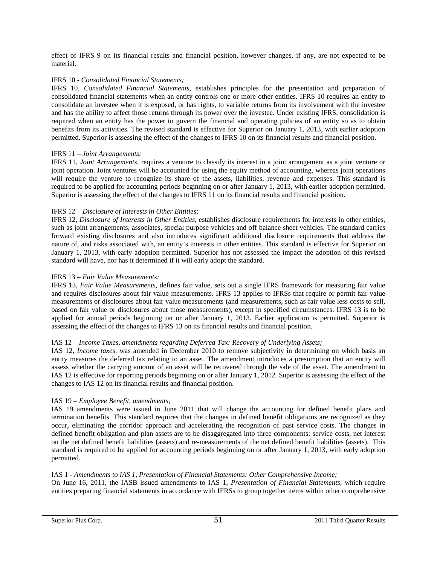effect of IFRS 9 on its financial results and financial position, however changes, if any, are not expected to be material.

## IFRS 10 - *Consolidated Financial Statements;*

IFRS 10*, Consolidated Financial Statements*, establishes principles for the presentation and preparation of consolidated financial statements when an entity controls one or more other entities. IFRS 10 requires an entity to consolidate an investee when it is exposed, or has rights, to variable returns from its involvement with the investee and has the ability to affect those returns through its power over the investee. Under existing IFRS, consolidation is required when an entity has the power to govern the financial and operating policies of an entity so as to obtain benefits from its activities. The revised standard is effective for Superior on January 1, 2013, with earlier adoption permitted. Superior is assessing the effect of the changes to IFRS 10 on its financial results and financial position.

## IFRS 11 – *Joint Arrangements;*

IFRS 11, *Joint Arrangements*, requires a venture to classify its interest in a joint arrangement as a joint venture or joint operation. Joint ventures will be accounted for using the equity method of accounting, whereas joint operations will require the venture to recognize its share of the assets, liabilities, revenue and expenses. This standard is required to be applied for accounting periods beginning on or after January 1, 2013, with earlier adoption permitted. Superior is assessing the effect of the changes to IFRS 11 on its financial results and financial position.

## IFRS 12 – *Disclosure of Interests in Other Entities;*

IFRS 12, *Disclosure of Interests in Other Entities*, establishes disclosure requirements for interests in other entities, such as joint arrangements, associates, special purpose vehicles and off balance sheet vehicles. The standard carries forward existing disclosures and also introduces significant additional disclosure requirements that address the nature of, and risks associated with, an entity's interests in other entities. This standard is effective for Superior on January 1, 2013, with early adoption permitted. Superior has not assessed the impact the adoption of this revised standard will have, nor has it determined if it will early adopt the standard.

## IFRS 13 *– Fair Value Measurements;*

IFRS 13*, Fair Value Measurements*, defines fair value, sets out a single IFRS framework for measuring fair value and requires disclosures about fair value measurements. IFRS 13 applies to IFRSs that require or permit fair value measurements or disclosures about fair value measurements (and measurements, such as fair value less costs to sell, based on fair value or disclosures about those measurements), except in specified circumstances. IFRS 13 is to be applied for annual periods beginning on or after January 1, 2013. Earlier application is permitted. Superior is assessing the effect of the changes to IFRS 13 on its financial results and financial position.

## IAS 12 – *Income Taxes, amendments regarding Deferred Tax: Recovery of Underlying Assets;*

IAS 12, *Income taxes,* was amended in December 2010 to remove subjectivity in determining on which basis an entity measures the deferred tax relating to an asset. The amendment introduces a presumption that an entity will assess whether the carrying amount of an asset will be recovered through the sale of the asset. The amendment to IAS 12 is effective for reporting periods beginning on or after January 1, 2012. Superior is assessing the effect of the changes to IAS 12 on its financial results and financial position.

## IAS 19 – *Employee Benefit, amendments;*

IAS 19 amendments were issued in June 2011 that will change the accounting for defined benefit plans and termination benefits. This standard requires that the changes in defined benefit obligations are recognized as they occur, eliminating the corridor approach and accelerating the recognition of past service costs. The changes in defined benefit obligation and plan assets are to be disaggregated into three components: service costs, net interest on the net defined benefit liabilities (assets) and re-measurements of the net defined benefit liabilities (assets). This standard is required to be applied for accounting periods beginning on or after January 1, 2013, with early adoption permitted.

## IAS 1 - *Amendments to IAS 1, Presentation of Financial Statements: Other Comprehensive Income;*

On June 16, 2011, the IASB issued amendments to IAS 1, *Presentation of Financial Statements*, which require entities preparing financial statements in accordance with IFRSs to group together items within other comprehensive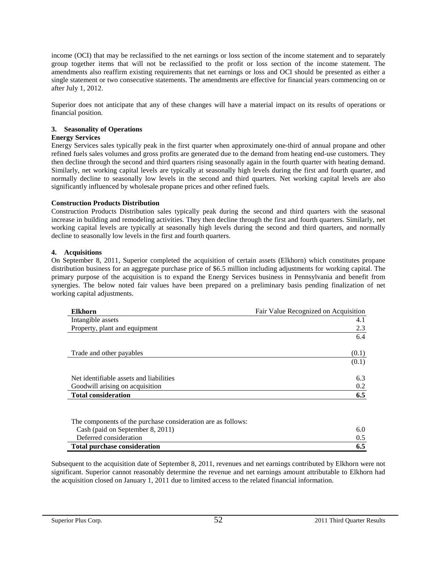income (OCI) that may be reclassified to the net earnings or loss section of the income statement and to separately group together items that will not be reclassified to the profit or loss section of the income statement. The amendments also reaffirm existing requirements that net earnings or loss and OCI should be presented as either a single statement or two consecutive statements. The amendments are effective for financial years commencing on or after July 1, 2012.

Superior does not anticipate that any of these changes will have a material impact on its results of operations or financial position.

## **3. Seasonality of Operations**

### **Energy Services**

Energy Services sales typically peak in the first quarter when approximately one-third of annual propane and other refined fuels sales volumes and gross profits are generated due to the demand from heating end-use customers. They then decline through the second and third quarters rising seasonally again in the fourth quarter with heating demand. Similarly, net working capital levels are typically at seasonally high levels during the first and fourth quarter, and normally decline to seasonally low levels in the second and third quarters. Net working capital levels are also significantly influenced by wholesale propane prices and other refined fuels.

## **Construction Products Distribution**

Construction Products Distribution sales typically peak during the second and third quarters with the seasonal increase in building and remodeling activities. They then decline through the first and fourth quarters. Similarly, net working capital levels are typically at seasonally high levels during the second and third quarters, and normally decline to seasonally low levels in the first and fourth quarters.

## **4. Acquisitions**

On September 8, 2011, Superior completed the acquisition of certain assets (Elkhorn) which constitutes propane distribution business for an aggregate purchase price of \$6.5 million including adjustments for working capital. The primary purpose of the acquisition is to expand the Energy Services business in Pennsylvania and benefit from synergies. The below noted fair values have been prepared on a preliminary basis pending finalization of net working capital adjustments.

| <b>Elkhorn</b>                          | Fair Value Recognized on Acquisition |
|-----------------------------------------|--------------------------------------|
| Intangible assets                       | 4.1                                  |
| Property, plant and equipment           | 2.3                                  |
|                                         | 6.4                                  |
| Trade and other payables                | (0.1)                                |
|                                         | (0.1)                                |
| Net identifiable assets and liabilities | 6.3                                  |
| Goodwill arising on acquisition         | 0.2                                  |
| <b>Total consideration</b>              | 6.5                                  |
|                                         |                                      |

| The components of the purchase consideration are as follows: |               |
|--------------------------------------------------------------|---------------|
| Cash (paid on September 8, 2011)                             | 6.0           |
| Deferred consideration                                       | $0.5^{\circ}$ |
| <b>Total purchase consideration</b>                          | 6.5           |

Subsequent to the acquisition date of September 8, 2011, revenues and net earnings contributed by Elkhorn were not significant. Superior cannot reasonably determine the revenue and net earnings amount attributable to Elkhorn had the acquisition closed on January 1, 2011 due to limited access to the related financial information.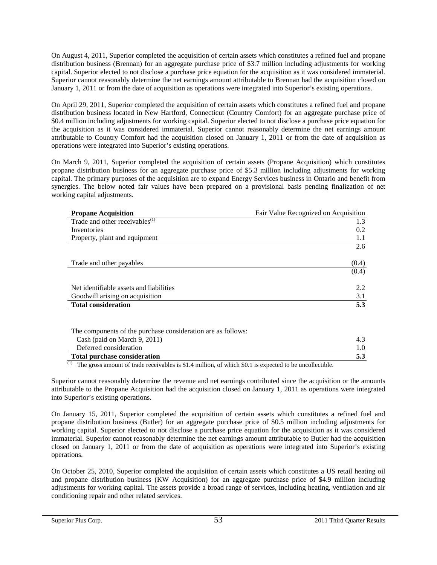On August 4, 2011, Superior completed the acquisition of certain assets which constitutes a refined fuel and propane distribution business (Brennan) for an aggregate purchase price of \$3.7 million including adjustments for working capital. Superior elected to not disclose a purchase price equation for the acquisition as it was considered immaterial. Superior cannot reasonably determine the net earnings amount attributable to Brennan had the acquisition closed on January 1, 2011 or from the date of acquisition as operations were integrated into Superior's existing operations.

On April 29, 2011, Superior completed the acquisition of certain assets which constitutes a refined fuel and propane distribution business located in New Hartford, Connecticut (Country Comfort) for an aggregate purchase price of \$0.4 million including adjustments for working capital. Superior elected to not disclose a purchase price equation for the acquisition as it was considered immaterial. Superior cannot reasonably determine the net earnings amount attributable to Country Comfort had the acquisition closed on January 1, 2011 or from the date of acquisition as operations were integrated into Superior's existing operations.

On March 9, 2011, Superior completed the acquisition of certain assets (Propane Acquisition) which constitutes propane distribution business for an aggregate purchase price of \$5.3 million including adjustments for working capital. The primary purposes of the acquisition are to expand Energy Services business in Ontario and benefit from synergies. The below noted fair values have been prepared on a provisional basis pending finalization of net working capital adjustments.

| <b>Propane Acquisition</b>                 | Fair Value Recognized on Acquisition |
|--------------------------------------------|--------------------------------------|
| Trade and other receivables <sup>(1)</sup> | 1.3                                  |
| Inventories                                | 0.2                                  |
| Property, plant and equipment              | 1.1                                  |
|                                            | 2.6                                  |
| Trade and other payables                   | (0.4)                                |
|                                            | (0.4)                                |
| Net identifiable assets and liabilities    | 2.2                                  |
| Goodwill arising on acquisition            | 3.1                                  |
| <b>Total consideration</b>                 | 5.3                                  |

| The components of the purchase consideration are as follows: |     |
|--------------------------------------------------------------|-----|
| Cash (paid on March 9, 2011)                                 |     |
| Deferred consideration                                       |     |
| <b>Total purchase consideration</b>                          | 5.3 |
|                                                              |     |

 $<sup>(1)</sup>$  The gross amount of trade receivables is \$1.4 million, of which \$0.1 is expected to be uncollectible.</sup>

Superior cannot reasonably determine the revenue and net earnings contributed since the acquisition or the amounts attributable to the Propane Acquisition had the acquisition closed on January 1, 2011 as operations were integrated into Superior's existing operations.

On January 15, 2011, Superior completed the acquisition of certain assets which constitutes a refined fuel and propane distribution business (Butler) for an aggregate purchase price of \$0.5 million including adjustments for working capital. Superior elected to not disclose a purchase price equation for the acquisition as it was considered immaterial. Superior cannot reasonably determine the net earnings amount attributable to Butler had the acquisition closed on January 1, 2011 or from the date of acquisition as operations were integrated into Superior's existing operations.

On October 25, 2010, Superior completed the acquisition of certain assets which constitutes a US retail heating oil and propane distribution business (KW Acquisition) for an aggregate purchase price of \$4.9 million including adjustments for working capital. The assets provide a broad range of services, including heating, ventilation and air conditioning repair and other related services.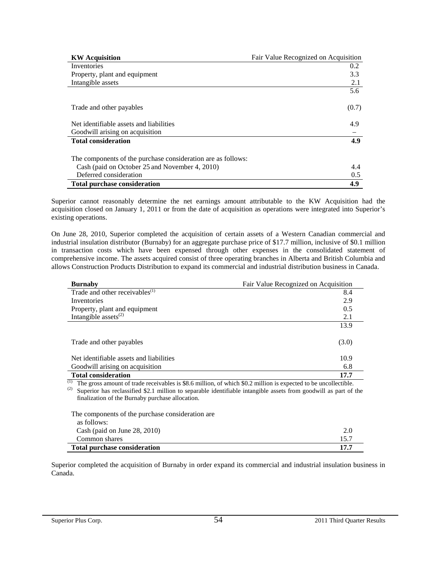| <b>KW</b> Acquisition                                        | Fair Value Recognized on Acquisition |
|--------------------------------------------------------------|--------------------------------------|
| Inventories                                                  | 0.2                                  |
| Property, plant and equipment                                | 3.3                                  |
| Intangible assets                                            | 2.1                                  |
|                                                              | 5.6                                  |
| Trade and other payables                                     | (0.7)                                |
| Net identifiable assets and liabilities                      | 4.9                                  |
| Goodwill arising on acquisition                              |                                      |
| <b>Total consideration</b>                                   | 4.9                                  |
| The components of the purchase consideration are as follows: |                                      |
| Cash (paid on October 25 and November 4, 2010)               | 4.4                                  |
| Deferred consideration                                       | 0.5                                  |
| <b>Total purchase consideration</b>                          | 4.9                                  |

Superior cannot reasonably determine the net earnings amount attributable to the KW Acquisition had the acquisition closed on January 1, 2011 or from the date of acquisition as operations were integrated into Superior's existing operations.

On June 28, 2010, Superior completed the acquisition of certain assets of a Western Canadian commercial and industrial insulation distributor (Burnaby) for an aggregate purchase price of \$17.7 million, inclusive of \$0.1 million in transaction costs which have been expensed through other expenses in the consolidated statement of comprehensive income. The assets acquired consist of three operating branches in Alberta and British Columbia and allows Construction Products Distribution to expand its commercial and industrial distribution business in Canada.

| <b>Burnaby</b>                                                                                                                                                                                                                                                                                                         | Fair Value Recognized on Acquisition |
|------------------------------------------------------------------------------------------------------------------------------------------------------------------------------------------------------------------------------------------------------------------------------------------------------------------------|--------------------------------------|
| Trade and other receivables <sup>(1)</sup>                                                                                                                                                                                                                                                                             | 8.4                                  |
| Inventories                                                                                                                                                                                                                                                                                                            | 2.9                                  |
| Property, plant and equipment                                                                                                                                                                                                                                                                                          | 0.5                                  |
| Intangible assets $^{(2)}$                                                                                                                                                                                                                                                                                             | 2.1                                  |
|                                                                                                                                                                                                                                                                                                                        | 13.9                                 |
| Trade and other payables                                                                                                                                                                                                                                                                                               | (3.0)                                |
| Net identifiable assets and liabilities                                                                                                                                                                                                                                                                                | 10.9                                 |
| Goodwill arising on acquisition                                                                                                                                                                                                                                                                                        | 6.8                                  |
| <b>Total consideration</b>                                                                                                                                                                                                                                                                                             | 17.7                                 |
| $\frac{1}{2}$ and $\frac{1}{2}$ $\frac{1}{2}$ $\frac{1}{2}$ $\frac{1}{2}$ $\frac{1}{2}$ $\frac{1}{2}$ $\frac{1}{2}$ $\frac{1}{2}$ $\frac{1}{2}$ $\frac{1}{2}$ $\frac{1}{2}$ $\frac{1}{2}$ $\frac{1}{2}$ $\frac{1}{2}$ $\frac{1}{2}$ $\frac{1}{2}$ $\frac{1}{2}$ $\frac{1}{2}$ $\frac{1}{2}$ $\frac{1}{2}$ $\frac{1}{2$ |                                      |

The gross amount of trade receivables is \$8.6 million, of which \$0.2 million is expected to be uncollectible.

<sup>(2)</sup> Superior has reclassified \$2.1 million to separable identifiable intangible assets from goodwill as part of the finalization of the Burnaby purchase allocation.

The components of the purchase consideration are as follows: Cash (paid on June 28, 2010) 2.0 Common shares 15.7 **Total purchase consideration** 17.7

Superior completed the acquisition of Burnaby in order expand its commercial and industrial insulation business in Canada.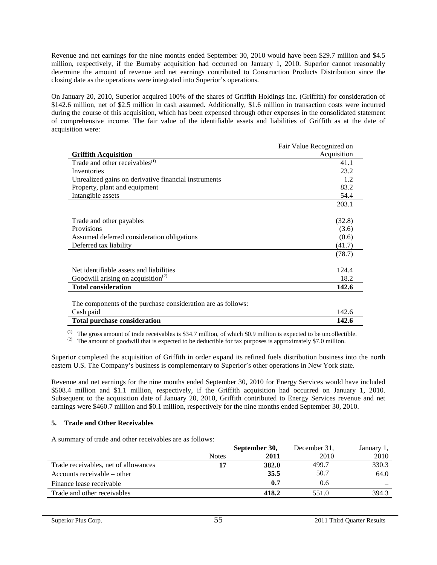Revenue and net earnings for the nine months ended September 30, 2010 would have been \$29.7 million and \$4.5 million, respectively, if the Burnaby acquisition had occurred on January 1, 2010. Superior cannot reasonably determine the amount of revenue and net earnings contributed to Construction Products Distribution since the closing date as the operations were integrated into Superior's operations.

On January 20, 2010, Superior acquired 100% of the shares of Griffith Holdings Inc. (Griffith) for consideration of \$142.6 million, net of \$2.5 million in cash assumed. Additionally, \$1.6 million in transaction costs were incurred during the course of this acquisition, which has been expensed through other expenses in the consolidated statement of comprehensive income. The fair value of the identifiable assets and liabilities of Griffith as at the date of acquisition were:

|                                                              | Fair Value Recognized on |
|--------------------------------------------------------------|--------------------------|
| <b>Griffith Acquisition</b>                                  | Acquisition              |
| Trade and other receivables $^{(1)}$                         | 41.1                     |
| Inventories                                                  | 23.2                     |
| Unrealized gains on derivative financial instruments         | 1.2                      |
| Property, plant and equipment                                | 83.2                     |
| Intangible assets                                            | 54.4                     |
|                                                              | 203.1                    |
|                                                              |                          |
| Trade and other payables                                     | (32.8)                   |
| <b>Provisions</b>                                            | (3.6)                    |
| Assumed deferred consideration obligations                   | (0.6)                    |
| Deferred tax liability                                       | (41.7)                   |
|                                                              | (78.7)                   |
| Net identifiable assets and liabilities                      | 124.4                    |
|                                                              |                          |
| Goodwill arising on acquisition <sup><math>(2)</math></sup>  | 18.2                     |
| <b>Total consideration</b>                                   | 142.6                    |
|                                                              |                          |
| The components of the purchase consideration are as follows: |                          |

(1) The gross amount of trade receivables is \$34.7 million, of which \$0.9 million is expected to be uncollectible. **Total purchase consideration 142.6**

Cash paid 142.6

(2) The amount of goodwill that is expected to be deductible for tax purposes is approximately \$7.0 million.

Superior completed the acquisition of Griffith in order expand its refined fuels distribution business into the north eastern U.S. The Company's business is complementary to Superior's other operations in New York state.

Revenue and net earnings for the nine months ended September 30, 2010 for Energy Services would have included \$508.4 million and \$1.1 million, respectively, if the Griffith acquisition had occurred on January 1, 2010. Subsequent to the acquisition date of January 20, 2010, Griffith contributed to Energy Services revenue and net earnings were \$460.7 million and \$0.1 million, respectively for the nine months ended September 30, 2010.

### **5. Trade and Other Receivables**

A summary of trade and other receivables are as follows:

|       | September 30, | December 31, | January 1, |
|-------|---------------|--------------|------------|
| Notes | 2011          | 2010         | 2010       |
| 17    | 382.0         | 499.7        | 330.3      |
|       | 35.5          | 50.7         | 64.0       |
|       | 0.7           | 0.6          |            |
|       | 418.2         | 551.0        | 394.3      |
|       |               |              |            |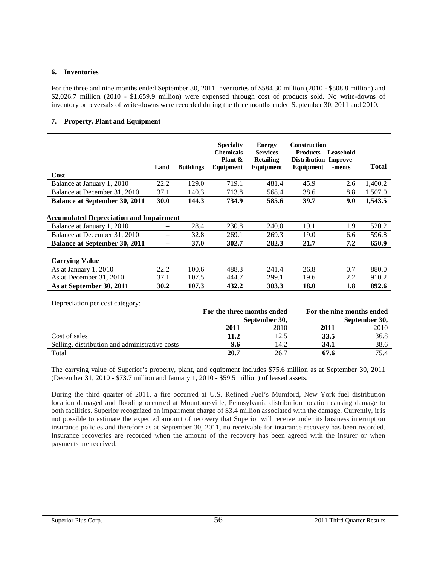### **6. Inventories**

For the three and nine months ended September 30, 2011 inventories of \$584.30 million (2010 - \$508.8 million) and \$2,026.7 million (2010 - \$1,659.9 million) were expensed through cost of products sold. No write-downs of inventory or reversals of write-downs were recorded during the three months ended September 30, 2011 and 2010.

## **7. Property, Plant and Equipment**

|                                                                                                              | Land | <b>Buildings</b> | <b>Specialty</b><br><b>Chemicals</b><br>Plant &<br>Equipment | <b>Energy</b><br><b>Services</b><br><b>Retailing</b><br>Equipment | <b>Construction</b><br><b>Products</b><br><b>Distribution Improve-</b><br>Equipment | Leasehold<br>-ments | Total          |
|--------------------------------------------------------------------------------------------------------------|------|------------------|--------------------------------------------------------------|-------------------------------------------------------------------|-------------------------------------------------------------------------------------|---------------------|----------------|
| Cost                                                                                                         |      |                  |                                                              |                                                                   |                                                                                     |                     |                |
| Balance at January 1, 2010                                                                                   | 22.2 | 129.0            | 719.1                                                        | 481.4                                                             | 45.9                                                                                | 2.6                 | 1,400.2        |
| Balance at December 31, 2010                                                                                 | 37.1 | 140.3            | 713.8                                                        | 568.4                                                             | 38.6                                                                                | 8.8                 | 1,507.0        |
| <b>Balance at September 30, 2011</b>                                                                         | 30.0 | 144.3            | 734.9                                                        | 585.6                                                             | 39.7                                                                                | 9.0                 | 1,543.5        |
| <b>Accumulated Depreciation and Impairment</b><br>Balance at January 1, 2010<br>Balance at December 31, 2010 |      | 28.4<br>32.8     | 230.8<br>269.1                                               | 240.0<br>269.3                                                    | 19.1<br>19.0                                                                        | 1.9<br>6.6          | 520.2<br>596.8 |
| <b>Balance at September 30, 2011</b>                                                                         |      | 37.0             | 302.7                                                        | 282.3                                                             | 21.7                                                                                | 7.2                 | 650.9          |
| <b>Carrying Value</b>                                                                                        |      |                  |                                                              |                                                                   |                                                                                     |                     |                |
| As at January 1, 2010                                                                                        | 22.2 | 100.6            | 488.3                                                        | 241.4                                                             | 26.8                                                                                | 0.7                 | 880.0          |
| As at December 31, 2010                                                                                      | 37.1 | 107.5            | 444.7                                                        | 299.1                                                             | 19.6                                                                                | 2.2                 | 910.2          |
| As at September 30, 2011                                                                                     | 30.2 | 107.3            | 432.2                                                        | 303.3                                                             | 18.0                                                                                | 1.8                 | 892.6          |
|                                                                                                              |      |                  |                                                              |                                                                   |                                                                                     |                     |                |

Depreciation per cost category:

|                                                | For the three months ended |      | For the nine months ended |      |  |
|------------------------------------------------|----------------------------|------|---------------------------|------|--|
|                                                | September 30,              |      | September 30,             |      |  |
|                                                | 2011                       | 2010 | 2011                      | 2010 |  |
| Cost of sales                                  | 11.2                       | 12.5 | 33.5                      | 36.8 |  |
| Selling, distribution and administrative costs | 9.6                        | 14.2 | 34.1                      | 38.6 |  |
| Total                                          | 20.7                       | 26.7 | 67.6                      | 75.4 |  |

The carrying value of Superior's property, plant, and equipment includes \$75.6 million as at September 30, 2011 (December 31, 2010 - \$73.7 million and January 1, 2010 - \$59.5 million) of leased assets.

During the third quarter of 2011, a fire occurred at U.S. Refined Fuel's Mumford, New York fuel distribution location damaged and flooding occurred at Mountoursville, Pennsylvania distribution location causing damage to both facilities. Superior recognized an impairment charge of \$3.4 million associated with the damage. Currently, it is not possible to estimate the expected amount of recovery that Superior will receive under its business interruption insurance policies and therefore as at September 30, 2011, no receivable for insurance recovery has been recorded. Insurance recoveries are recorded when the amount of the recovery has been agreed with the insurer or when payments are received.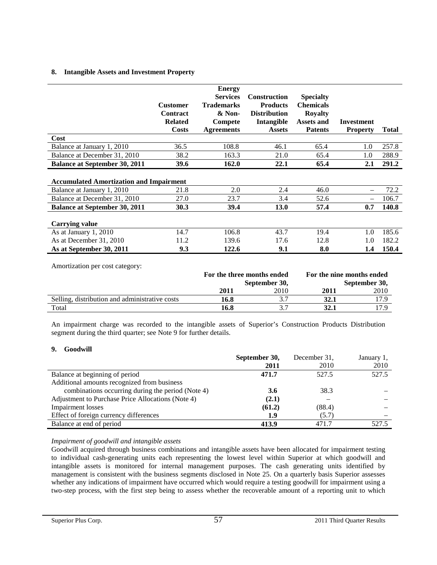## **8. Intangible Assets and Investment Property**

|                                                | <b>Customer</b><br><b>Contract</b><br><b>Related</b><br><b>Costs</b> | <b>Energy</b><br><b>Services</b><br><b>Trademarks</b><br>& Non-<br>Compete<br><b>Agreements</b> | <b>Construction</b><br><b>Products</b><br><b>Distribution</b><br>Intangible<br><b>Assets</b> | <b>Specialty</b><br><b>Chemicals</b><br><b>Royalty</b><br><b>Assets and</b><br><b>Patents</b> | <b>Investment</b><br><b>Property</b> | <b>Total</b> |
|------------------------------------------------|----------------------------------------------------------------------|-------------------------------------------------------------------------------------------------|----------------------------------------------------------------------------------------------|-----------------------------------------------------------------------------------------------|--------------------------------------|--------------|
| Cost                                           |                                                                      |                                                                                                 |                                                                                              |                                                                                               |                                      |              |
| Balance at January 1, 2010                     | 36.5                                                                 | 108.8                                                                                           | 46.1                                                                                         | 65.4                                                                                          | 1.0                                  | 257.8        |
| Balance at December 31, 2010                   | 38.2                                                                 | 163.3                                                                                           | 21.0                                                                                         | 65.4                                                                                          | 1.0                                  | 288.9        |
| <b>Balance at September 30, 2011</b>           | 39.6                                                                 | 162.0                                                                                           | 22.1                                                                                         | 65.4                                                                                          | 2.1                                  | 291.2        |
| <b>Accumulated Amortization and Impairment</b> |                                                                      |                                                                                                 |                                                                                              |                                                                                               |                                      |              |
| Balance at January 1, 2010                     | 21.8                                                                 | 2.0                                                                                             | 2.4                                                                                          | 46.0                                                                                          |                                      | 72.2         |
| Balance at December 31, 2010                   | 27.0                                                                 | 23.7                                                                                            | 3.4                                                                                          | 52.6                                                                                          | $\overline{\phantom{0}}$             | 106.7        |
| <b>Balance at September 30, 2011</b>           | 30.3                                                                 | 39.4                                                                                            | 13.0                                                                                         | 57.4                                                                                          | 0.7                                  | 140.8        |
| <b>Carrying value</b>                          |                                                                      |                                                                                                 |                                                                                              |                                                                                               |                                      |              |
| As at January 1, 2010                          | 14.7                                                                 | 106.8                                                                                           | 43.7                                                                                         | 19.4                                                                                          | 1.0                                  | 185.6        |
| As at December 31, 2010                        | 11.2                                                                 | 139.6                                                                                           | 17.6                                                                                         | 12.8                                                                                          | 1.0                                  | 182.2        |
| As at September 30, 2011                       | 9.3                                                                  | 122.6                                                                                           | 9.1                                                                                          | 8.0                                                                                           | 1.4                                  | 150.4        |

Amortization per cost category:

|                                                | For the three months ended |      | For the nine months ended |               |  |
|------------------------------------------------|----------------------------|------|---------------------------|---------------|--|
|                                                | September 30,              |      |                           | September 30, |  |
|                                                | 2011                       | 2010 | 2011                      | 2010          |  |
| Selling, distribution and administrative costs | 16.8                       |      | 32.1                      | 17.9          |  |
| Total                                          | 16.8                       |      | 32.1                      | 179           |  |

An impairment charge was recorded to the intangible assets of Superior's Construction Products Distribution segment during the third quarter; see Note 9 for further details.

### **9. Goodwill**

|                                                   | September 30, | December 31. | January 1, |
|---------------------------------------------------|---------------|--------------|------------|
|                                                   | 2011          | 2010         | 2010       |
| Balance at beginning of period                    | 471.7         | 527.5        | 527.5      |
| Additional amounts recognized from business       |               |              |            |
| combinations occurring during the period (Note 4) | 3.6           | 38.3         |            |
| Adjustment to Purchase Price Allocations (Note 4) | (2.1)         |              |            |
| <b>Impairment</b> losses                          | (61.2)        | (88.4)       |            |
| Effect of foreign currency differences            | 1.9           | (5.7)        |            |
| Balance at end of period                          | 413.9         | 471.7        | 527.5      |

*Impairment of goodwill and intangible assets* 

Goodwill acquired through business combinations and intangible assets have been allocated for impairment testing to individual cash-generating units each representing the lowest level within Superior at which goodwill and intangible assets is monitored for internal management purposes. The cash generating units identified by management is consistent with the business segments disclosed in Note 25. On a quarterly basis Superior assesses whether any indications of impairment have occurred which would require a testing goodwill for impairment using a two-step process, with the first step being to assess whether the recoverable amount of a reporting unit to which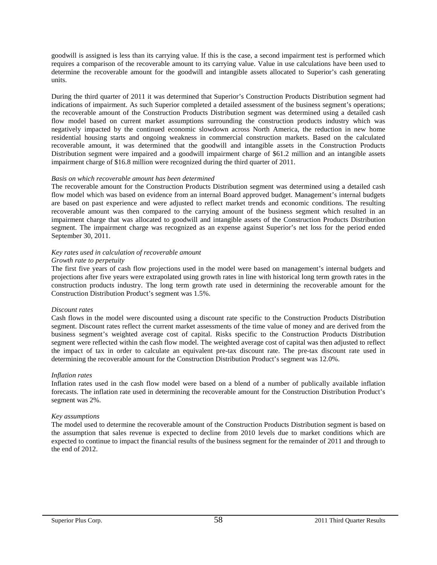goodwill is assigned is less than its carrying value. If this is the case, a second impairment test is performed which requires a comparison of the recoverable amount to its carrying value. Value in use calculations have been used to determine the recoverable amount for the goodwill and intangible assets allocated to Superior's cash generating units.

During the third quarter of 2011 it was determined that Superior's Construction Products Distribution segment had indications of impairment. As such Superior completed a detailed assessment of the business segment's operations; the recoverable amount of the Construction Products Distribution segment was determined using a detailed cash flow model based on current market assumptions surrounding the construction products industry which was negatively impacted by the continued economic slowdown across North America, the reduction in new home residential housing starts and ongoing weakness in commercial construction markets. Based on the calculated recoverable amount, it was determined that the goodwill and intangible assets in the Construction Products Distribution segment were impaired and a goodwill impairment charge of \$61.2 million and an intangible assets impairment charge of \$16.8 million were recognized during the third quarter of 2011.

### *Basis on which recoverable amount has been determined*

The recoverable amount for the Construction Products Distribution segment was determined using a detailed cash flow model which was based on evidence from an internal Board approved budget. Management's internal budgets are based on past experience and were adjusted to reflect market trends and economic conditions. The resulting recoverable amount was then compared to the carrying amount of the business segment which resulted in an impairment charge that was allocated to goodwill and intangible assets of the Construction Products Distribution segment. The impairment charge was recognized as an expense against Superior's net loss for the period ended September 30, 2011.

### *Key rates used in calculation of recoverable amount*

#### *Growth rate to perpetuity*

The first five years of cash flow projections used in the model were based on management's internal budgets and projections after five years were extrapolated using growth rates in line with historical long term growth rates in the construction products industry. The long term growth rate used in determining the recoverable amount for the Construction Distribution Product's segment was 1.5%.

### *Discount rates*

Cash flows in the model were discounted using a discount rate specific to the Construction Products Distribution segment. Discount rates reflect the current market assessments of the time value of money and are derived from the business segment's weighted average cost of capital. Risks specific to the Construction Products Distribution segment were reflected within the cash flow model. The weighted average cost of capital was then adjusted to reflect the impact of tax in order to calculate an equivalent pre-tax discount rate. The pre-tax discount rate used in determining the recoverable amount for the Construction Distribution Product's segment was 12.0%.

#### *Inflation rates*

Inflation rates used in the cash flow model were based on a blend of a number of publically available inflation forecasts. The inflation rate used in determining the recoverable amount for the Construction Distribution Product's segment was 2%.

### *Key assumptions*

The model used to determine the recoverable amount of the Construction Products Distribution segment is based on the assumption that sales revenue is expected to decline from 2010 levels due to market conditions which are expected to continue to impact the financial results of the business segment for the remainder of 2011 and through to the end of 2012.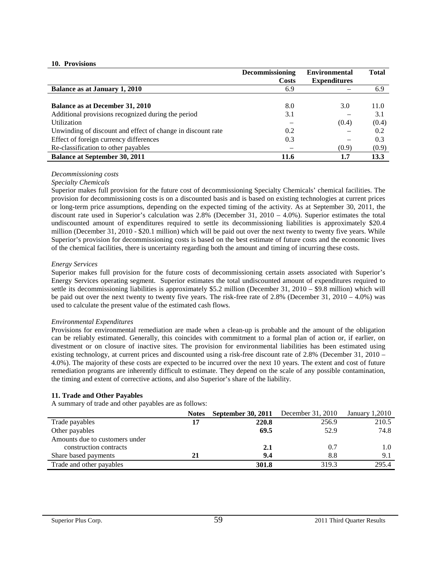#### **10. Provisions**

|                                                             | Decommissioning | <b>Environmental</b> | <b>Total</b> |
|-------------------------------------------------------------|-----------------|----------------------|--------------|
|                                                             | Costs           | <b>Expenditures</b>  |              |
| Balance as at January 1, 2010                               | 6.9             |                      | 6.9          |
|                                                             |                 |                      |              |
| Balance as at December 31, 2010                             | 8.0             | 3.0                  | 11.0         |
| Additional provisions recognized during the period          | 3.1             |                      | 3.1          |
| Utilization                                                 |                 | (0.4)                | (0.4)        |
| Unwinding of discount and effect of change in discount rate | 0.2             |                      | 0.2          |
| Effect of foreign currency differences                      | 0.3             |                      | 0.3          |
| Re-classification to other payables                         |                 | (0.9)                | (0.9)        |
| <b>Balance at September 30, 2011</b>                        | 11.6            | 1.7                  | 13.3         |

### *Decommissioning costs*

### *Specialty Chemicals*

Superior makes full provision for the future cost of decommissioning Specialty Chemicals' chemical facilities. The provision for decommissioning costs is on a discounted basis and is based on existing technologies at current prices or long-term price assumptions, depending on the expected timing of the activity. As at September 30, 2011, the discount rate used in Superior's calculation was 2.8% (December 31, 2010 – 4.0%). Superior estimates the total undiscounted amount of expenditures required to settle its decommissioning liabilities is approximately \$20.4 million (December 31, 2010 - \$20.1 million) which will be paid out over the next twenty to twenty five years. While Superior's provision for decommissioning costs is based on the best estimate of future costs and the economic lives of the chemical facilities, there is uncertainty regarding both the amount and timing of incurring these costs.

#### *Energy Services*

Superior makes full provision for the future costs of decommissioning certain assets associated with Superior's Energy Services operating segment. Superior estimates the total undiscounted amount of expenditures required to settle its decommissioning liabilities is approximately \$5.2 million (December 31, 2010 – \$9.8 million) which will be paid out over the next twenty to twenty five years. The risk-free rate of 2.8% (December 31, 2010 – 4.0%) was used to calculate the present value of the estimated cash flows.

#### *Environmental Expenditures*

Provisions for environmental remediation are made when a clean-up is probable and the amount of the obligation can be reliably estimated. Generally, this coincides with commitment to a formal plan of action or, if earlier, on divestment or on closure of inactive sites. The provision for environmental liabilities has been estimated using existing technology, at current prices and discounted using a risk-free discount rate of 2.8% (December 31, 2010 – 4.0%). The majority of these costs are expected to be incurred over the next 10 years. The extent and cost of future remediation programs are inherently difficult to estimate. They depend on the scale of any possible contamination, the timing and extent of corrective actions, and also Superior's share of the liability.

### **11. Trade and Other Payables**

A summary of trade and other payables are as follows:

|                                | <b>Notes</b> | <b>September 30, 2011</b> | December 31, 2010 | January $1,2010$ |
|--------------------------------|--------------|---------------------------|-------------------|------------------|
| Trade payables                 | 17           | 220.8                     | 256.9             | 210.5            |
| Other payables                 |              | 69.5                      | 52.9              | 74.8             |
| Amounts due to customers under |              |                           |                   |                  |
| construction contracts         |              | 2.1                       | 0.7               | 1.0              |
| Share based payments           | 21           | 9.4                       | 8.8               | 9.1              |
| Trade and other payables       |              | 301.8                     | 319.3             | 295.4            |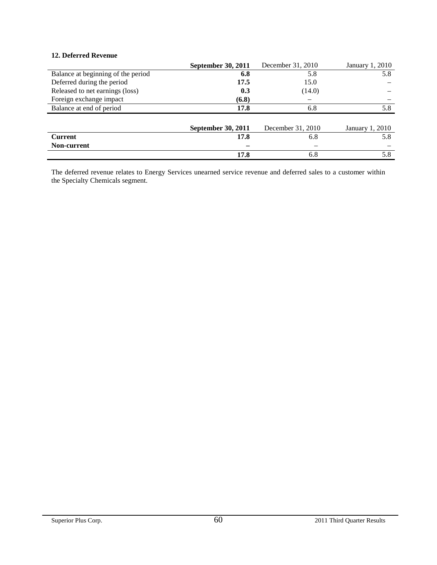## **12. Deferred Revenue**

|                                    | September 30, 2011 | December 31, 2010 | January 1, 2010 |
|------------------------------------|--------------------|-------------------|-----------------|
| Balance at beginning of the period | 6.8                | 5.8               | 5.8             |
| Deferred during the period         | 17.5               | 15.0              |                 |
| Released to net earnings (loss)    | 0.3                | (14.0)            |                 |
| Foreign exchange impact            | (6.8)              |                   |                 |
| Balance at end of period           | 17.8               | 6.8               | 5.8             |
|                                    |                    |                   |                 |
|                                    | September 30, 2011 | December 31, 2010 | January 1, 2010 |
| <b>Current</b>                     | 17.8               | 6.8               | 5.8             |
| Non-current                        |                    |                   |                 |
|                                    | 17.8               | 6.8               | 5.8             |

The deferred revenue relates to Energy Services unearned service revenue and deferred sales to a customer within the Specialty Chemicals segment.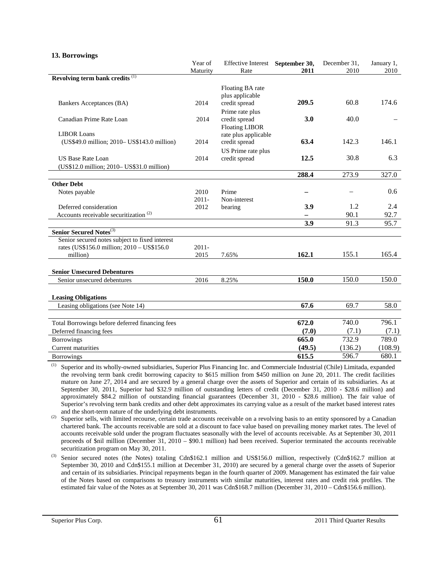#### **13. Borrowings**

|                                                   | Year of  | Effective Interest September 30, |                          | December 31, | January 1, |
|---------------------------------------------------|----------|----------------------------------|--------------------------|--------------|------------|
|                                                   | Maturity | Rate                             | 2011                     | 2010         | 2010       |
| Revolving term bank credits <sup>(1)</sup>        |          |                                  |                          |              |            |
|                                                   |          | Floating BA rate                 |                          |              |            |
|                                                   |          | plus applicable                  |                          |              |            |
| Bankers Acceptances (BA)                          | 2014     | credit spread                    | 209.5                    | 60.8         | 174.6      |
|                                                   |          | Prime rate plus                  |                          |              |            |
| Canadian Prime Rate Loan                          | 2014     | credit spread                    | 3.0                      | 40.0         |            |
|                                                   |          | <b>Floating LIBOR</b>            |                          |              |            |
| <b>LIBOR</b> Loans                                |          | rate plus applicable             |                          |              |            |
| (US\$49.0 million; 2010– US\$143.0 million)       | 2014     | credit spread                    | 63.4                     | 142.3        | 146.1      |
|                                                   |          | US Prime rate plus               |                          |              |            |
| <b>US Base Rate Loan</b>                          | 2014     | credit spread                    | 12.5                     | 30.8         | 6.3        |
| (US\$12.0 million; 2010– US\$31.0 million)        |          |                                  |                          |              |            |
|                                                   |          |                                  | 288.4                    | 273.9        | 327.0      |
| <b>Other Debt</b>                                 |          |                                  |                          |              |            |
| Notes payable                                     | 2010     | Prime                            | $\overline{\phantom{0}}$ |              | 0.6        |
|                                                   | $2011 -$ | Non-interest                     |                          |              |            |
| Deferred consideration                            | 2012     | bearing                          | 3.9                      | 1.2          | 2.4        |
| Accounts receivable securitization <sup>(2)</sup> |          |                                  | —                        | 90.1         | 92.7       |
|                                                   |          |                                  | 3.9                      | 91.3         | 95.7       |
| Senior Secured Notes <sup>(3)</sup>               |          |                                  |                          |              |            |
| Senior secured notes subject to fixed interest    |          |                                  |                          |              |            |
| rates (US\$156.0 million; 2010 - US\$156.0        | $2011 -$ |                                  |                          |              |            |
| million)                                          | 2015     | 7.65%                            | 162.1                    | 155.1        | 165.4      |
|                                                   |          |                                  |                          |              |            |
| <b>Senior Unsecured Debentures</b>                |          |                                  |                          |              |            |
| Senior unsecured debentures                       | 2016     | 8.25%                            | 150.0                    | 150.0        | 150.0      |
|                                                   |          |                                  |                          |              |            |
| <b>Leasing Obligations</b>                        |          |                                  |                          |              |            |
| Leasing obligations (see Note 14)                 |          |                                  | 67.6                     | 69.7         | 58.0       |
|                                                   |          |                                  |                          |              |            |
| Total Borrowings before deferred financing fees   |          |                                  | 672.0                    | 740.0        | 796.1      |
| Deferred financing fees                           |          |                                  | (7.0)                    | (7.1)        | (7.1)      |
| Borrowings                                        |          |                                  | 665.0                    | 732.9        | 789.0      |
| Current maturities                                |          |                                  | (49.5)                   | (136.2)      | (108.9)    |
| <b>Borrowings</b>                                 |          |                                  | 615.5                    | 596.7        | 680.1      |

(1) Superior and its wholly-owned subsidiaries, Superior Plus Financing Inc. and Commerciale Industrial (Chile) Limitada, expanded the revolving term bank credit borrowing capacity to \$615 million from \$450 million on June 20, 2011. The credit facilities mature on June 27, 2014 and are secured by a general charge over the assets of Superior and certain of its subsidiaries. As at September 30, 2011, Superior had \$32.9 million of outstanding letters of credit (December 31, 2010 - \$28.6 million) and approximately \$84.2 million of outstanding financial guarantees (December 31, 2010 - \$28.6 million). The fair value of Superior's revolving term bank credits and other debt approximates its carrying value as a result of the market based interest rates and the short-term nature of the underlying debt instruments.

<sup>(2)</sup> Superior sells, with limited recourse, certain trade accounts receivable on a revolving basis to an entity sponsored by a Canadian chartered bank. The accounts receivable are sold at a discount to face value based on prevailing money market rates. The level of accounts receivable sold under the program fluctuates seasonally with the level of accounts receivable. As at September 30, 2011 proceeds of \$nil million (December 31, 2010 – \$90.1 million) had been received. Superior terminated the accounts receivable securitization program on May 30, 2011.

(3) Senior secured notes (the Notes) totaling Cdn\$162.1 million and US\$156.0 million, respectively (Cdn\$162.7 million at September 30, 2010 and Cdn\$155.1 million at December 31, 2010) are secured by a general charge over the assets of Superior and certain of its subsidiaries. Principal repayments began in the fourth quarter of 2009. Management has estimated the fair value of the Notes based on comparisons to treasury instruments with similar maturities, interest rates and credit risk profiles. The estimated fair value of the Notes as at September 30, 2011 was Cdn\$168.7 million (December 31, 2010 – Cdn\$156.6 million).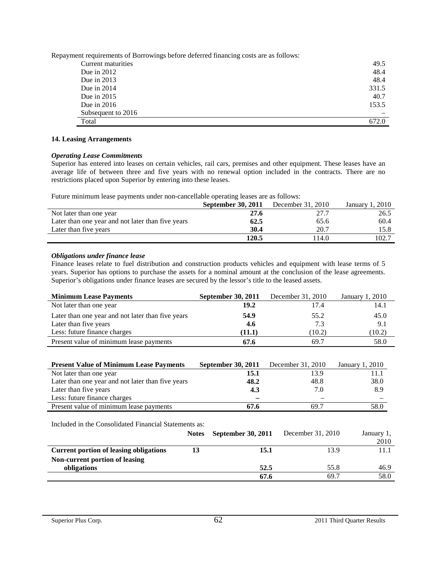Repayment requirements of Borrowings before deferred financing costs are as follows:

|                    | ັ | ັ |       |
|--------------------|---|---|-------|
| Current maturities |   |   | 49.5  |
| Due in $2012$      |   |   | 48.4  |
| Due in $2013$      |   |   | 48.4  |
| Due in $2014$      |   |   | 331.5 |
| Due in $2015$      |   |   | 40.7  |
| Due in $2016$      |   |   | 153.5 |
| Subsequent to 2016 |   |   |       |
| Total              |   |   | 672.0 |

#### **14. Leasing Arrangements**

### *Operating Lease Commitments*

Superior has entered into leases on certain vehicles, rail cars, premises and other equipment. These leases have an average life of between three and five years with no renewal option included in the contracts. There are no restrictions placed upon Superior by entering into these leases.

Future minimum lease payments under non-cancellable operating leases are as follows:

|                                                   | <b>September 30, 2011</b> | December 31, 2010 | January 1, 2010 |
|---------------------------------------------------|---------------------------|-------------------|-----------------|
| Not later than one year                           | 27.6                      | 27.7              | 26.5            |
| Later than one year and not later than five years | 62.5                      | 65.6              | 60.4            |
| Later than five years                             | 30.4                      | 20.7              | 15.8            |
|                                                   | 120.5                     | 114.0             | 102.7           |

## *Obligations under finance lease*

Finance leases relate to fuel distribution and construction products vehicles and equipment with lease terms of 5 years. Superior has options to purchase the assets for a nominal amount at the conclusion of the lease agreements. Superior's obligations under finance leases are secured by the lessor's title to the leased assets.

| <b>Minimum Lease Payments</b>                     | September 30, 2011 | December 31, 2010 | January 1, 2010 |
|---------------------------------------------------|--------------------|-------------------|-----------------|
| Not later than one year                           | 19.2               | 17.4              | 14.1            |
| Later than one year and not later than five years | 54.9               | 55.2              | 45.0            |
| Later than five years                             | 4.6                | 7.3               | 9.1             |
| Less: future finance charges                      | (11.1)             | (10.2)            | (10.2)          |
| Present value of minimum lease payments           | 67.6               | 69.7              | 58.0            |

| <b>Present Value of Minimum Lease Payments</b>    | <b>September 30, 2011</b> | December 31, 2010 | January 1, 2010 |
|---------------------------------------------------|---------------------------|-------------------|-----------------|
| Not later than one year                           | 15.1                      | 13.9              | 11.1            |
| Later than one year and not later than five years | 48.2                      | 48.8              | 38.0            |
| Later than five years                             | 4.3                       | 7.0               | 8.9             |
| Less: future finance charges                      |                           |                   |                 |
| Present value of minimum lease payments           | 67.6                      | 69.7              | 58.0            |

Included in the Consolidated Financial Statements as:

|                                               | <b>Notes</b> | <b>September 30, 2011</b> | December 31, 2010 | January 1, |
|-----------------------------------------------|--------------|---------------------------|-------------------|------------|
|                                               |              |                           |                   | 2010       |
| <b>Current portion of leasing obligations</b> |              | 15.1                      | 13.9              |            |
| Non-current portion of leasing                |              |                           |                   |            |
| obligations                                   |              | 52.5                      | 55.8              | 46.9       |
|                                               |              | 67.6                      | 69.7              | 58.0       |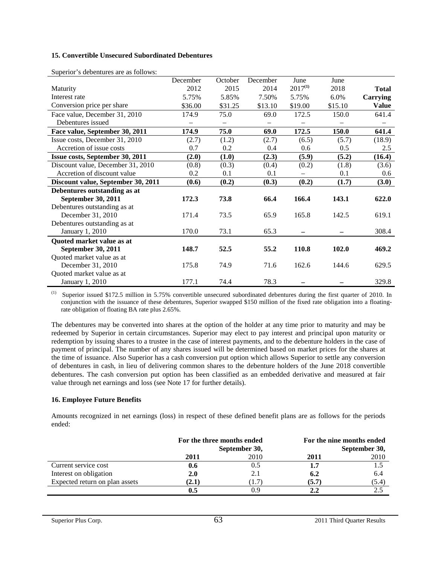### **15. Convertible Unsecured Subordinated Debentures**

| superior s'aepentures are as ronows. |          |         |          |              |         |                 |
|--------------------------------------|----------|---------|----------|--------------|---------|-----------------|
|                                      | December | October | December | June         | June    |                 |
| Maturity                             | 2012     | 2015    | 2014     | $2017^{(1)}$ | 2018    | <b>Total</b>    |
| Interest rate                        | 5.75%    | 5.85%   | 7.50%    | 5.75%        | 6.0%    | <b>Carrying</b> |
| Conversion price per share           | \$36.00  | \$31.25 | \$13.10  | \$19.00      | \$15.10 | <b>Value</b>    |
| Face value, December 31, 2010        | 174.9    | 75.0    | 69.0     | 172.5        | 150.0   | 641.4           |
| Debentures issued                    |          |         |          |              |         |                 |
| Face value, September 30, 2011       | 174.9    | 75.0    | 69.0     | 172.5        | 150.0   | 641.4           |
| Issue costs, December 31, 2010       | (2.7)    | (1.2)   | (2.7)    | (6.5)        | (5.7)   | (18.9)          |
| Accretion of issue costs             | 0.7      | 0.2     | 0.4      | 0.6          | 0.5     | 2.5             |
| Issue costs, September 30, 2011      | (2.0)    | (1.0)   | (2.3)    | (5.9)        | (5.2)   | (16.4)          |
| Discount value, December 31, 2010    | (0.8)    | (0.3)   | (0.4)    | (0.2)        | (1.8)   | (3.6)           |
| Accretion of discount value          | 0.2      | 0.1     | 0.1      |              | 0.1     | 0.6             |
| Discount value, September 30, 2011   | (0.6)    | (0.2)   | (0.3)    | (0.2)        | (1.7)   | (3.0)           |
| Debentures outstanding as at         |          |         |          |              |         |                 |
| September 30, 2011                   | 172.3    | 73.8    | 66.4     | 166.4        | 143.1   | 622.0           |
| Debentures outstanding as at         |          |         |          |              |         |                 |
| December 31, 2010                    | 171.4    | 73.5    | 65.9     | 165.8        | 142.5   | 619.1           |
| Debentures outstanding as at         |          |         |          |              |         |                 |
| January 1, 2010                      | 170.0    | 73.1    | 65.3     |              |         | 308.4           |
| Quoted market value as at            |          |         |          |              |         |                 |
| September 30, 2011                   | 148.7    | 52.5    | 55.2     | 110.8        | 102.0   | 469.2           |
| Quoted market value as at            |          |         |          |              |         |                 |
| December 31, 2010                    | 175.8    | 74.9    | 71.6     | 162.6        | 144.6   | 629.5           |
| Quoted market value as at            |          |         |          |              |         |                 |
| January 1, 2010                      | 177.1    | 74.4    | 78.3     |              |         | 329.8           |

Superior's debentures are as follows:

(1) Superior issued \$172.5 million in 5.75% convertible unsecured subordinated debentures during the first quarter of 2010. In conjunction with the issuance of these debentures, Superior swapped \$150 million of the fixed rate obligation into a floatingrate obligation of floating BA rate plus 2.65%.

The debentures may be converted into shares at the option of the holder at any time prior to maturity and may be redeemed by Superior in certain circumstances. Superior may elect to pay interest and principal upon maturity or redemption by issuing shares to a trustee in the case of interest payments, and to the debenture holders in the case of payment of principal. The number of any shares issued will be determined based on market prices for the shares at the time of issuance. Also Superior has a cash conversion put option which allows Superior to settle any conversion of debentures in cash, in lieu of delivering common shares to the debenture holders of the June 2018 convertible debentures. The cash conversion put option has been classified as an embedded derivative and measured at fair value through net earnings and loss (see Note 17 for further details).

### **16. Employee Future Benefits**

Amounts recognized in net earnings (loss) in respect of these defined benefit plans are as follows for the periods ended:

|                                | For the three months ended<br>September 30, |       | For the nine months ended<br>September 30, |       |  |
|--------------------------------|---------------------------------------------|-------|--------------------------------------------|-------|--|
|                                | 2011                                        | 2010  | 2011                                       | 2010  |  |
| Current service cost           | 0.6                                         |       | 1.7                                        |       |  |
| Interest on obligation         | 2.0                                         | 2.1   | 6.2                                        | 6.4   |  |
| Expected return on plan assets | (2.1)                                       | (1.7) | (5.7)                                      | (5.4) |  |
|                                |                                             |       | 2.2                                        |       |  |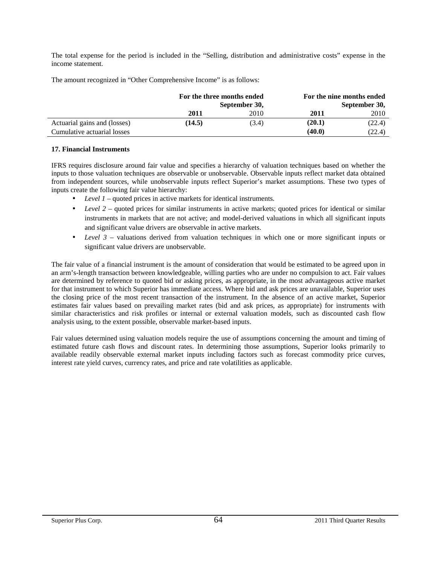The total expense for the period is included in the "Selling, distribution and administrative costs" expense in the income statement.

The amount recognized in "Other Comprehensive Income" is as follows:

|                              | For the three months ended |       | For the nine months ended |               |  |
|------------------------------|----------------------------|-------|---------------------------|---------------|--|
|                              | September 30,              |       |                           | September 30, |  |
|                              | 2011                       | 2010  | 2011                      | 2010          |  |
| Actuarial gains and (losses) | (14.5)                     | (3.4) | (20.1)                    | (22.4)        |  |
| Cumulative actuarial losses  |                            |       | (40.0)                    | (22.4)        |  |

## **17. Financial Instruments**

IFRS requires disclosure around fair value and specifies a hierarchy of valuation techniques based on whether the inputs to those valuation techniques are observable or unobservable. Observable inputs reflect market data obtained from independent sources, while unobservable inputs reflect Superior's market assumptions. These two types of inputs create the following fair value hierarchy:

- *Level 1* quoted prices in active markets for identical instruments.
- *Level 2* quoted prices for similar instruments in active markets; quoted prices for identical or similar instruments in markets that are not active; and model-derived valuations in which all significant inputs and significant value drivers are observable in active markets.
- *Level 3* valuations derived from valuation techniques in which one or more significant inputs or significant value drivers are unobservable.

The fair value of a financial instrument is the amount of consideration that would be estimated to be agreed upon in an arm's-length transaction between knowledgeable, willing parties who are under no compulsion to act. Fair values are determined by reference to quoted bid or asking prices, as appropriate, in the most advantageous active market for that instrument to which Superior has immediate access. Where bid and ask prices are unavailable, Superior uses the closing price of the most recent transaction of the instrument. In the absence of an active market, Superior estimates fair values based on prevailing market rates (bid and ask prices, as appropriate) for instruments with similar characteristics and risk profiles or internal or external valuation models, such as discounted cash flow analysis using, to the extent possible, observable market-based inputs.

Fair values determined using valuation models require the use of assumptions concerning the amount and timing of estimated future cash flows and discount rates. In determining those assumptions, Superior looks primarily to available readily observable external market inputs including factors such as forecast commodity price curves, interest rate yield curves, currency rates, and price and rate volatilities as applicable.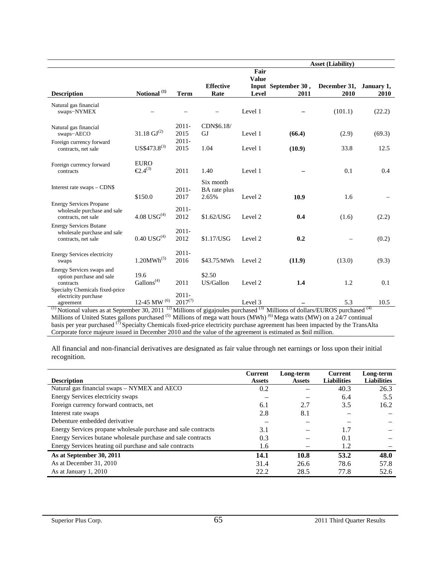| <b>Asset (Liability)</b>                                                                              |                                              |                          |                                    |                                     |                     |                              |             |
|-------------------------------------------------------------------------------------------------------|----------------------------------------------|--------------------------|------------------------------------|-------------------------------------|---------------------|------------------------------|-------------|
|                                                                                                       |                                              |                          |                                    | Fair                                |                     |                              |             |
|                                                                                                       |                                              |                          |                                    | <b>Value</b>                        |                     |                              |             |
|                                                                                                       |                                              |                          | <b>Effective</b>                   |                                     | Input September 30, | December 31,                 | January 1,  |
| <b>Description</b>                                                                                    | Notional <sup>(1)</sup>                      | <b>Term</b>              | Rate                               | Level                               | 2011                | 2010                         | 2010        |
| Natural gas financial<br>swaps-NYMEX                                                                  |                                              |                          |                                    | Level 1                             |                     | (101.1)                      | (22.2)      |
| Natural gas financial<br>swaps-AECO                                                                   | $31.18 \text{ GJ}^{(2)}$                     | $2011 -$<br>2015         | CDN\$6.18/<br>GJ                   | Level 1                             | (66.4)              | (2.9)                        | (69.3)      |
| Foreign currency forward<br>contracts, net sale                                                       | $US$473.8^{(3)}$                             | $2011 -$<br>2015         | 1.04                               | Level 1                             | (10.9)              | 33.8                         | 12.5        |
|                                                                                                       |                                              |                          |                                    |                                     |                     |                              |             |
| Foreign currency forward<br>contracts                                                                 | <b>EURO</b><br>€2.4 <sup>3)</sup>            | 2011                     | 1.40                               | Level 1                             |                     | 0.1                          | 0.4         |
| Interest rate swaps - CDN\$                                                                           | \$150.0                                      | $2011 -$<br>2017         | Six month<br>BA rate plus<br>2.65% | Level 2                             | 10.9                | 1.6                          |             |
| <b>Energy Services Propane</b><br>wholesale purchase and sale<br>contracts, net sale                  | $4.08$ USG <sup>(4)</sup>                    | $2011 -$<br>2012         | \$1.62/USG                         | Level 2                             | 0.4                 | (1.6)                        | (2.2)       |
| <b>Energy Services Butane</b><br>wholesale purchase and sale<br>contracts, net sale                   | $0.40$ USG <sup>(4)</sup>                    | $2011 -$<br>2012         | \$1.17/USG                         | Level 2                             | 0.2                 |                              | (0.2)       |
| <b>Energy Services electricity</b><br>swaps                                                           | $1.20MWh^{(5)}$                              | $2011 -$<br>2016         | \$43.75/MWh                        | Level 2                             | (11.9)              | (13.0)                       | (9.3)       |
| Energy Services swaps and<br>option purchase and sale<br>contracts<br>Specialty Chemicals fixed-price | 19.6<br>Gallons <sup>(4)</sup>               | 2011                     | \$2.50<br>US/Gallon                | Level 2                             | 1.4                 | 1.2                          | 0.1         |
| electricity purchase<br>agreement<br>(1)<br>$\mathbf{u}$<br>$\sim$                                    | $12-45$ MW <sup>(6)</sup><br>$\sim$<br>0.011 | $2011 -$<br>$2017^{(7)}$ | $\cdot$ $\cdot$ $\cdot$            | Level 3<br>$1(3)$ $\lambda$ $f(11)$ | 0.1.11              | 5.3<br>TIDOA<br>$\mathbf{u}$ | 10.5<br>(4) |

(1) Notional values as at September 30, 2011 <sup>(2)</sup> Millions of gigajoules purchased <sup>(3)</sup> Millions of dollars/EUROS purchased <sup>(4)</sup> Millions of United States gallons purchased  $^{(5)}$  Millions of mega watt hours (MWh)  $^{(6)}$ Mega watts (MW) on a 24/7 continual basis per year purchased <sup>(7)</sup> Specialty Chemicals fixed-price electricity purchase agreement has been impacted by the TransAlta Corporate force majeure issued in December 2010 and the value of the agreement is estimated as \$nil million.

All financial and non-financial derivatives are designated as fair value through net earnings or loss upon their initial recognition.

| <b>Description</b>                                            | <b>Current</b><br><b>Assets</b> | Long-term<br><b>Assets</b> | Current<br><b>Liabilities</b> | Long-term<br><b>Liabilities</b> |
|---------------------------------------------------------------|---------------------------------|----------------------------|-------------------------------|---------------------------------|
| Natural gas financial swaps - NYMEX and AECO                  | 0.2                             |                            | 40.3                          | 26.3                            |
| Energy Services electricity swaps                             |                                 |                            | 6.4                           | 5.5                             |
| Foreign currency forward contracts, net                       | 6.1                             | 2.7                        | 3.5                           | 16.2                            |
| Interest rate swaps                                           | 2.8                             | 8.1                        |                               |                                 |
| Debenture embedded derivative                                 |                                 |                            |                               |                                 |
| Energy Services propane wholesale purchase and sale contracts | 3.1                             |                            | 1.7                           |                                 |
| Energy Services butane wholesale purchase and sale contracts  | 0.3                             |                            | 0.1                           |                                 |
| Energy Services heating oil purchase and sale contracts       | 1.6                             |                            | 1.2                           |                                 |
| As at September 30, 2011                                      | 14.1                            | 10.8                       | 53.2                          | 48.0                            |
| As at December 31, 2010                                       | 31.4                            | 26.6                       | 78.6                          | 57.8                            |
| As at January 1, 2010                                         | 22.2                            | 28.5                       | 77.8                          | 52.6                            |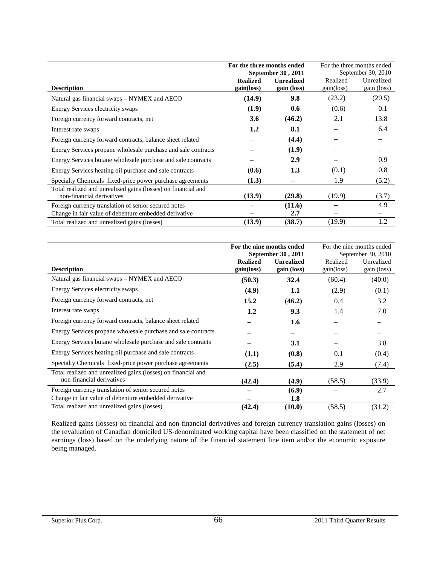|                                                                                            | For the three months ended<br><b>September 30, 2011</b> |                                  | For the three months ended<br>September 30, 2010 |                           |
|--------------------------------------------------------------------------------------------|---------------------------------------------------------|----------------------------------|--------------------------------------------------|---------------------------|
| <b>Description</b>                                                                         | <b>Realized</b><br>gain(loss)                           | <b>Unrealized</b><br>gain (loss) | Realized<br>gain(loss)                           | Unrealized<br>gain (loss) |
| Natural gas financial swaps – NYMEX and AECO                                               | (14.9)                                                  | 9.8                              | (23.2)                                           | (20.5)                    |
| Energy Services electricity swaps                                                          | (1.9)                                                   | 0.6                              | (0.6)                                            | 0.1                       |
| Foreign currency forward contracts, net                                                    | 3.6                                                     | (46.2)                           | 2.1                                              | 13.8                      |
| Interest rate swaps                                                                        | 1.2                                                     | 8.1                              |                                                  | 6.4                       |
| Foreign currency forward contracts, balance sheet related                                  |                                                         | (4.4)                            |                                                  |                           |
| Energy Services propane wholesale purchase and sale contracts                              |                                                         | (1.9)                            |                                                  |                           |
| Energy Services butane wholesale purchase and sale contracts                               |                                                         | 2.9                              |                                                  | 0.9                       |
| Energy Services heating oil purchase and sale contracts                                    | (0.6)                                                   | 1.3                              | (0.1)                                            | 0.8                       |
| Specialty Chemicals fixed-price power purchase agreements                                  | (1.3)                                                   |                                  | 1.9                                              | (5.2)                     |
| Total realized and unrealized gains (losses) on financial and<br>non-financial derivatives | (13.9)                                                  | (29.8)                           | (19.9)                                           | (3.7)                     |
| Foreign currency translation of senior secured notes                                       |                                                         | (11.6)                           |                                                  | 4.9                       |
| Change in fair value of debenture embedded derivative                                      |                                                         | 2.7                              |                                                  |                           |
| Total realized and unrealized gains (losses)                                               | (13.9)                                                  | (38.7)                           | (19.9)                                           | 1.2                       |

|                                                               | For the nine months ended<br>September 30, 2011 |                                  | For the nine months ended<br>September 30, 2010 |                           |
|---------------------------------------------------------------|-------------------------------------------------|----------------------------------|-------------------------------------------------|---------------------------|
| <b>Description</b>                                            | <b>Realized</b><br>gain(loss)                   | <b>Unrealized</b><br>gain (loss) | Realized<br>gain(loss)                          | Unrealized<br>gain (loss) |
| Natural gas financial swaps – NYMEX and AECO                  | (50.3)                                          | 32.4                             | (60.4)                                          | (40.0)                    |
| Energy Services electricity swaps                             | (4.9)                                           | 1.1                              | (2.9)                                           | (0.1)                     |
| Foreign currency forward contracts, net                       | 15.2                                            | (46.2)                           | 0.4                                             | 3.2                       |
| Interest rate swaps                                           | 1.2                                             | 9.3                              | 1.4                                             | 7.0                       |
| Foreign currency forward contracts, balance sheet related     |                                                 | 1.6                              |                                                 |                           |
| Energy Services propane wholesale purchase and sale contracts |                                                 | -                                |                                                 |                           |
| Energy Services butane wholesale purchase and sale contracts  |                                                 | 3.1                              |                                                 | 3.8                       |
| Energy Services heating oil purchase and sale contracts       | (1.1)                                           | (0.8)                            | 0.1                                             | (0.4)                     |
| Specialty Chemicals fixed-price power purchase agreements     | (2.5)                                           | (5.4)                            | 2.9                                             | (7.4)                     |
| Total realized and unrealized gains (losses) on financial and |                                                 |                                  |                                                 |                           |
| non-financial derivatives                                     | (42.4)                                          | (4.9)                            | (58.5)                                          | (33.9)                    |
| Foreign currency translation of senior secured notes          |                                                 | (6.9)                            |                                                 | 2.7                       |
| Change in fair value of debenture embedded derivative         |                                                 | 1.8                              |                                                 |                           |
| Total realized and unrealized gains (losses)                  | (42.4)                                          | (10.0)                           | (58.5)                                          | (31.2)                    |

Realized gains (losses) on financial and non-financial derivatives and foreign currency translation gains (losses) on the revaluation of Canadian domiciled US-denominated working capital have been classified on the statement of net earnings (loss) based on the underlying nature of the financial statement line item and/or the economic exposure being managed.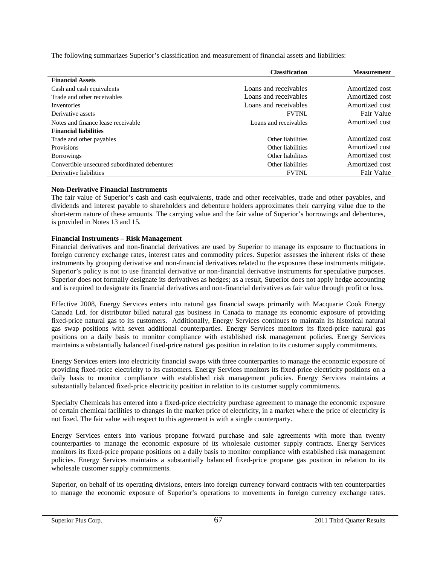The following summarizes Superior's classification and measurement of financial assets and liabilities:

|                                               | <b>Classification</b> | <b>Measurement</b> |
|-----------------------------------------------|-----------------------|--------------------|
| <b>Financial Assets</b>                       |                       |                    |
| Cash and cash equivalents                     | Loans and receivables | Amortized cost     |
| Trade and other receivables                   | Loans and receivables | Amortized cost     |
| Inventories                                   | Loans and receivables | Amortized cost     |
| Derivative assets                             | <b>FVTNL</b>          | Fair Value         |
| Notes and finance lease receivable            | Loans and receivables | Amortized cost     |
| <b>Financial liabilities</b>                  |                       |                    |
| Trade and other payables                      | Other liabilities     | Amortized cost     |
| Provisions                                    | Other liabilities     | Amortized cost     |
| <b>Borrowings</b>                             | Other liabilities     | Amortized cost     |
| Convertible unsecured subordinated debentures | Other liabilities     | Amortized cost     |
| Derivative liabilities                        | <b>FVTNL</b>          | Fair Value         |
|                                               |                       |                    |

## **Non-Derivative Financial Instruments**

The fair value of Superior's cash and cash equivalents, trade and other receivables, trade and other payables, and dividends and interest payable to shareholders and debenture holders approximates their carrying value due to the short-term nature of these amounts. The carrying value and the fair value of Superior's borrowings and debentures, is provided in Notes 13 and 15.

## **Financial Instruments – Risk Management**

Financial derivatives and non-financial derivatives are used by Superior to manage its exposure to fluctuations in foreign currency exchange rates, interest rates and commodity prices. Superior assesses the inherent risks of these instruments by grouping derivative and non-financial derivatives related to the exposures these instruments mitigate. Superior's policy is not to use financial derivative or non-financial derivative instruments for speculative purposes. Superior does not formally designate its derivatives as hedges; as a result, Superior does not apply hedge accounting and is required to designate its financial derivatives and non-financial derivatives as fair value through profit or loss.

Effective 2008, Energy Services enters into natural gas financial swaps primarily with Macquarie Cook Energy Canada Ltd. for distributor billed natural gas business in Canada to manage its economic exposure of providing fixed-price natural gas to its customers. Additionally, Energy Services continues to maintain its historical natural gas swap positions with seven additional counterparties. Energy Services monitors its fixed-price natural gas positions on a daily basis to monitor compliance with established risk management policies. Energy Services maintains a substantially balanced fixed-price natural gas position in relation to its customer supply commitments.

Energy Services enters into electricity financial swaps with three counterparties to manage the economic exposure of providing fixed-price electricity to its customers. Energy Services monitors its fixed-price electricity positions on a daily basis to monitor compliance with established risk management policies. Energy Services maintains a substantially balanced fixed-price electricity position in relation to its customer supply commitments.

Specialty Chemicals has entered into a fixed-price electricity purchase agreement to manage the economic exposure of certain chemical facilities to changes in the market price of electricity, in a market where the price of electricity is not fixed. The fair value with respect to this agreement is with a single counterparty.

Energy Services enters into various propane forward purchase and sale agreements with more than twenty counterparties to manage the economic exposure of its wholesale customer supply contracts. Energy Services monitors its fixed-price propane positions on a daily basis to monitor compliance with established risk management policies. Energy Services maintains a substantially balanced fixed-price propane gas position in relation to its wholesale customer supply commitments.

Superior, on behalf of its operating divisions, enters into foreign currency forward contracts with ten counterparties to manage the economic exposure of Superior's operations to movements in foreign currency exchange rates.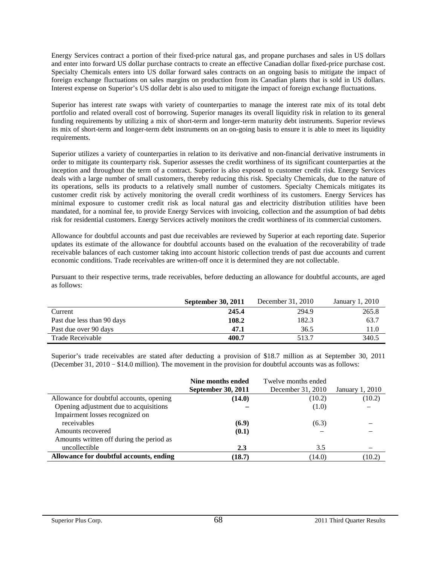Energy Services contract a portion of their fixed-price natural gas, and propane purchases and sales in US dollars and enter into forward US dollar purchase contracts to create an effective Canadian dollar fixed-price purchase cost. Specialty Chemicals enters into US dollar forward sales contracts on an ongoing basis to mitigate the impact of foreign exchange fluctuations on sales margins on production from its Canadian plants that is sold in US dollars. Interest expense on Superior's US dollar debt is also used to mitigate the impact of foreign exchange fluctuations.

Superior has interest rate swaps with variety of counterparties to manage the interest rate mix of its total debt portfolio and related overall cost of borrowing. Superior manages its overall liquidity risk in relation to its general funding requirements by utilizing a mix of short-term and longer-term maturity debt instruments. Superior reviews its mix of short-term and longer-term debt instruments on an on-going basis to ensure it is able to meet its liquidity requirements.

Superior utilizes a variety of counterparties in relation to its derivative and non-financial derivative instruments in order to mitigate its counterparty risk. Superior assesses the credit worthiness of its significant counterparties at the inception and throughout the term of a contract. Superior is also exposed to customer credit risk. Energy Services deals with a large number of small customers, thereby reducing this risk. Specialty Chemicals, due to the nature of its operations, sells its products to a relatively small number of customers. Specialty Chemicals mitigates its customer credit risk by actively monitoring the overall credit worthiness of its customers. Energy Services has minimal exposure to customer credit risk as local natural gas and electricity distribution utilities have been mandated, for a nominal fee, to provide Energy Services with invoicing, collection and the assumption of bad debts risk for residential customers. Energy Services actively monitors the credit worthiness of its commercial customers.

Allowance for doubtful accounts and past due receivables are reviewed by Superior at each reporting date. Superior updates its estimate of the allowance for doubtful accounts based on the evaluation of the recoverability of trade receivable balances of each customer taking into account historic collection trends of past due accounts and current economic conditions. Trade receivables are written-off once it is determined they are not collectable.

Pursuant to their respective terms, trade receivables, before deducting an allowance for doubtful accounts, are aged as follows:

|                            | September 30, 2011 | December 31, 2010 | January 1, 2010 |
|----------------------------|--------------------|-------------------|-----------------|
| Current                    | 245.4              | 294.9             | 265.8           |
| Past due less than 90 days | 108.2              | 182.3             | 63.7            |
| Past due over 90 days      | 47.1               | 36.5              | 11.0            |
| Trade Receivable           | 400.7              | 513.7             | 340.5           |

Superior's trade receivables are stated after deducting a provision of \$18.7 million as at September 30, 2011 (December 31, 2010 − \$14.0 million). The movement in the provision for doubtful accounts was as follows:

|                                          | Nine months ended         | Twelve months ended |                 |
|------------------------------------------|---------------------------|---------------------|-----------------|
|                                          | <b>September 30, 2011</b> | December 31, 2010   | January 1, 2010 |
| Allowance for doubtful accounts, opening | (14.0)                    | (10.2)              | (10.2)          |
| Opening adjustment due to acquisitions   |                           | (1.0)               |                 |
| Impairment losses recognized on          |                           |                     |                 |
| receivables                              | (6.9)                     | (6.3)               |                 |
| Amounts recovered                        | (0.1)                     |                     |                 |
| Amounts written off during the period as |                           |                     |                 |
| uncollectible                            | 2.3                       | 3.5                 |                 |
| Allowance for doubtful accounts, ending  | (18.7)                    | (14.0)              | (10.2)          |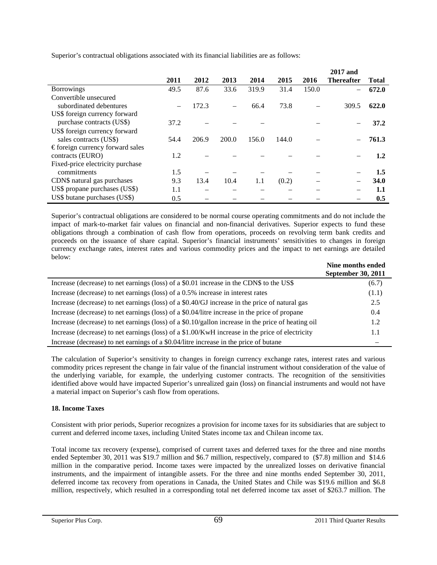|                                           |      |       |       |       |       |       | 2017 and   |         |
|-------------------------------------------|------|-------|-------|-------|-------|-------|------------|---------|
|                                           | 2011 | 2012  | 2013  | 2014  | 2015  | 2016  | Thereafter | Total   |
| <b>Borrowings</b>                         | 49.5 | 87.6  | 33.6  | 319.9 | 31.4  | 150.0 |            | 672.0   |
| Convertible unsecured                     |      |       |       |       |       |       |            |         |
| subordinated debentures                   |      | 172.3 |       | 66.4  | 73.8  |       | 309.5      | 622.0   |
| US\$ foreign currency forward             |      |       |       |       |       |       |            |         |
| purchase contracts (US\$)                 | 37.2 |       |       |       |       |       |            | 37.2    |
| US\$ foreign currency forward             |      |       |       |       |       |       |            |         |
| sales contracts (US\$)                    | 54.4 | 206.9 | 200.0 | 156.0 | 144.0 |       |            | 761.3   |
| $\epsilon$ foreign currency forward sales |      |       |       |       |       |       |            |         |
| contracts (EURO)                          | 1.2  |       |       |       |       |       |            | $1.2\,$ |
| Fixed-price electricity purchase          |      |       |       |       |       |       |            |         |
| commitments                               | 1.5  |       |       |       |       |       |            | 1.5     |
| CDN\$ natural gas purchases               | 9.3  | 13.4  | 10.4  | 1.1   | (0.2) |       |            | 34.0    |
| US\$ propane purchases (US\$)             | 1.1  |       |       |       |       |       |            | 1.1     |
| US\$ butane purchases (US\$)              | 0.5  |       |       |       |       |       |            | 0.5     |

Superior's contractual obligations associated with its financial liabilities are as follows:

Superior's contractual obligations are considered to be normal course operating commitments and do not include the impact of mark-to-market fair values on financial and non-financial derivatives. Superior expects to fund these obligations through a combination of cash flow from operations, proceeds on revolving term bank credits and proceeds on the issuance of share capital. Superior's financial instruments' sensitivities to changes in foreign currency exchange rates, interest rates and various commodity prices and the impact to net earnings are detailed below:

|                                                                                                    | Nine months ended<br><b>September 30, 2011</b> |
|----------------------------------------------------------------------------------------------------|------------------------------------------------|
| Increase (decrease) to net earnings (loss) of a \$0.01 increase in the CDN\$ to the US\$           | (6.7)                                          |
| Increase (decrease) to net earnings (loss) of a 0.5% increase in interest rates                    | (1.1)                                          |
| Increase (decrease) to net earnings (loss) of a \$0.40/GJ increase in the price of natural gas     | 2.5                                            |
| Increase (decrease) to net earnings (loss) of a \$0.04/litre increase in the price of propane      | $0.4^{\circ}$                                  |
| Increase (decrease) to net earnings (loss) of a \$0.10/gallon increase in the price of heating oil | 1.2                                            |
| Increase (decrease) to net earnings (loss) of a \$1.00/KwH increase in the price of electricity    | 1.1                                            |
| Increase (decrease) to net earnings of a \$0.04/litre increase in the price of butane              |                                                |

The calculation of Superior's sensitivity to changes in foreign currency exchange rates, interest rates and various commodity prices represent the change in fair value of the financial instrument without consideration of the value of the underlying variable, for example, the underlying customer contracts. The recognition of the sensitivities identified above would have impacted Superior's unrealized gain (loss) on financial instruments and would not have a material impact on Superior's cash flow from operations.

## **18. Income Taxes**

Consistent with prior periods, Superior recognizes a provision for income taxes for its subsidiaries that are subject to current and deferred income taxes, including United States income tax and Chilean income tax.

Total income tax recovery (expense), comprised of current taxes and deferred taxes for the three and nine months ended September 30, 2011 was \$19.7 million and \$6.7 million, respectively, compared to (\$7.8) million and \$14.6 million in the comparative period. Income taxes were impacted by the unrealized losses on derivative financial instruments, and the impairment of intangible assets. For the three and nine months ended September 30, 2011, deferred income tax recovery from operations in Canada, the United States and Chile was \$19.6 million and \$6.8 million, respectively, which resulted in a corresponding total net deferred income tax asset of \$263.7 million. The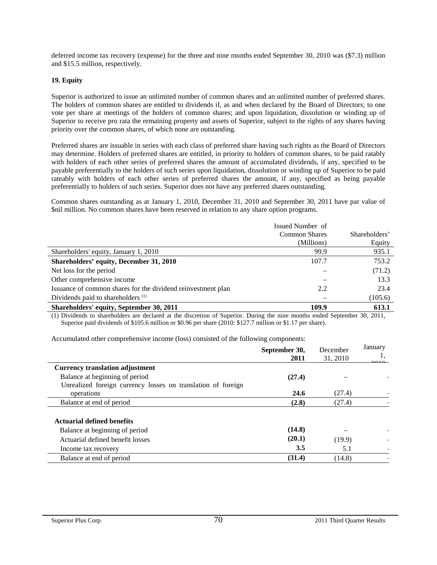deferred income tax recovery (expense) for the three and nine months ended September 30, 2010 was (\$7.3) million and \$15.5 million, respectively.

## **19. Equity**

Superior is authorized to issue an unlimited number of common shares and an unlimited number of preferred shares. The holders of common shares are entitled to dividends if, as and when declared by the Board of Directors; to one vote per share at meetings of the holders of common shares; and upon liquidation, dissolution or winding up of Superior to receive pro rata the remaining property and assets of Superior, subject to the rights of any shares having priority over the common shares, of which none are outstanding.

Preferred shares are issuable in series with each class of preferred share having such rights as the Board of Directors may determine. Holders of preferred shares are entitled, in priority to holders of common shares, to be paid ratably with holders of each other series of preferred shares the amount of accumulated dividends, if any, specified to be payable preferentially to the holders of such series upon liquidation, dissolution or winding up of Superior to be paid rateably with holders of each other series of preferred shares the amount, if any, specified as being payable preferentially to holders of such series. Superior does not have any preferred shares outstanding.

Common shares outstanding as at January 1, 2010, December 31, 2010 and September 30, 2011 have par value of \$nil million. No common shares have been reserved in relation to any share option programs.

|                                                              | Issued Number of     |               |
|--------------------------------------------------------------|----------------------|---------------|
|                                                              | <b>Common Shares</b> | Shareholders' |
|                                                              | (Millions)           | Equity        |
| Shareholders' equity, January 1, 2010                        | 99.9                 | 935.1         |
| <b>Shareholders' equity, December 31, 2010</b>               | 107.7                | 753.2         |
| Net loss for the period                                      |                      | (71.2)        |
| Other comprehensive income                                   |                      | 13.3          |
| Issuance of common shares for the dividend reinvestment plan | 2.2                  | 23.4          |
| Dividends paid to shareholders <sup>(1)</sup>                |                      | (105.6)       |
| <b>Shareholders' equity, September 30, 2011</b>              | 109.9                | 613.1         |

(1) Dividends to shareholders are declared at the discretion of Superior. During the nine months ended September 30, 2011, Superior paid dividends of \$105.6 million or \$0.96 per share (2010: \$127.7 million or \$1.17 per share).

Accumulated other comprehensive income (loss) consisted of the following components:

|                                                              | September 30,<br>2011 | December<br>31, 2010 | January<br>0.10 |
|--------------------------------------------------------------|-----------------------|----------------------|-----------------|
| Currency translation adjustment                              |                       |                      |                 |
| Balance at beginning of period                               | (27.4)                |                      |                 |
| Unrealized foreign currency losses on translation of foreign |                       |                      |                 |
| operations                                                   | 24.6                  | (27.4)               |                 |
| Balance at end of period                                     | (2.8)                 | (27.4)               |                 |
| <b>Actuarial defined benefits</b>                            |                       |                      |                 |
| Balance at beginning of period                               | (14.8)                |                      |                 |
| Actuarial defined benefit losses                             | (20.1)                | (19.9)               |                 |
| Income tax recovery                                          | 3.5                   | 5.1                  |                 |
| Balance at end of period                                     | (31.4)                | (14.8)               |                 |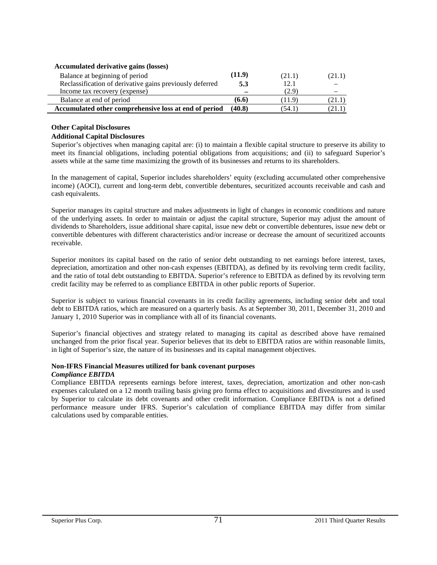| <b>Accumulated derivative gains (losses)</b>             |        |        |        |
|----------------------------------------------------------|--------|--------|--------|
| Balance at beginning of period                           | (11.9) | (21.1) | (21.1) |
| Reclassification of derivative gains previously deferred | 5.3    | 12.1   |        |
| Income tax recovery (expense)                            |        | (2.9)  |        |
| Balance at end of period                                 | (6.6)  | (11.9) | (21.1) |
| Accumulated other comprehensive loss at end of period    | (40.8) | (54.1) | ′21.1  |

### **Other Capital Disclosures**

### **Additional Capital Disclosures**

Superior's objectives when managing capital are: (i) to maintain a flexible capital structure to preserve its ability to meet its financial obligations, including potential obligations from acquisitions; and (ii) to safeguard Superior's assets while at the same time maximizing the growth of its businesses and returns to its shareholders.

In the management of capital, Superior includes shareholders' equity (excluding accumulated other comprehensive income) (AOCI), current and long-term debt, convertible debentures, securitized accounts receivable and cash and cash equivalents.

Superior manages its capital structure and makes adjustments in light of changes in economic conditions and nature of the underlying assets. In order to maintain or adjust the capital structure, Superior may adjust the amount of dividends to Shareholders, issue additional share capital, issue new debt or convertible debentures, issue new debt or convertible debentures with different characteristics and/or increase or decrease the amount of securitized accounts receivable.

Superior monitors its capital based on the ratio of senior debt outstanding to net earnings before interest, taxes, depreciation, amortization and other non-cash expenses (EBITDA), as defined by its revolving term credit facility, and the ratio of total debt outstanding to EBITDA. Superior's reference to EBITDA as defined by its revolving term credit facility may be referred to as compliance EBITDA in other public reports of Superior.

Superior is subject to various financial covenants in its credit facility agreements, including senior debt and total debt to EBITDA ratios, which are measured on a quarterly basis. As at September 30, 2011, December 31, 2010 and January 1, 2010 Superior was in compliance with all of its financial covenants.

Superior's financial objectives and strategy related to managing its capital as described above have remained unchanged from the prior fiscal year. Superior believes that its debt to EBITDA ratios are within reasonable limits, in light of Superior's size, the nature of its businesses and its capital management objectives.

#### **Non-IFRS Financial Measures utilized for bank covenant purposes**  *Compliance EBITDA*

Compliance EBITDA represents earnings before interest, taxes, depreciation, amortization and other non-cash expenses calculated on a 12 month trailing basis giving pro forma effect to acquisitions and divestitures and is used by Superior to calculate its debt covenants and other credit information. Compliance EBITDA is not a defined performance measure under IFRS. Superior's calculation of compliance EBITDA may differ from similar calculations used by comparable entities.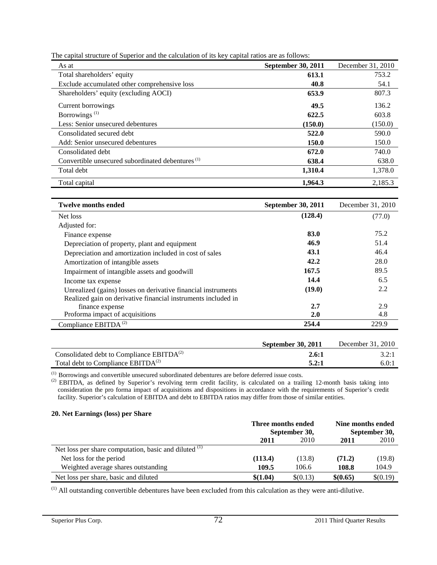The capital structure of Superior and the calculation of its key capital ratios are as follows:

| As at                                                        | September 30, 2011 | December 31, 2010 |
|--------------------------------------------------------------|--------------------|-------------------|
| Total shareholders' equity                                   | 613.1              | 753.2             |
| Exclude accumulated other comprehensive loss                 | 40.8               | 54.1              |
| Shareholders' equity (excluding AOCI)                        | 653.9              | 807.3             |
| Current borrowings                                           | 49.5               | 136.2             |
| Borrowings <sup>(1)</sup>                                    | 622.5              | 603.8             |
| Less: Senior unsecured debentures                            | (150.0)            | (150.0)           |
| Consolidated secured debt                                    | 522.0              | 590.0             |
| Add: Senior unsecured debentures                             | 150.0              | 150.0             |
| Consolidated debt                                            | 672.0              | 740.0             |
| Convertible unsecured subordinated debentures <sup>(1)</sup> | 638.4              | 638.0             |
| Total debt                                                   | 1,310.4            | 1,378.0           |
| Total capital                                                | 1,964.3            | 2,185.3           |

| <b>Twelve months ended</b>                                    | <b>September 30, 2011</b> | December 31, 2010 |
|---------------------------------------------------------------|---------------------------|-------------------|
| Net loss                                                      | (128.4)                   | (77.0)            |
| Adjusted for:                                                 |                           |                   |
| Finance expense                                               | 83.0                      | 75.2              |
| Depreciation of property, plant and equipment                 | 46.9                      | 51.4              |
| Depreciation and amortization included in cost of sales       | 43.1                      | 46.4              |
| Amortization of intangible assets                             | 42.2                      | 28.0              |
| Impairment of intangible assets and goodwill                  | 167.5                     | 89.5              |
| Income tax expense                                            | 14.4                      | 6.5               |
| Unrealized (gains) losses on derivative financial instruments | (19.0)                    | 2.2               |
| Realized gain on derivative financial instruments included in |                           |                   |
| finance expense                                               | 2.7                       | 2.9               |
| Proforma impact of acquisitions                               | 2.0                       | 4.8               |
| Compliance EBITDA <sup>(2)</sup>                              | 254.4                     | 229.9             |

|                                                | <b>September 30, 2011</b> | December 31, 2010 |
|------------------------------------------------|---------------------------|-------------------|
| Consolidated debt to Compliance $EBITDA(2)$    | 2.6:1                     | 3.2:1             |
| Total debt to Compliance EBITDA <sup>(2)</sup> | 5.2:1                     | 6.0:1             |

(1) Borrowings and convertible unsecured subordinated debentures are before deferred issue costs.

(2) EBITDA, as defined by Superior's revolving term credit facility, is calculated on a trailing 12-month basis taking into consideration the pro forma impact of acquisitions and dispositions in accordance with the requirements of Superior's credit facility. Superior's calculation of EBITDA and debt to EBITDA ratios may differ from those of similar entities.

### **20. Net Earnings (loss) per Share**

|                                                                  | Three months ended<br>September 30, |          | Nine months ended<br>September 30, |          |
|------------------------------------------------------------------|-------------------------------------|----------|------------------------------------|----------|
|                                                                  | 2011                                | 2010     | 2011                               | 2010     |
| Net loss per share computation, basic and diluted <sup>(1)</sup> |                                     |          |                                    |          |
| Net loss for the period                                          | (113.4)                             | (13.8)   | (71.2)                             | (19.8)   |
| Weighted average shares outstanding                              | 109.5                               | 106.6    | 108.8                              | 104.9    |
| Net loss per share, basic and diluted                            | \$(1.04)                            | \$(0.13) | \$(0.65)                           | \$(0.19) |

(1) All outstanding convertible debentures have been excluded from this calculation as they were anti-dilutive.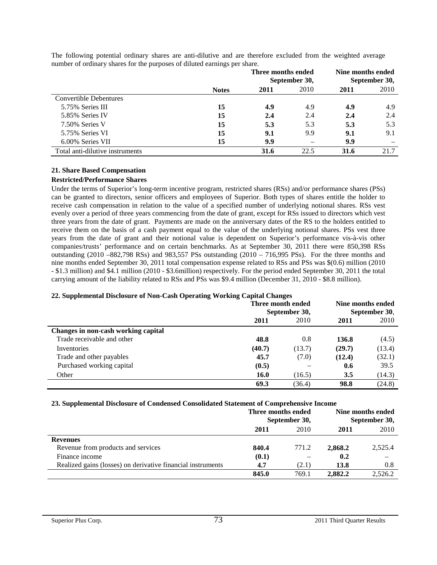| $\frac{1}{2}$                   |              | Three months ended | September 30, | Nine months ended<br>September 30, |      |  |
|---------------------------------|--------------|--------------------|---------------|------------------------------------|------|--|
|                                 | <b>Notes</b> | 2011               | 2010          | 2011                               | 2010 |  |
| Convertible Debentures          |              |                    |               |                                    |      |  |
| 5.75% Series III                | 15           | 4.9                | 4.9           | 4.9                                | 4.9  |  |
| 5.85% Series IV                 | 15           | 2.4                | 2.4           | 2.4                                | 2.4  |  |
| 7.50% Series V                  | 15           | 5.3                | 5.3           | 5.3                                | 5.3  |  |
| 5.75% Series VI                 | 15           | 9.1                | 9.9           | 9.1                                | 9.1  |  |
| 6.00% Series VII                | 15           | 9.9                |               | 9.9                                |      |  |
| Total anti-dilutive instruments |              | 31.6               | 22.5          | 31.6                               | 21.7 |  |

The following potential ordinary shares are anti-dilutive and are therefore excluded from the weighted average number of ordinary shares for the purposes of diluted earnings per share.

# **21. Share Based Compensation**

# **Restricted/Performance Shares**

Under the terms of Superior's long-term incentive program, restricted shares (RSs) and/or performance shares (PSs) can be granted to directors, senior officers and employees of Superior. Both types of shares entitle the holder to receive cash compensation in relation to the value of a specified number of underlying notional shares. RSs vest evenly over a period of three years commencing from the date of grant, except for RSs issued to directors which vest three years from the date of grant. Payments are made on the anniversary dates of the RS to the holders entitled to receive them on the basis of a cash payment equal to the value of the underlying notional shares. PSs vest three years from the date of grant and their notional value is dependent on Superior's performance vis-à-vis other companies/trusts' performance and on certain benchmarks. As at September 30, 2011 there were 850,398 RSs outstanding (2010 –882,798 RSs) and 983,557 PSs outstanding (2010 – 716,995 PSs). For the three months and nine months ended September 30, 2011 total compensation expense related to RSs and PSs was \$(0.6) million (2010 - \$1.3 million) and \$4.1 million (2010 - \$3.6million) respectively. For the period ended September 30, 2011 the total carrying amount of the liability related to RSs and PSs was \$9.4 million (December 31, 2010 - \$8.8 million).

# **22. Supplemental Disclosure of Non-Cash Operating Working Capital Changes**

| 22. Suppicincium Discresure of Fron-Cash Operating ++ 01 King Capital Changes |                                    |        |                                    |        |  |  |  |
|-------------------------------------------------------------------------------|------------------------------------|--------|------------------------------------|--------|--|--|--|
|                                                                               | Three month ended<br>September 30, |        | Nine months ended<br>September 30. |        |  |  |  |
|                                                                               | 2011                               | 2010   |                                    | 2010   |  |  |  |
| Changes in non-cash working capital                                           |                                    |        |                                    |        |  |  |  |
| Trade receivable and other                                                    | 48.8                               | 0.8    | 136.8                              | (4.5)  |  |  |  |
| Inventories                                                                   | (40.7)                             | (13.7) | (29.7)                             | (13.4) |  |  |  |
| Trade and other payables                                                      | 45.7                               | (7.0)  | (12.4)                             | (32.1) |  |  |  |
| Purchased working capital                                                     | (0.5)                              |        | 0.6                                | 39.5   |  |  |  |
| Other                                                                         | 16.0                               | (16.5) | 3.5                                | (14.3) |  |  |  |
|                                                                               | 69.3                               | (36.4) | 98.8                               | (24.8) |  |  |  |

## **23. Supplemental Disclosure of Condensed Consolidated Statement of Comprehensive Income**

|                                                             | Three months ended<br>September 30, |       | Nine months ended<br>September 30, |                          |
|-------------------------------------------------------------|-------------------------------------|-------|------------------------------------|--------------------------|
|                                                             | 2011                                | 2010  | 2011                               | 2010                     |
| <b>Revenues</b>                                             |                                     |       |                                    |                          |
| Revenue from products and services                          | 840.4                               | 771.2 | 2,868.2                            | 2,525.4                  |
| Finance income                                              | (0.1)                               |       | 0.2                                | $\overline{\phantom{0}}$ |
| Realized gains (losses) on derivative financial instruments | 4.7                                 | (2.1) | 13.8                               | 0.8                      |
|                                                             | 845.0                               | 769.1 | 2,882.2                            | 2,526.2                  |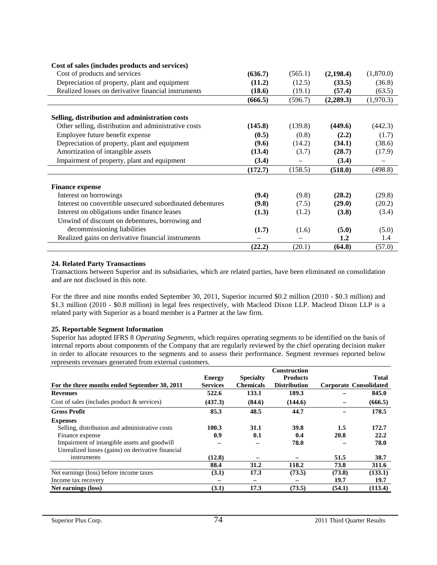| Cost of sales (includes products and services)            |         |         |                  |           |
|-----------------------------------------------------------|---------|---------|------------------|-----------|
| Cost of products and services                             | (636.7) | (565.1) | (2, 198.4)       | (1,870.0) |
| Depreciation of property, plant and equipment             | (11.2)  | (12.5)  | (33.5)           | (36.8)    |
| Realized losses on derivative financial instruments       | (18.6)  | (19.1)  | (57.4)           | (63.5)    |
|                                                           | (666.5) | (596.7) | (2,289.3)        | (1,970.3) |
| Selling, distribution and administration costs            |         |         |                  |           |
| Other selling, distribution and administrative costs      | (145.8) | (139.8) | (449.6)          | (442.3)   |
| Employee future benefit expense                           | (0.5)   | (0.8)   | (2.2)            | (1.7)     |
| Depreciation of property, plant and equipment             | (9.6)   | (14.2)  | (34.1)           | (38.6)    |
| Amortization of intangible assets                         | (13.4)  | (3.7)   | (28.7)           | (17.9)    |
| Impairment of property, plant and equipment               | (3.4)   |         | (3.4)            |           |
|                                                           | (172.7) | (158.5) | (518.0)          | (498.8)   |
| <b>Finance expense</b>                                    |         |         |                  |           |
| Interest on borrowings                                    | (9.4)   | (9.8)   | (28.2)           | (29.8)    |
| Interest on convertible unsecured subordinated debentures | (9.8)   | (7.5)   | (29.0)           | (20.2)    |
| Interest on obligations under finance leases              | (1.3)   | (1.2)   | (3.8)            | (3.4)     |
| Unwind of discount on debentures, borrowing and           |         |         |                  |           |
| decommissioning liabilities                               | (1.7)   | (1.6)   | (5.0)            | (5.0)     |
| Realized gains on derivative financial instruments        |         |         | $1.2\phantom{0}$ | 1.4       |
|                                                           | (22.2)  | (20.1)  | (64.8)           | (57.0)    |

# **24. Related Party Transactions**

Transactions between Superior and its subsidiaries, which are related parties, have been eliminated on consolidation and are not disclosed in this note.

For the three and nine months ended September 30, 2011, Superior incurred \$0.2 million (2010 - \$0.3 million) and \$1.3 million (2010 - \$0.8 million) in legal fees respectively, with Macleod Dixon LLP. Macleod Dixon LLP is a related party with Superior as a board member is a Partner at the law firm.

## **25. Reportable Segment Information**

Superior has adopted IFRS 8 *Operating Segments*, which requires operating segments to be identified on the basis of internal reports about components of the Company that are regularly reviewed by the chief operating decision maker in order to allocate resources to the segments and to assess their performance. Segment revenues reported below represents revenues generated from external customers.

|                                                   |                 |                  | <b>Construction</b> |        |                               |
|---------------------------------------------------|-----------------|------------------|---------------------|--------|-------------------------------|
|                                                   | Energy          | <b>Specialty</b> | <b>Products</b>     |        | <b>Total</b>                  |
| For the three months ended September 30, 2011     | <b>Services</b> | <b>Chemicals</b> | <b>Distribution</b> |        | <b>Corporate Consolidated</b> |
| <b>Revenues</b>                                   | 522.6           | 133.1            | 189.3               |        | 845.0                         |
| Cost of sales (includes product $\&$ services)    | (437.3)         | (84.6)           | (144.6)             |        | (666.5)                       |
| <b>Gross Profit</b>                               | 85.3            | 48.5             | 44.7                |        | 178.5                         |
| <b>Expenses</b>                                   |                 |                  |                     |        |                               |
| Selling, distribution and administrative costs    | 100.3           | 31.1             | 39.8                | 1.5    | 172.7                         |
| Finance expense                                   | 0.9             | 0.1              | 0.4                 | 20.8   | 22.2                          |
| Impairment of intangible assets and goodwill      |                 |                  | 78.0                |        | 78.0                          |
| Unrealized losses (gains) on derivative financial |                 |                  |                     |        |                               |
| instruments                                       | (12.8)          |                  |                     | 51.5   | 38.7                          |
|                                                   | 88.4            | 31.2             | 118.2               | 73.8   | 311.6                         |
| Net earnings (loss) before income taxes           | (3.1)           | 17.3             | (73.5)              | (73.8) | (133.1)                       |
| Income tax recovery                               |                 | -                |                     | 19.7   | 19.7                          |
| Net earnings (loss)                               | (3.1)           | 17.3             | (73.5)              | (54.1) | (113.4)                       |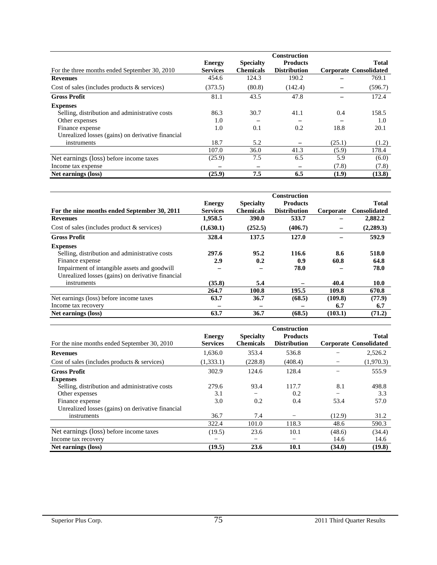|                                                   |                 |                  | <b>Construction</b> |        |                               |
|---------------------------------------------------|-----------------|------------------|---------------------|--------|-------------------------------|
|                                                   | <b>Energy</b>   | <b>Specialty</b> | <b>Products</b>     |        | <b>Total</b>                  |
| For the three months ended September 30, 2010     | <b>Services</b> | <b>Chemicals</b> | <b>Distribution</b> |        | <b>Corporate Consolidated</b> |
| <b>Revenues</b>                                   | 454.6           | 124.3            | 190.2               |        | 769.1                         |
| Cost of sales (includes products $&$ services)    | (373.5)         | (80.8)           | (142.4)             |        | (596.7)                       |
| <b>Gross Profit</b>                               | 81.1            | 43.5             | 47.8                |        | 172.4                         |
| <b>Expenses</b>                                   |                 |                  |                     |        |                               |
| Selling, distribution and administrative costs    | 86.3            | 30.7             | 41.1                | 0.4    | 158.5                         |
| Other expenses                                    | 1.0             |                  |                     |        | 1.0                           |
| Finance expense                                   | 1.0             | 0.1              | 0.2                 | 18.8   | 20.1                          |
| Unrealized losses (gains) on derivative financial |                 |                  |                     |        |                               |
| instruments                                       | 18.7            | 5.2              |                     | (25.1) | (1.2)                         |
|                                                   | 107.0           | 36.0             | 41.3                | (5.9)  | 178.4                         |
| Net earnings (loss) before income taxes           | (25.9)          | 7.5              | 6.5                 | 5.9    | (6.0)                         |
| Income tax expense                                |                 |                  |                     | (7.8)  | (7.8)                         |
| Net earnings (loss)                               | (25.9)          | 7.5              | 6.5                 | (1.9)  | (13.8)                        |

| For the nine months ended September 30, 2011                                                                                                                                              | Energy<br><b>Services</b> | <b>Specialty</b><br><b>Chemicals</b> | <b>Construction</b><br><b>Products</b><br><b>Distribution</b> | Corporate   | <b>Total</b><br><b>Consolidated</b> |
|-------------------------------------------------------------------------------------------------------------------------------------------------------------------------------------------|---------------------------|--------------------------------------|---------------------------------------------------------------|-------------|-------------------------------------|
| <b>Revenues</b>                                                                                                                                                                           | 1,958.5                   | 390.0                                | 533.7                                                         |             | 2,882.2                             |
| Cost of sales (includes product $\&$ services)                                                                                                                                            | (1,630.1)                 | (252.5)                              | (406.7)                                                       |             | (2,289.3)                           |
| <b>Gross Profit</b>                                                                                                                                                                       | 328.4                     | 137.5                                | 127.0                                                         |             | 592.9                               |
| <b>Expenses</b><br>Selling, distribution and administrative costs<br>Finance expense<br>Impairment of intangible assets and goodwill<br>Unrealized losses (gains) on derivative financial | 297.6<br>2.9              | 95.2<br>0.2                          | 116.6<br>0.9<br>78.0                                          | 8.6<br>60.8 | 518.0<br>64.8<br>78.0               |
| instruments                                                                                                                                                                               | (35.8)                    | 5.4                                  |                                                               | 40.4        | <b>10.0</b>                         |
|                                                                                                                                                                                           | 264.7                     | 100.8                                | 195.5                                                         | 109.8       | 670.8                               |
| Net earnings (loss) before income taxes                                                                                                                                                   | 63.7                      | 36.7                                 | (68.5)                                                        | (109.8)     | (77.9)                              |
| Income tax recovery                                                                                                                                                                       |                           | $\overline{\phantom{0}}$             |                                                               | 6.7         | 6.7                                 |
| Net earnings (loss)                                                                                                                                                                       | 63.7                      | 36.7                                 | (68.5)                                                        | (103.1)     | (71.2)                              |

|                                                   |                 |                  | <b>Construction</b> |        |                               |
|---------------------------------------------------|-----------------|------------------|---------------------|--------|-------------------------------|
|                                                   | Energy          | <b>Specialty</b> | <b>Products</b>     |        | Total                         |
| For the nine months ended September 30, 2010      | <b>Services</b> | <b>Chemicals</b> | <b>Distribution</b> |        | <b>Corporate Consolidated</b> |
| <b>Revenues</b>                                   | 1,636.0         | 353.4            | 536.8               |        | 2,526.2                       |
| Cost of sales (includes products $\&$ services)   | (1,333.1)       | (228.8)          | (408.4)             |        | (1,970.3)                     |
| <b>Gross Profit</b>                               | 302.9           | 124.6            | 128.4               |        | 555.9                         |
| <b>Expenses</b>                                   |                 |                  |                     |        |                               |
| Selling, distribution and administrative costs    | 279.6           | 93.4             | 117.7               | 8.1    | 498.8                         |
| Other expenses                                    | 3.1             |                  | 0.2                 |        | 3.3                           |
| Finance expense                                   | 3.0             | 0.2              | 0.4                 | 53.4   | 57.0                          |
| Unrealized losses (gains) on derivative financial |                 |                  |                     |        |                               |
| instruments                                       | 36.7            | 7.4              |                     | (12.9) | 31.2                          |
|                                                   | 322.4           | 101.0            | 118.3               | 48.6   | 590.3                         |
| Net earnings (loss) before income taxes           | (19.5)          | 23.6             | 10.1                | (48.6) | (34.4)                        |
| Income tax recovery                               |                 |                  |                     | 14.6   | 14.6                          |
| Net earnings (loss)                               | (19.5)          | 23.6             | 10.1                | (34.0) | (19.8)                        |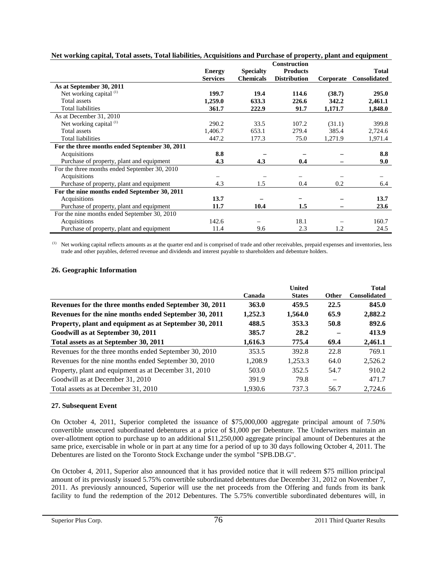|                                               |                 |                  | Construction        |           |                     |
|-----------------------------------------------|-----------------|------------------|---------------------|-----------|---------------------|
|                                               | <b>Energy</b>   | <b>Specialty</b> | <b>Products</b>     |           | <b>Total</b>        |
|                                               | <b>Services</b> | <b>Chemicals</b> | <b>Distribution</b> | Corporate | <b>Consolidated</b> |
| As at September 30, 2011                      |                 |                  |                     |           |                     |
| Net working capital <sup>(1)</sup>            | 199.7           | 19.4             | 114.6               | (38.7)    | 295.0               |
| Total assets                                  | 1,259.0         | 633.3            | 226.6               | 342.2     | 2,461.1             |
| Total liabilities                             | 361.7           | 222.9            | 91.7                | 1,171.7   | 1,848.0             |
| As at December 31, 2010                       |                 |                  |                     |           |                     |
| Net working capital <sup>(1)</sup>            | 290.2           | 33.5             | 107.2               | (31.1)    | 399.8               |
| Total assets                                  | 1,406.7         | 653.1            | 279.4               | 385.4     | 2,724.6             |
| <b>Total liabilities</b>                      | 447.2           | 177.3            | 75.0                | 1,271.9   | 1,971.4             |
| For the three months ended September 30, 2011 |                 |                  |                     |           |                     |
| Acquisitions                                  | 8.8             |                  |                     |           | 8.8                 |
| Purchase of property, plant and equipment     | 4.3             | 4.3              | 0.4                 |           | 9.0                 |
| For the three months ended September 30, 2010 |                 |                  |                     |           |                     |
| Acquisitions                                  |                 |                  |                     |           |                     |
| Purchase of property, plant and equipment     | 4.3             | 1.5              | 0.4                 | 0.2       | 6.4                 |
| For the nine months ended September 30, 2011  |                 |                  |                     |           |                     |
| Acquisitions                                  | 13.7            |                  |                     |           | 13.7                |
| Purchase of property, plant and equipment     | 11.7            | 10.4             | 1.5                 |           | 23.6                |
| For the nine months ended September 30, 2010  |                 |                  |                     |           |                     |
| Acquisitions                                  | 142.6           |                  | 18.1                |           | 160.7               |
| Purchase of property, plant and equipment     | 11.4            | 9.6              | 2.3                 | 1.2       | 24.5                |

**Net working capital, Total assets, Total liabilities, Acquisitions and Purchase of property, plant and equipment** 

 (1) Net working capital reflects amounts as at the quarter end and is comprised of trade and other receivables, prepaid expenses and inventories, less trade and other payables, deferred revenue and dividends and interest payable to shareholders and debenture holders.

## **26. Geographic Information**

|                                                        | Canada  | <b>United</b><br><b>States</b> | <b>Other</b> | <b>Total</b><br><b>Consolidated</b> |
|--------------------------------------------------------|---------|--------------------------------|--------------|-------------------------------------|
| Revenues for the three months ended September 30, 2011 | 363.0   | 459.5                          | 22.5         | 845.0                               |
| Revenues for the nine months ended September 30, 2011  | 1,252.3 | 1,564.0                        | 65.9         | 2,882.2                             |
| Property, plant and equipment as at September 30, 2011 | 488.5   | 353.3                          | 50.8         | 892.6                               |
| Goodwill as at September 30, 2011                      | 385.7   | 28.2                           |              | 413.9                               |
| Total assets as at September 30, 2011                  | 1,616.3 | 775.4                          | 69.4         | 2,461.1                             |
| Revenues for the three months ended September 30, 2010 | 353.5   | 392.8                          | 22.8         | 769.1                               |
| Revenues for the nine months ended September 30, 2010  | 1,208.9 | 1,253.3                        | 64.0         | 2,526.2                             |
| Property, plant and equipment as at December 31, 2010  | 503.0   | 352.5                          | 54.7         | 910.2                               |
| Goodwill as at December 31, 2010                       | 391.9   | 79.8                           |              | 471.7                               |
| Total assets as at December 31, 2010                   | 1,930.6 | 737.3                          | 56.7         | 2,724.6                             |

# **27. Subsequent Event**

On October 4, 2011, Superior completed the issuance of \$75,000,000 aggregate principal amount of 7.50% convertible unsecured subordinated debentures at a price of \$1,000 per Debenture. The Underwriters maintain an over-allotment option to purchase up to an additional \$11,250,000 aggregate principal amount of Debentures at the same price, exercisable in whole or in part at any time for a period of up to 30 days following October 4, 2011. The Debentures are listed on the Toronto Stock Exchange under the symbol "SPB.DB.G".

On October 4, 2011, Superior also announced that it has provided notice that it will redeem \$75 million principal amount of its previously issued 5.75% convertible subordinated debentures due December 31, 2012 on November 7, 2011. As previously announced, Superior will use the net proceeds from the Offering and funds from its bank facility to fund the redemption of the 2012 Debentures. The 5.75% convertible subordinated debentures will, in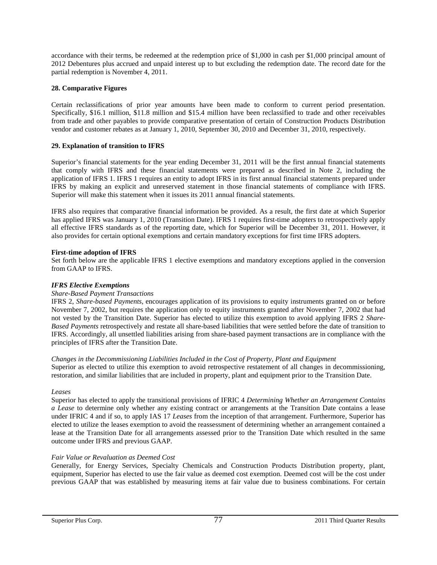accordance with their terms, be redeemed at the redemption price of \$1,000 in cash per \$1,000 principal amount of 2012 Debentures plus accrued and unpaid interest up to but excluding the redemption date. The record date for the partial redemption is November 4, 2011.

# **28. Comparative Figures**

Certain reclassifications of prior year amounts have been made to conform to current period presentation. Specifically, \$16.1 million, \$11.8 million and \$15.4 million have been reclassified to trade and other receivables from trade and other payables to provide comparative presentation of certain of Construction Products Distribution vendor and customer rebates as at January 1, 2010, September 30, 2010 and December 31, 2010, respectively.

## **29. Explanation of transition to IFRS**

Superior's financial statements for the year ending December 31, 2011 will be the first annual financial statements that comply with IFRS and these financial statements were prepared as described in Note 2, including the application of IFRS 1. IFRS 1 requires an entity to adopt IFRS in its first annual financial statements prepared under IFRS by making an explicit and unreserved statement in those financial statements of compliance with IFRS. Superior will make this statement when it issues its 2011 annual financial statements.

IFRS also requires that comparative financial information be provided. As a result, the first date at which Superior has applied IFRS was January 1, 2010 (Transition Date). IFRS 1 requires first-time adopters to retrospectively apply all effective IFRS standards as of the reporting date, which for Superior will be December 31, 2011. However, it also provides for certain optional exemptions and certain mandatory exceptions for first time IFRS adopters.

# **First-time adoption of IFRS**

Set forth below are the applicable IFRS 1 elective exemptions and mandatory exceptions applied in the conversion from GAAP to IFRS.

## *IFRS Elective Exemptions*

## *Share-Based Payment Transactions*

IFRS 2, *Share-based Payments*, encourages application of its provisions to equity instruments granted on or before November 7, 2002, but requires the application only to equity instruments granted after November 7, 2002 that had not vested by the Transition Date. Superior has elected to utilize this exemption to avoid applying IFRS 2 *Share-Based Payments* retrospectively and restate all share-based liabilities that were settled before the date of transition to IFRS. Accordingly, all unsettled liabilities arising from share-based payment transactions are in compliance with the principles of IFRS after the Transition Date.

## *Changes in the Decommissioning Liabilities Included in the Cost of Property, Plant and Equipment*

Superior as elected to utilize this exemption to avoid retrospective restatement of all changes in decommissioning, restoration, and similar liabilities that are included in property, plant and equipment prior to the Transition Date.

## *Leases*

Superior has elected to apply the transitional provisions of IFRIC 4 *Determining Whether an Arrangement Contains a Lease* to determine only whether any existing contract or arrangements at the Transition Date contains a lease under IFRIC 4 and if so, to apply IAS 17 *Leases* from the inception of that arrangement. Furthermore, Superior has elected to utilize the leases exemption to avoid the reassessment of determining whether an arrangement contained a lease at the Transition Date for all arrangements assessed prior to the Transition Date which resulted in the same outcome under IFRS and previous GAAP.

# *Fair Value or Revaluation as Deemed Cost*

Generally, for Energy Services, Specialty Chemicals and Construction Products Distribution property, plant, equipment, Superior has elected to use the fair value as deemed cost exemption. Deemed cost will be the cost under previous GAAP that was established by measuring items at fair value due to business combinations. For certain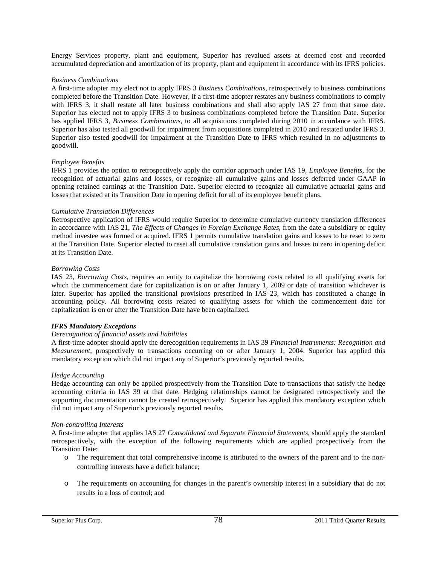Energy Services property, plant and equipment, Superior has revalued assets at deemed cost and recorded accumulated depreciation and amortization of its property, plant and equipment in accordance with its IFRS policies.

# *Business Combinations*

A first-time adopter may elect not to apply IFRS 3 *Business Combinations*, retrospectively to business combinations completed before the Transition Date. However, if a first-time adopter restates any business combinations to comply with IFRS 3, it shall restate all later business combinations and shall also apply IAS 27 from that same date. Superior has elected not to apply IFRS 3 to business combinations completed before the Transition Date. Superior has applied IFRS 3, *Business Combinations*, to all acquisitions completed during 2010 in accordance with IFRS. Superior has also tested all goodwill for impairment from acquisitions completed in 2010 and restated under IFRS 3. Superior also tested goodwill for impairment at the Transition Date to IFRS which resulted in no adjustments to goodwill.

# *Employee Benefits*

IFRS 1 provides the option to retrospectively apply the corridor approach under IAS 19, *Employee Benefits*, for the recognition of actuarial gains and losses, or recognize all cumulative gains and losses deferred under GAAP in opening retained earnings at the Transition Date. Superior elected to recognize all cumulative actuarial gains and losses that existed at its Transition Date in opening deficit for all of its employee benefit plans.

# *Cumulative Translation Differences*

Retrospective application of IFRS would require Superior to determine cumulative currency translation differences in accordance with IAS 21, *The Effects of Changes in Foreign Exchange Rates*, from the date a subsidiary or equity method investee was formed or acquired. IFRS 1 permits cumulative translation gains and losses to be reset to zero at the Transition Date. Superior elected to reset all cumulative translation gains and losses to zero in opening deficit at its Transition Date.

## *Borrowing Costs*

IAS 23, *Borrowing Costs*, requires an entity to capitalize the borrowing costs related to all qualifying assets for which the commencement date for capitalization is on or after January 1, 2009 or date of transition whichever is later. Superior has applied the transitional provisions prescribed in IAS 23, which has constituted a change in accounting policy. All borrowing costs related to qualifying assets for which the commencement date for capitalization is on or after the Transition Date have been capitalized.

## *IFRS Mandatory Exceptions*

# *Derecognition of financial assets and liabilities*

A first-time adopter should apply the derecognition requirements in IAS 39 *Financial Instruments: Recognition and Measurement,* prospectively to transactions occurring on or after January 1, 2004. Superior has applied this mandatory exception which did not impact any of Superior's previously reported results.

## *Hedge Accounting*

Hedge accounting can only be applied prospectively from the Transition Date to transactions that satisfy the hedge accounting criteria in IAS 39 at that date. Hedging relationships cannot be designated retrospectively and the supporting documentation cannot be created retrospectively. Superior has applied this mandatory exception which did not impact any of Superior's previously reported results.

## *Non-controlling Interests*

A first-time adopter that applies IAS 27 *Consolidated and Separate Financial Statements*, should apply the standard retrospectively, with the exception of the following requirements which are applied prospectively from the Transition Date:

- o The requirement that total comprehensive income is attributed to the owners of the parent and to the noncontrolling interests have a deficit balance;
- o The requirements on accounting for changes in the parent's ownership interest in a subsidiary that do not results in a loss of control; and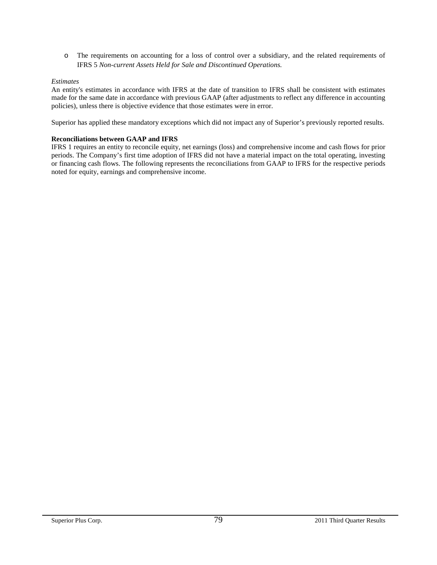o The requirements on accounting for a loss of control over a subsidiary, and the related requirements of IFRS 5 *Non-current Assets Held for Sale and Discontinued Operations.*

# *Estimates*

An entity's estimates in accordance with IFRS at the date of transition to IFRS shall be consistent with estimates made for the same date in accordance with previous GAAP (after adjustments to reflect any difference in accounting policies), unless there is objective evidence that those estimates were in error.

Superior has applied these mandatory exceptions which did not impact any of Superior's previously reported results.

# **Reconciliations between GAAP and IFRS**

IFRS 1 requires an entity to reconcile equity, net earnings (loss) and comprehensive income and cash flows for prior periods. The Company's first time adoption of IFRS did not have a material impact on the total operating, investing or financing cash flows. The following represents the reconciliations from GAAP to IFRS for the respective periods noted for equity, earnings and comprehensive income.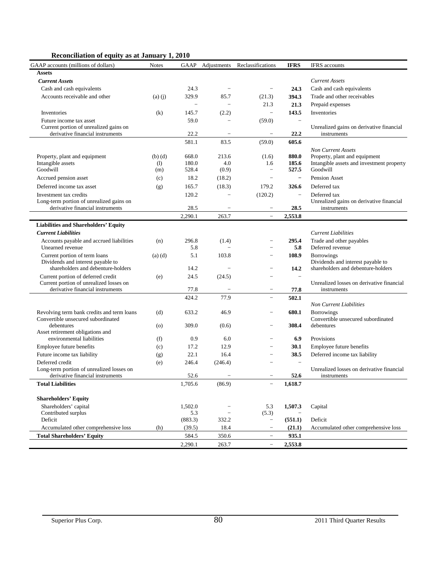| reconcinumon or equity as at summary 1, 2010<br>GAAP accounts (millions of dollars) | <b>Notes</b> | GAAP                     |                          | Adjustments Reclassifications | <b>IFRS</b>              | <b>IFRS</b> accounts                                     |
|-------------------------------------------------------------------------------------|--------------|--------------------------|--------------------------|-------------------------------|--------------------------|----------------------------------------------------------|
| <b>Assets</b>                                                                       |              |                          |                          |                               |                          |                                                          |
| <b>Current Assets</b>                                                               |              |                          |                          |                               |                          | <b>Current Assets</b>                                    |
| Cash and cash equivalents                                                           |              | 24.3                     |                          |                               | 24.3                     | Cash and cash equivalents                                |
| Accounts receivable and other                                                       | $(a)$ $(j)$  | 329.9                    | 85.7                     | (21.3)                        | 394.3                    | Trade and other receivables                              |
|                                                                                     |              | $\overline{\phantom{0}}$ | $\frac{1}{2}$            | 21.3                          | 21.3                     | Prepaid expenses                                         |
| Inventories                                                                         | (k)          | 145.7                    | (2.2)                    | $\overline{\phantom{0}}$      | 143.5                    | Inventories                                              |
| Future income tax asset                                                             |              | 59.0                     | $\overline{\phantom{0}}$ | (59.0)                        | $\overline{\phantom{0}}$ |                                                          |
| Current portion of unrealized gains on                                              |              |                          |                          |                               |                          | Unrealized gains on derivative financial                 |
| derivative financial instruments                                                    |              | 22.2                     | $\qquad \qquad -$        |                               | 22.2                     | instruments                                              |
|                                                                                     |              | 581.1                    | 83.5                     | (59.0)                        | 605.6                    |                                                          |
|                                                                                     |              |                          |                          |                               |                          | <b>Non Current Assets</b>                                |
| Property, plant and equipment                                                       | $(b)$ $(d)$  | 668.0                    | 213.6                    | (1.6)                         | 880.0                    | Property, plant and equipment                            |
| Intangible assets                                                                   | (1)          | 180.0                    | 4.0                      | 1.6                           | 185.6                    | Intangible assets and investment property                |
| Goodwill                                                                            | (m)          | 528.4                    | (0.9)                    | $\overline{\phantom{m}}$      | 527.5                    | Goodwill                                                 |
| Accrued pension asset                                                               | (c)          | 18.2                     | (18.2)                   | $\overline{\phantom{0}}$      | $\overline{\phantom{0}}$ | Pension Asset                                            |
| Deferred income tax asset                                                           | (g)          | 165.7                    | (18.3)                   | 179.2                         | 326.6                    | Deferred tax                                             |
| Investment tax credits                                                              |              | 120.2                    | $\overline{\phantom{0}}$ | (120.2)                       | $\equiv$                 | Deferred tax                                             |
| Long-term portion of unrealized gains on                                            |              |                          |                          |                               |                          | Unrealized gains on derivative financial                 |
| derivative financial instruments                                                    |              | 28.5                     | $\overline{\phantom{0}}$ |                               | 28.5                     | instruments                                              |
|                                                                                     |              | 2,290.1                  | 263.7                    | $\equiv$                      | 2,553.8                  |                                                          |
| <b>Liabilities and Shareholders' Equity</b>                                         |              |                          |                          |                               |                          |                                                          |
| <b>Current Liabilities</b>                                                          |              |                          |                          |                               |                          | <b>Current Liabilities</b>                               |
| Accounts payable and accrued liabilities                                            | (n)          | 296.8                    | (1.4)                    |                               | 295.4                    | Trade and other payables                                 |
| Unearned revenue                                                                    |              | 5.8                      | $\overline{\phantom{0}}$ | $\overline{\phantom{0}}$      | 5.8                      | Deferred revenue                                         |
| Current portion of term loans                                                       | $(a)$ $(d)$  | 5.1                      | 103.8                    | L,                            | 108.9                    | <b>Borrowings</b>                                        |
| Dividends and interest payable to                                                   |              |                          |                          |                               |                          | Dividends and interest payable to                        |
| shareholders and debenture-holders                                                  |              | 14.2                     | $\overline{\phantom{0}}$ |                               | 14.2                     | shareholders and debenture-holders                       |
| Current portion of deferred credit                                                  | (e)          | 24.5                     | (24.5)                   |                               | $\overline{\phantom{0}}$ |                                                          |
| Current portion of unrealized losses on<br>derivative financial instruments         |              | 77.8                     | $\overline{\phantom{0}}$ | $\qquad \qquad -$             | 77.8                     | Unrealized losses on derivative financial<br>instruments |
|                                                                                     |              | 424.2                    | 77.9                     | $\overline{\phantom{0}}$      | 502.1                    |                                                          |
|                                                                                     |              |                          |                          |                               |                          | <b>Non Current Liabilities</b>                           |
| Revolving term bank credits and term loans                                          | (d)          | 633.2                    | 46.9                     | $\overline{\phantom{0}}$      | 680.1                    | Borrowings                                               |
| Convertible unsecured subordinated                                                  |              |                          |                          |                               |                          | Convertible unsecured subordinated                       |
| debentures                                                                          | $\circ$      | 309.0                    | (0.6)                    | $\overline{\phantom{0}}$      | 308.4                    | debentures                                               |
| Asset retirement obligations and                                                    |              |                          |                          |                               |                          |                                                          |
| environmental liabilities                                                           | (f)          | 0.9                      | 6.0                      |                               | 6.9                      | Provisions                                               |
| Employee future benefits                                                            | (c)          | 17.2                     | 12.9                     | $\overline{\phantom{0}}$      | 30.1                     | Employee future benefits                                 |
| Future income tax liability                                                         | (g)          | 22.1                     | 16.4                     |                               | 38.5                     | Deferred income tax liability                            |
| Deferred credit                                                                     | (e)          | 246.4                    | (246.4)                  |                               |                          |                                                          |
| Long-term portion of unrealized losses on                                           |              |                          |                          |                               |                          | Unrealized losses on derivative financial                |
| derivative financial instruments                                                    |              | 52.6                     |                          |                               | 52.6                     | instruments                                              |
| <b>Total Liabilities</b>                                                            |              | 1,705.6                  | (86.9)                   |                               | 1,618.7                  |                                                          |
|                                                                                     |              |                          |                          |                               |                          |                                                          |
| <b>Shareholders' Equity</b>                                                         |              |                          |                          |                               |                          |                                                          |
| Shareholders' capital                                                               |              | 1,502.0                  | $\qquad \qquad -$        | 5.3                           | 1,507.3                  | Capital                                                  |
| Contributed surplus                                                                 |              | 5.3                      | $\qquad \qquad$          | (5.3)                         |                          |                                                          |
| Deficit                                                                             |              | (883.3)                  | 332.2                    | $\qquad \qquad -$             | (551.1)                  | Deficit                                                  |
| Accumulated other comprehensive loss                                                | (h)          | (39.5)                   | 18.4                     | $\qquad \qquad -$             | (21.1)                   | Accumulated other comprehensive loss                     |
| <b>Total Shareholders' Equity</b>                                                   |              | 584.5                    | 350.6                    | $\overline{\phantom{0}}$      | 935.1                    |                                                          |
|                                                                                     |              | 2,290.1                  | 263.7                    | $\overline{\phantom{0}}$      | 2,553.8                  |                                                          |

# **Reconciliation of equity as at January 1, 2010**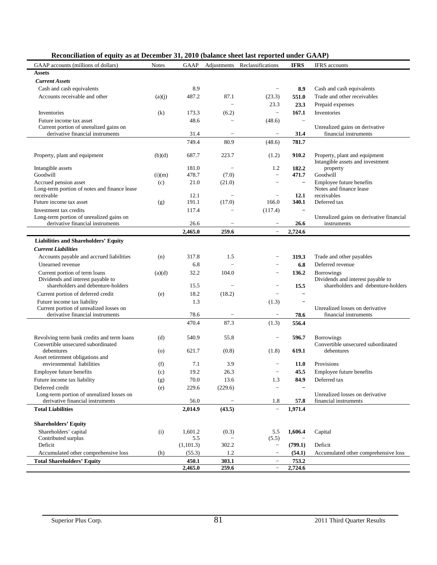| GAAP accounts (millions of dollars)                                           | <b>Notes</b>       |               |                          | GAAP Adjustments Reclassifications | <b>IFRS</b>              | <b>IFRS</b> accounts                                     |
|-------------------------------------------------------------------------------|--------------------|---------------|--------------------------|------------------------------------|--------------------------|----------------------------------------------------------|
| Assets                                                                        |                    |               |                          |                                    |                          |                                                          |
| <b>Current Assets</b>                                                         |                    |               |                          |                                    |                          |                                                          |
| Cash and cash equivalents                                                     |                    | 8.9           |                          | $\qquad \qquad -$                  | 8.9                      | Cash and cash equivalents                                |
| Accounts receivable and other                                                 | (a)(j)             | 487.2         | 87.1                     | (23.3)                             | 551.0                    | Trade and other receivables                              |
|                                                                               |                    |               | $\overline{\phantom{0}}$ | 23.3                               | 23.3                     | Prepaid expenses                                         |
| Inventories                                                                   | (k)                | 173.3         | (6.2)                    | $\overline{\phantom{m}}$           | 167.1                    | Inventories                                              |
| Future income tax asset                                                       |                    | 48.6          |                          | (48.6)                             | $\overline{\phantom{a}}$ |                                                          |
| Current portion of unrealized gains on                                        |                    |               |                          |                                    |                          | Unrealized gains on derivative                           |
| derivative financial instruments                                              |                    | 31.4          |                          | $\qquad \qquad -$                  | 31.4                     | financial instruments                                    |
|                                                                               |                    | 749.4         | 80.9                     | (48.6)                             | 781.7                    |                                                          |
| Property, plant and equipment                                                 | (b)(d)             | 687.7         | 223.7                    | (1.2)                              | 910.2                    | Property, plant and equipment                            |
|                                                                               |                    |               |                          |                                    |                          | Intangible assets and investment                         |
| Intangible assets                                                             |                    | 181.0         |                          | 1.2                                | 182.2                    | property                                                 |
| Goodwill                                                                      | (i)(m)             | 478.7         | (7.0)                    | $\overline{\phantom{0}}$           | 471.7                    | Goodwill                                                 |
| Accrued pension asset                                                         | (c)                | 21.0          | (21.0)                   | ÷                                  | $\overline{\phantom{a}}$ | Employee future benefits                                 |
| Long-term portion of notes and finance lease<br>receivable                    |                    |               |                          |                                    |                          | Notes and finance lease<br>receivables                   |
| Future income tax asset                                                       | (g)                | 12.1<br>191.1 | (17.0)                   | $\qquad \qquad -$<br>166.0         | 12.1<br>340.1            | Deferred tax                                             |
| Investment tax credits                                                        |                    | 117.4         |                          | (117.4)                            | $\overline{\phantom{a}}$ |                                                          |
| Long-term portion of unrealized gains on                                      |                    |               |                          |                                    |                          | Unrealized gains on derivative financial                 |
| derivative financial instruments                                              |                    | 26.6          |                          |                                    | 26.6                     | instruments                                              |
|                                                                               |                    | 2,465.0       | 259.6                    | $\qquad \qquad -$                  | 2,724.6                  |                                                          |
| <b>Liabilities and Shareholders' Equity</b>                                   |                    |               |                          |                                    |                          |                                                          |
| <b>Current Liabilities</b>                                                    |                    |               |                          |                                    |                          |                                                          |
| Accounts payable and accrued liabilities                                      | (n)                | 317.8         | 1.5                      |                                    | 319.3                    | Trade and other payables                                 |
| Unearned revenue                                                              |                    | 6.8           |                          |                                    | 6.8                      | Deferred revenue                                         |
| Current portion of term loans                                                 | (a)(d)             | 32.2          | 104.0                    | $\overline{\phantom{0}}$           | 136.2                    | <b>Borrowings</b>                                        |
| Dividends and interest payable to                                             |                    |               |                          |                                    |                          | Dividends and interest payable to                        |
| shareholders and debenture-holders                                            |                    | 15.5          |                          |                                    | 15.5                     | shareholders and debenture-holders                       |
| Current portion of deferred credit                                            | (e)                | 18.2          | (18.2)                   |                                    |                          |                                                          |
| Future income tax liability                                                   |                    | 1.3           |                          | (1.3)                              |                          |                                                          |
| Current portion of unrealized losses on                                       |                    |               |                          |                                    |                          | Unrealized losses on derivative                          |
| derivative financial instruments                                              |                    | 78.6          |                          | ÷                                  | 78.6                     | financial instruments                                    |
|                                                                               |                    | 470.4         | 87.3                     | (1.3)                              | 556.4                    |                                                          |
| Revolving term bank credits and term loans                                    | (d)                | 540.9         | 55.8                     |                                    | 596.7                    | <b>Borrowings</b>                                        |
| Convertible unsecured subordinated                                            |                    |               |                          |                                    |                          | Convertible unsecured subordinated                       |
| debentures                                                                    | $\left( 0 \right)$ | 621.7         | (0.8)                    | (1.8)                              | 619.1                    | debentures                                               |
| Asset retirement obligations and                                              |                    |               |                          |                                    |                          |                                                          |
| environmental liabilities                                                     | (f)                | 7.1           | 3.9                      |                                    | <b>11.0</b>              | Provisions                                               |
| Employee future benefits                                                      | (c)                | 19.2          | 26.3                     | $\overline{\phantom{0}}$           | 45.5                     | Employee future benefits                                 |
| Future income tax liability                                                   | (g)                | 70.0          | 13.6                     | 1.3                                | 84.9                     | Deferred tax                                             |
| Deferred credit                                                               | (e)                | 229.6         | (229.6)                  | ÷                                  |                          |                                                          |
| Long-term portion of unrealized losses on<br>derivative financial instruments |                    | 56.0          | $\qquad \qquad -$        | 1.8                                | 57.8                     | Unrealized losses on derivative<br>financial instruments |
| <b>Total Liabilities</b>                                                      |                    | 2,014.9       | (43.5)                   | $\overline{\phantom{a}}$           | 1,971.4                  |                                                          |
|                                                                               |                    |               |                          |                                    |                          |                                                          |
| <b>Shareholders' Equity</b>                                                   |                    |               |                          |                                    |                          |                                                          |
| Shareholders' capital                                                         | (i)                | 1,601.2       | (0.3)                    | 5.5                                | 1,606.4                  | Capital                                                  |
| Contributed surplus                                                           |                    | 5.5           |                          | (5.5)                              |                          |                                                          |
| Deficit                                                                       |                    | (1,101.3)     | 302.2                    | $\qquad \qquad -$                  | (799.1)                  | Deficit                                                  |
| Accumulated other comprehensive loss                                          | (h)                | (55.3)        | 1.2                      | $\overline{\phantom{m}}$           | (54.1)                   | Accumulated other comprehensive loss                     |
| <b>Total Shareholders' Equity</b>                                             |                    | 450.1         | 303.1                    | $\overline{\phantom{a}}$           | 753.2                    |                                                          |
|                                                                               |                    | 2,465.0       | 259.6                    | $\overline{\phantom{m}}$           | 2,724.6                  |                                                          |

# **Reconciliation of equity as at December 31, 2010 (balance sheet last reported under GAAP)**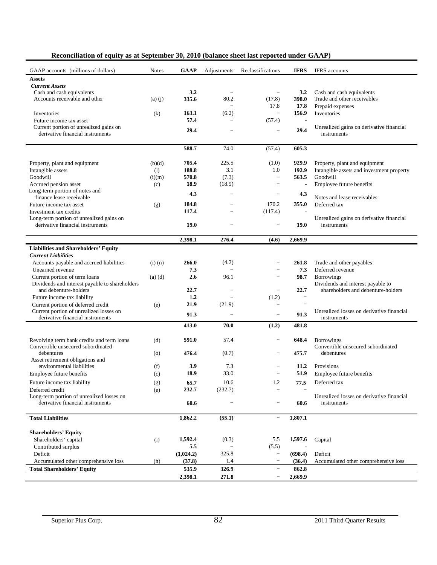| Reconciliation of equity as at September 30, 2010 (balance sheet last reported under GAAP) |  |  |  |  |
|--------------------------------------------------------------------------------------------|--|--|--|--|
|                                                                                            |  |  |  |  |

| GAAP accounts (millions of dollars)                                           | <b>Notes</b>       | <b>GAAP</b> | Adjustments              | Reclassifications        | <b>IFRS</b>              | <b>IFRS</b> accounts                                                    |
|-------------------------------------------------------------------------------|--------------------|-------------|--------------------------|--------------------------|--------------------------|-------------------------------------------------------------------------|
| <b>Assets</b>                                                                 |                    |             |                          |                          |                          |                                                                         |
| <b>Current Assets</b>                                                         |                    |             |                          |                          |                          |                                                                         |
| Cash and cash equivalents                                                     |                    | 3.2         | $\overline{\phantom{0}}$ | $\overline{\phantom{0}}$ | 3.2                      | Cash and cash equivalents                                               |
| Accounts receivable and other                                                 | $(a)$ $(i)$        | 335.6       | 80.2                     | (17.8)                   | 398.0                    | Trade and other receivables                                             |
|                                                                               |                    |             | $\overline{\phantom{0}}$ | 17.8                     | 17.8                     | Prepaid expenses                                                        |
| Inventories                                                                   | $\rm(k)$           | 163.1       | (6.2)                    |                          | 156.9                    | Inventories                                                             |
| Future income tax asset                                                       |                    | 57.4        |                          | (57.4)                   |                          |                                                                         |
| Current portion of unrealized gains on                                        |                    | 29.4        |                          | L,                       | 29.4                     | Unrealized gains on derivative financial                                |
| derivative financial instruments                                              |                    |             |                          |                          |                          | instruments                                                             |
|                                                                               |                    |             |                          |                          |                          |                                                                         |
|                                                                               |                    | 588.7       | 74.0                     | (57.4)                   | 605.3                    |                                                                         |
| Property, plant and equipment                                                 | (b)(d)             | 705.4       | 225.5                    | (1.0)                    | 929.9                    | Property, plant and equipment                                           |
| Intangible assets                                                             | (1)                | 188.8       | 3.1                      | 1.0                      | 192.9                    | Intangible assets and investment property                               |
| Goodwill                                                                      | (i)(m)             | 570.8       | (7.3)                    | $\qquad \qquad -$        | 563.5                    | Goodwill                                                                |
| Accrued pension asset                                                         | (c)                | 18.9        | (18.9)                   | $\overline{\phantom{0}}$ | $\overline{\phantom{a}}$ | Employee future benefits                                                |
| Long-term portion of notes and                                                |                    |             |                          |                          |                          |                                                                         |
| finance lease receivable                                                      |                    | 4.3         | $\overline{\phantom{0}}$ | $\overline{\phantom{0}}$ | 4.3                      | Notes and lease receivables                                             |
| Future income tax asset                                                       | (g)                | 184.8       |                          | 170.2                    | 355.0                    | Deferred tax                                                            |
| Investment tax credits                                                        |                    | 117.4       |                          | (117.4)                  |                          |                                                                         |
| Long-term portion of unrealized gains on                                      |                    |             |                          |                          |                          | Unrealized gains on derivative financial                                |
| derivative financial instruments                                              |                    | 19.0        |                          |                          | 19.0                     | instruments                                                             |
|                                                                               |                    | 2,398.1     | 276.4                    | (4.6)                    | 2,669.9                  |                                                                         |
|                                                                               |                    |             |                          |                          |                          |                                                                         |
| Liabilities and Shareholders' Equity                                          |                    |             |                          |                          |                          |                                                                         |
| <b>Current Liabilities</b>                                                    |                    |             |                          |                          |                          |                                                                         |
| Accounts payable and accrued liabilities                                      | $(i)$ $(n)$        | 266.0       | (4.2)                    |                          | 261.8                    | Trade and other payables                                                |
| Unearned revenue                                                              |                    | 7.3         | $\overline{\phantom{0}}$ | $\overline{\phantom{0}}$ | 7.3                      | Deferred revenue                                                        |
| Current portion of term loans                                                 | $(a)$ $(d)$        | 2.6         | 96.1                     | L,                       | 98.7                     | <b>Borrowings</b>                                                       |
| Dividends and interest payable to shareholders                                |                    |             |                          |                          |                          | Dividends and interest payable to<br>shareholders and debenture-holders |
| and debenture-holders                                                         |                    | 22.7        |                          |                          | 22.7                     |                                                                         |
| Future income tax liability                                                   |                    | 1,2         |                          | (1.2)                    | ÷                        |                                                                         |
| Current portion of deferred credit                                            | (e)                | 21.9        | (21.9)                   | $\equiv$                 | $\overline{\phantom{a}}$ |                                                                         |
| Current portion of unrealized losses on<br>derivative financial instruments   |                    | 91.3        | $\overline{\phantom{0}}$ | $\overline{\phantom{0}}$ | 91.3                     | Unrealized losses on derivative financial<br>instruments                |
|                                                                               |                    | 413.0       | 70.0                     | (1.2)                    | 481.8                    |                                                                         |
|                                                                               |                    |             |                          |                          |                          |                                                                         |
| Revolving term bank credits and term loans                                    | (d)                | 591.0       | 57.4                     | $\qquad \qquad -$        | 648.4                    | <b>Borrowings</b>                                                       |
| Convertible unsecured subordinated                                            |                    |             |                          |                          |                          | Convertible unsecured subordinated                                      |
| debentures                                                                    | $\left( 0 \right)$ | 476.4       | (0.7)                    |                          | 475.7                    | debentures                                                              |
| Asset retirement obligations and<br>environmental liabilities                 | (f)                | 3.9         | 7.3                      |                          | 11.2                     | Provisions                                                              |
| Employee future benefits                                                      | (c)                | 18.9        | 33.0                     | $\qquad \qquad -$        | 51.9                     | Employee future benefits                                                |
|                                                                               |                    |             |                          |                          |                          |                                                                         |
| Future income tax liability                                                   | (g)                | 65.7        | $10.6\,$                 | 1.2                      | 77.5                     | Deferred tax                                                            |
| Deferred credit                                                               | (e)                | 232.7       | (232.7)                  | $\qquad \qquad -$        |                          |                                                                         |
| Long-term portion of unrealized losses on<br>derivative financial instruments |                    |             |                          |                          |                          | Unrealized losses on derivative financial                               |
|                                                                               |                    | 60.6        |                          | $\qquad \qquad -$        | 60.6                     | instruments                                                             |
| <b>Total Liabilities</b>                                                      |                    | 1,862.2     | (55.1)                   | $\qquad \qquad -$        | 1,807.1                  |                                                                         |
|                                                                               |                    |             |                          |                          |                          |                                                                         |
| <b>Shareholders' Equity</b>                                                   |                    |             |                          |                          |                          |                                                                         |
| Shareholders' capital                                                         | (i)                | 1,592.4     | (0.3)                    | 5.5                      | 1,597.6                  | Capital                                                                 |
| Contributed surplus                                                           |                    | 5.5         |                          | (5.5)                    |                          |                                                                         |
| Deficit                                                                       |                    | (1,024.2)   | 325.8                    | $\qquad \qquad -$        | (698.4)                  | Deficit                                                                 |
| Accumulated other comprehensive loss                                          | (h)                | (37.8)      | 1.4                      |                          | (36.4)                   | Accumulated other comprehensive loss                                    |
| <b>Total Shareholders' Equity</b>                                             |                    | 535.9       | 326.9                    | $\overline{\phantom{0}}$ | 862.8                    |                                                                         |
|                                                                               |                    | 2,398.1     | 271.8                    | $\qquad \qquad -$        | 2,669.9                  |                                                                         |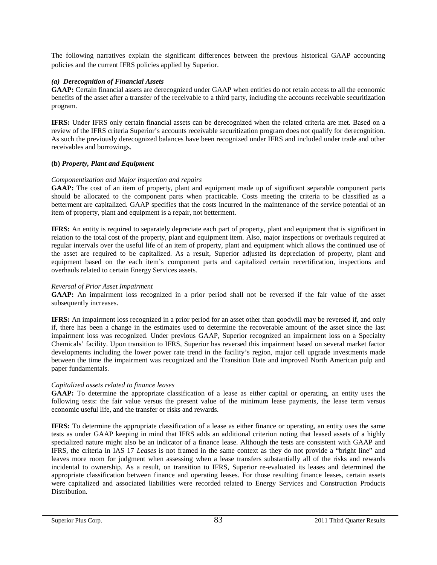The following narratives explain the significant differences between the previous historical GAAP accounting policies and the current IFRS policies applied by Superior.

# *(a) Derecognition of Financial Assets*

GAAP: Certain financial assets are derecognized under GAAP when entities do not retain access to all the economic benefits of the asset after a transfer of the receivable to a third party, including the accounts receivable securitization program.

**IFRS:** Under IFRS only certain financial assets can be derecognized when the related criteria are met. Based on a review of the IFRS criteria Superior's accounts receivable securitization program does not qualify for derecognition. As such the previously derecognized balances have been recognized under IFRS and included under trade and other receivables and borrowings.

# **(b)** *Property, Plant and Equipment*

# *Componentization and Major inspection and repairs*

**GAAP:** The cost of an item of property, plant and equipment made up of significant separable component parts should be allocated to the component parts when practicable. Costs meeting the criteria to be classified as a betterment are capitalized. GAAP specifies that the costs incurred in the maintenance of the service potential of an item of property, plant and equipment is a repair, not betterment.

**IFRS:** An entity is required to separately depreciate each part of property, plant and equipment that is significant in relation to the total cost of the property, plant and equipment item. Also, major inspections or overhauls required at regular intervals over the useful life of an item of property, plant and equipment which allows the continued use of the asset are required to be capitalized. As a result, Superior adjusted its depreciation of property, plant and equipment based on the each item's component parts and capitalized certain recertification, inspections and overhauls related to certain Energy Services assets.

# *Reversal of Prior Asset Impairment*

**GAAP:** An impairment loss recognized in a prior period shall not be reversed if the fair value of the asset subsequently increases.

**IFRS:** An impairment loss recognized in a prior period for an asset other than goodwill may be reversed if, and only if, there has been a change in the estimates used to determine the recoverable amount of the asset since the last impairment loss was recognized. Under previous GAAP, Superior recognized an impairment loss on a Specialty Chemicals' facility. Upon transition to IFRS, Superior has reversed this impairment based on several market factor developments including the lower power rate trend in the facility's region, major cell upgrade investments made between the time the impairment was recognized and the Transition Date and improved North American pulp and paper fundamentals.

# *Capitalized assets related to finance leases*

**GAAP:** To determine the appropriate classification of a lease as either capital or operating, an entity uses the following tests: the fair value versus the present value of the minimum lease payments, the lease term versus economic useful life, and the transfer or risks and rewards.

**IFRS:** To determine the appropriate classification of a lease as either finance or operating, an entity uses the same tests as under GAAP keeping in mind that IFRS adds an additional criterion noting that leased assets of a highly specialized nature might also be an indicator of a finance lease. Although the tests are consistent with GAAP and IFRS, the criteria in IAS 17 *Leases* is not framed in the same context as they do not provide a "bright line" and leaves more room for judgment when assessing when a lease transfers substantially all of the risks and rewards incidental to ownership. As a result, on transition to IFRS, Superior re-evaluated its leases and determined the appropriate classification between finance and operating leases. For those resulting finance leases, certain assets were capitalized and associated liabilities were recorded related to Energy Services and Construction Products Distribution.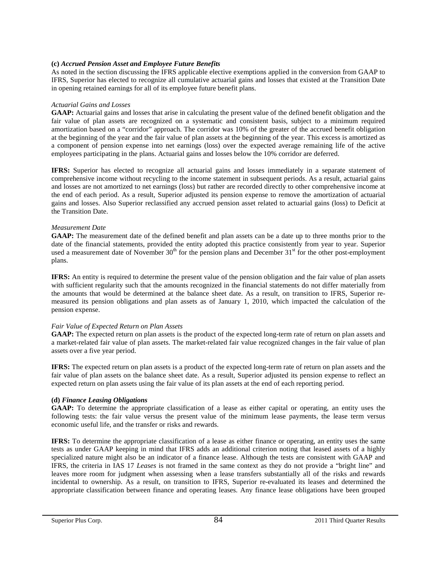# **(c)** *Accrued Pension Asset and Employee Future Benefits*

As noted in the section discussing the IFRS applicable elective exemptions applied in the conversion from GAAP to IFRS, Superior has elected to recognize all cumulative actuarial gains and losses that existed at the Transition Date in opening retained earnings for all of its employee future benefit plans.

# *Actuarial Gains and Losses*

**GAAP:** Actuarial gains and losses that arise in calculating the present value of the defined benefit obligation and the fair value of plan assets are recognized on a systematic and consistent basis, subject to a minimum required amortization based on a "corridor" approach. The corridor was 10% of the greater of the accrued benefit obligation at the beginning of the year and the fair value of plan assets at the beginning of the year. This excess is amortized as a component of pension expense into net earnings (loss) over the expected average remaining life of the active employees participating in the plans. Actuarial gains and losses below the 10% corridor are deferred.

**IFRS:** Superior has elected to recognize all actuarial gains and losses immediately in a separate statement of comprehensive income without recycling to the income statement in subsequent periods. As a result, actuarial gains and losses are not amortized to net earnings (loss) but rather are recorded directly to other comprehensive income at the end of each period. As a result, Superior adjusted its pension expense to remove the amortization of actuarial gains and losses. Also Superior reclassified any accrued pension asset related to actuarial gains (loss) to Deficit at the Transition Date.

# *Measurement Date*

**GAAP:** The measurement date of the defined benefit and plan assets can be a date up to three months prior to the date of the financial statements, provided the entity adopted this practice consistently from year to year. Superior used a measurement date of November  $30<sup>th</sup>$  for the pension plans and December  $31<sup>st</sup>$  for the other post-employment plans.

**IFRS:** An entity is required to determine the present value of the pension obligation and the fair value of plan assets with sufficient regularity such that the amounts recognized in the financial statements do not differ materially from the amounts that would be determined at the balance sheet date. As a result, on transition to IFRS, Superior remeasured its pension obligations and plan assets as of January 1, 2010, which impacted the calculation of the pension expense.

## *Fair Value of Expected Return on Plan Assets*

**GAAP:** The expected return on plan assets is the product of the expected long-term rate of return on plan assets and a market-related fair value of plan assets. The market-related fair value recognized changes in the fair value of plan assets over a five year period.

**IFRS:** The expected return on plan assets is a product of the expected long-term rate of return on plan assets and the fair value of plan assets on the balance sheet date. As a result, Superior adjusted its pension expense to reflect an expected return on plan assets using the fair value of its plan assets at the end of each reporting period.

# **(d)** *Finance Leasing Obligations*

**GAAP:** To determine the appropriate classification of a lease as either capital or operating, an entity uses the following tests: the fair value versus the present value of the minimum lease payments, the lease term versus economic useful life, and the transfer or risks and rewards.

**IFRS:** To determine the appropriate classification of a lease as either finance or operating, an entity uses the same tests as under GAAP keeping in mind that IFRS adds an additional criterion noting that leased assets of a highly specialized nature might also be an indicator of a finance lease. Although the tests are consistent with GAAP and IFRS, the criteria in IAS 17 *Leases* is not framed in the same context as they do not provide a "bright line" and leaves more room for judgment when assessing when a lease transfers substantially all of the risks and rewards incidental to ownership. As a result, on transition to IFRS, Superior re-evaluated its leases and determined the appropriate classification between finance and operating leases. Any finance lease obligations have been grouped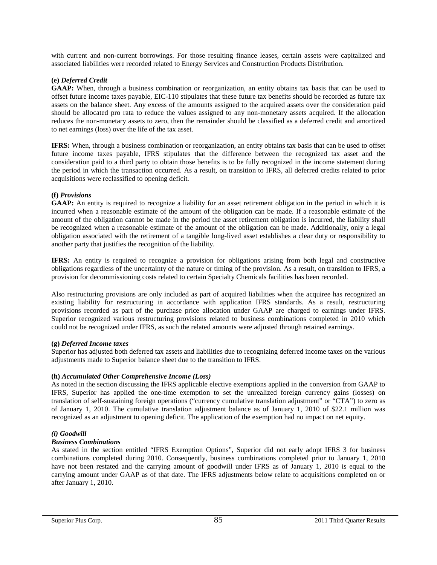with current and non-current borrowings. For those resulting finance leases, certain assets were capitalized and associated liabilities were recorded related to Energy Services and Construction Products Distribution.

# **(e)** *Deferred Credit*

**GAAP:** When, through a business combination or reorganization, an entity obtains tax basis that can be used to offset future income taxes payable, EIC-110 stipulates that these future tax benefits should be recorded as future tax assets on the balance sheet. Any excess of the amounts assigned to the acquired assets over the consideration paid should be allocated pro rata to reduce the values assigned to any non-monetary assets acquired. If the allocation reduces the non-monetary assets to zero, then the remainder should be classified as a deferred credit and amortized to net earnings (loss) over the life of the tax asset.

**IFRS:** When, through a business combination or reorganization, an entity obtains tax basis that can be used to offset future income taxes payable, IFRS stipulates that the difference between the recognized tax asset and the consideration paid to a third party to obtain those benefits is to be fully recognized in the income statement during the period in which the transaction occurred. As a result, on transition to IFRS, all deferred credits related to prior acquisitions were reclassified to opening deficit.

# **(f)** *Provisions*

**GAAP:** An entity is required to recognize a liability for an asset retirement obligation in the period in which it is incurred when a reasonable estimate of the amount of the obligation can be made. If a reasonable estimate of the amount of the obligation cannot be made in the period the asset retirement obligation is incurred, the liability shall be recognized when a reasonable estimate of the amount of the obligation can be made. Additionally, only a legal obligation associated with the retirement of a tangible long-lived asset establishes a clear duty or responsibility to another party that justifies the recognition of the liability.

**IFRS:** An entity is required to recognize a provision for obligations arising from both legal and constructive obligations regardless of the uncertainty of the nature or timing of the provision. As a result, on transition to IFRS, a provision for decommissioning costs related to certain Specialty Chemicals facilities has been recorded.

Also restructuring provisions are only included as part of acquired liabilities when the acquiree has recognized an existing liability for restructuring in accordance with application IFRS standards. As a result, restructuring provisions recorded as part of the purchase price allocation under GAAP are charged to earnings under IFRS. Superior recognized various restructuring provisions related to business combinations completed in 2010 which could not be recognized under IFRS, as such the related amounts were adjusted through retained earnings.

# **(g)** *Deferred Income taxes*

Superior has adjusted both deferred tax assets and liabilities due to recognizing deferred income taxes on the various adjustments made to Superior balance sheet due to the transition to IFRS.

# **(h)** *Accumulated Other Comprehensive Income (Loss)*

As noted in the section discussing the IFRS applicable elective exemptions applied in the conversion from GAAP to IFRS, Superior has applied the one-time exemption to set the unrealized foreign currency gains (losses) on translation of self-sustaining foreign operations ("currency cumulative translation adjustment" or "CTA") to zero as of January 1, 2010. The cumulative translation adjustment balance as of January 1, 2010 of \$22.1 million was recognized as an adjustment to opening deficit. The application of the exemption had no impact on net equity.

# *(i) Goodwill*

# *Business Combinations*

As stated in the section entitled "IFRS Exemption Options", Superior did not early adopt IFRS 3 for business combinations completed during 2010. Consequently, business combinations completed prior to January 1, 2010 have not been restated and the carrying amount of goodwill under IFRS as of January 1, 2010 is equal to the carrying amount under GAAP as of that date. The IFRS adjustments below relate to acquisitions completed on or after January 1, 2010.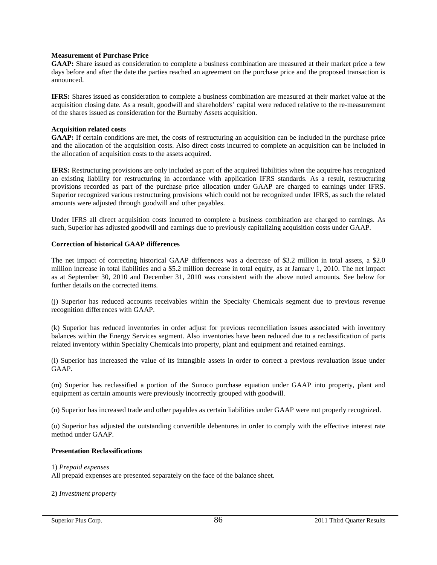#### **Measurement of Purchase Price**

**GAAP:** Share issued as consideration to complete a business combination are measured at their market price a few days before and after the date the parties reached an agreement on the purchase price and the proposed transaction is announced.

**IFRS:** Shares issued as consideration to complete a business combination are measured at their market value at the acquisition closing date. As a result, goodwill and shareholders' capital were reduced relative to the re-measurement of the shares issued as consideration for the Burnaby Assets acquisition.

#### **Acquisition related costs**

**GAAP:** If certain conditions are met, the costs of restructuring an acquisition can be included in the purchase price and the allocation of the acquisition costs. Also direct costs incurred to complete an acquisition can be included in the allocation of acquisition costs to the assets acquired.

**IFRS:** Restructuring provisions are only included as part of the acquired liabilities when the acquiree has recognized an existing liability for restructuring in accordance with application IFRS standards. As a result, restructuring provisions recorded as part of the purchase price allocation under GAAP are charged to earnings under IFRS. Superior recognized various restructuring provisions which could not be recognized under IFRS, as such the related amounts were adjusted through goodwill and other payables.

Under IFRS all direct acquisition costs incurred to complete a business combination are charged to earnings. As such, Superior has adjusted goodwill and earnings due to previously capitalizing acquisition costs under GAAP.

#### **Correction of historical GAAP differences**

The net impact of correcting historical GAAP differences was a decrease of \$3.2 million in total assets, a \$2.0 million increase in total liabilities and a \$5.2 million decrease in total equity, as at January 1, 2010. The net impact as at September 30, 2010 and December 31, 2010 was consistent with the above noted amounts. See below for further details on the corrected items.

(j) Superior has reduced accounts receivables within the Specialty Chemicals segment due to previous revenue recognition differences with GAAP.

(k) Superior has reduced inventories in order adjust for previous reconciliation issues associated with inventory balances within the Energy Services segment. Also inventories have been reduced due to a reclassification of parts related inventory within Specialty Chemicals into property, plant and equipment and retained earnings.

(l) Superior has increased the value of its intangible assets in order to correct a previous revaluation issue under GAAP.

(m) Superior has reclassified a portion of the Sunoco purchase equation under GAAP into property, plant and equipment as certain amounts were previously incorrectly grouped with goodwill.

(n) Superior has increased trade and other payables as certain liabilities under GAAP were not properly recognized.

(o) Superior has adjusted the outstanding convertible debentures in order to comply with the effective interest rate method under GAAP.

#### **Presentation Reclassifications**

#### 1) *Prepaid expenses*

All prepaid expenses are presented separately on the face of the balance sheet.

2) *Investment property*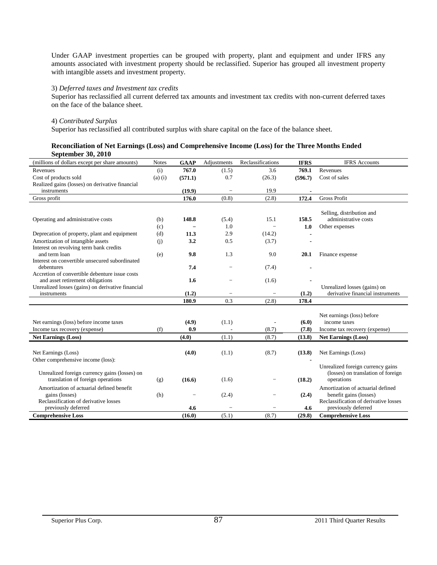Under GAAP investment properties can be grouped with property, plant and equipment and under IFRS any amounts associated with investment property should be reclassified. Superior has grouped all investment property with intangible assets and investment property.

#### 3) *Deferred taxes and Investment tax credits*

Superior has reclassified all current deferred tax amounts and investment tax credits with non-current deferred taxes on the face of the balance sheet.

#### 4) *Contributed Surplus*

Superior has reclassified all contributed surplus with share capital on the face of the balance sheet.

# **Reconciliation of Net Earnings (Loss) and Comprehensive Income (Loss) for the Three Months Ended September 30, 2010**

| (millions of dollars except per share amounts)                                        | <b>Notes</b> | <b>GAAP</b> | Adjustments              | Reclassifications        | <b>IFRS</b>    | <b>IFRS</b> Accounts                  |
|---------------------------------------------------------------------------------------|--------------|-------------|--------------------------|--------------------------|----------------|---------------------------------------|
| Revenues                                                                              | (i)          | 767.0       | (1.5)                    | 3.6                      | 769.1          | Revenues                              |
| Cost of products sold                                                                 | $(a)$ $(i)$  | (571.1)     | 0.7                      | (26.3)                   | (596.7)        | Cost of sales                         |
| Realized gains (losses) on derivative financial                                       |              |             |                          |                          |                |                                       |
| instruments                                                                           |              | (19.9)      | $\overline{\phantom{0}}$ | 19.9                     | $\blacksquare$ |                                       |
| Gross profit                                                                          |              | 176.0       | (0.8)                    | (2.8)                    | 172.4          | <b>Gross Profit</b>                   |
|                                                                                       |              |             |                          |                          |                |                                       |
|                                                                                       |              |             |                          |                          |                | Selling, distribution and             |
| Operating and administrative costs                                                    | (b)          | 148.8       | (5.4)                    | 15.1                     | 158.5          | administrative costs                  |
|                                                                                       | (c)          |             | 1.0                      | $\overline{\phantom{0}}$ | 1.0            | Other expenses                        |
| Deprecation of property, plant and equipment                                          | (d)          | 11.3        | 2.9                      | (14.2)                   |                |                                       |
| Amortization of intangible assets                                                     | (i)          | 3.2         | 0.5                      | (3.7)                    |                |                                       |
| Interest on revolving term bank credits                                               |              |             |                          |                          |                |                                       |
| and term loan                                                                         | (e)          | 9.8         | 1.3                      | 9.0                      | 20.1           | Finance expense                       |
| Interest on convertible unsecured subordinated                                        |              |             |                          |                          |                |                                       |
| debentures                                                                            |              | 7.4         |                          | (7.4)                    |                |                                       |
| Accretion of convertible debenture issue costs                                        |              | 1.6         |                          | (1.6)                    |                |                                       |
| and asset retirement obligations<br>Unrealized losses (gains) on derivative financial |              |             |                          |                          |                | Unrealized losses (gains) on          |
| instruments                                                                           |              | (1.2)       |                          |                          | (1.2)          | derivative financial instruments      |
|                                                                                       |              | 180.9       | 0.3                      | (2.8)                    | 178.4          |                                       |
|                                                                                       |              |             |                          |                          |                |                                       |
|                                                                                       |              |             |                          |                          |                | Net earnings (loss) before            |
| Net earnings (loss) before income taxes                                               |              | (4.9)       | (1.1)                    |                          | (6.0)          | income taxes                          |
| Income tax recovery (expense)                                                         | (f)          | 0.9         |                          | (8.7)                    | (7.8)          | Income tax recovery (expense)         |
| <b>Net Earnings (Loss)</b>                                                            |              | (4.0)       | (1.1)                    | (8.7)                    | (13.8)         | <b>Net Earnings (Loss)</b>            |
|                                                                                       |              |             |                          |                          |                |                                       |
| Net Earnings (Loss)                                                                   |              | (4.0)       | (1.1)                    | (8.7)                    | (13.8)         | Net Earnings (Loss)                   |
| Other comprehensive income (loss):                                                    |              |             |                          |                          |                |                                       |
|                                                                                       |              |             |                          |                          |                | Unrealized foreign currency gains     |
| Unrealized foreign currency gains (losses) on                                         |              |             |                          |                          |                | (losses) on translation of foreign    |
| translation of foreign operations                                                     | (g)          | (16.6)      | (1.6)                    | $\qquad \qquad -$        | (18.2)         | operations                            |
| Amortization of actuarial defined benefit                                             |              |             |                          |                          |                | Amortization of actuarial defined     |
| gains (losses)                                                                        | (h)          |             | (2.4)                    |                          | (2.4)          | benefit gains (losses)                |
| Reclassification of derivative losses                                                 |              |             |                          |                          |                | Reclassification of derivative losses |
| previously deferred                                                                   |              | 4.6         |                          | $\qquad \qquad -$        | 4.6            | previously deferred                   |
| <b>Comprehensive Loss</b>                                                             |              | (16.0)      | (5.1)                    | (8.7)                    | (29.8)         | <b>Comprehensive Loss</b>             |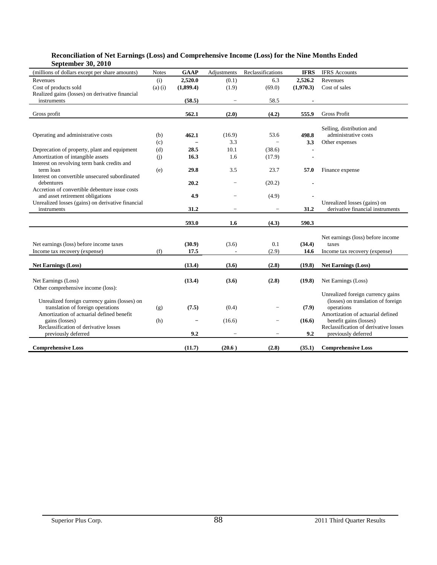| September 30, 2010                                               |              |                          |             |                          |             |                                                                  |
|------------------------------------------------------------------|--------------|--------------------------|-------------|--------------------------|-------------|------------------------------------------------------------------|
| (millions of dollars except per share amounts)                   | <b>Notes</b> | <b>GAAP</b>              | Adjustments | Reclassifications        | <b>IFRS</b> | <b>IFRS</b> Accounts                                             |
| Revenues                                                         | (i)          | 2,520.0                  | (0.1)       | 6.3                      | 2,526.2     | Revenues                                                         |
| Cost of products sold                                            | $(a)$ $(i)$  | (1,899.4)                | (1.9)       | (69.0)                   | (1,970.3)   | Cost of sales                                                    |
| Realized gains (losses) on derivative financial                  |              |                          |             |                          |             |                                                                  |
| instruments                                                      |              | (58.5)                   |             | 58.5                     |             |                                                                  |
|                                                                  |              |                          |             |                          |             |                                                                  |
| Gross profit                                                     |              | 562.1                    | (2.0)       | (4.2)                    | 555.9       | <b>Gross Profit</b>                                              |
|                                                                  |              |                          |             |                          |             |                                                                  |
| Operating and administrative costs                               | (b)          | 462.1                    | (16.9)      | 53.6                     | 498.8       | Selling, distribution and<br>administrative costs                |
|                                                                  | (c)          | $\overline{\phantom{0}}$ | 3.3         | $\equiv$                 | 3.3         | Other expenses                                                   |
| Deprecation of property, plant and equipment                     | (d)          | 28.5                     | 10.1        | (38.6)                   |             |                                                                  |
| Amortization of intangible assets                                | (i)          | 16.3                     | 1.6         | (17.9)                   |             |                                                                  |
| Interest on revolving term bank credits and                      |              |                          |             |                          |             |                                                                  |
| term loan                                                        | (e)          | 29.8                     | 3.5         | 23.7                     | 57.0        | Finance expense                                                  |
| Interest on convertible unsecured subordinated                   |              |                          |             |                          |             |                                                                  |
| debentures                                                       |              | 20.2                     |             | (20.2)                   |             |                                                                  |
| Accretion of convertible debenture issue costs                   |              |                          |             |                          |             |                                                                  |
| and asset retirement obligations                                 |              | 4.9                      |             | (4.9)                    |             |                                                                  |
| Unrealized losses (gains) on derivative financial<br>instruments |              | 31.2                     |             |                          | 31.2        | Unrealized losses (gains) on<br>derivative financial instruments |
|                                                                  |              |                          |             |                          |             |                                                                  |
|                                                                  |              | 593.0                    | 1.6         | (4.3)                    | 590.3       |                                                                  |
|                                                                  |              |                          |             |                          |             |                                                                  |
|                                                                  |              |                          |             |                          |             | Net earnings (loss) before income                                |
| Net earnings (loss) before income taxes                          |              | (30.9)                   | (3.6)       | 0.1                      | (34.4)      | taxes                                                            |
| Income tax recovery (expense)                                    | (f)          | 17.5                     |             | (2.9)                    | 14.6        | Income tax recovery (expense)                                    |
| <b>Net Earnings (Loss)</b>                                       |              | (13.4)                   | (3.6)       | (2.8)                    | (19.8)      | <b>Net Earnings (Loss)</b>                                       |
|                                                                  |              |                          |             |                          |             |                                                                  |
| Net Earnings (Loss)                                              |              | (13.4)                   | (3.6)       | (2.8)                    | (19.8)      | Net Earnings (Loss)                                              |
| Other comprehensive income (loss):                               |              |                          |             |                          |             |                                                                  |
|                                                                  |              |                          |             |                          |             | Unrealized foreign currency gains                                |
| Unrealized foreign currency gains (losses) on                    |              |                          |             |                          |             | (losses) on translation of foreign                               |
| translation of foreign operations                                | (g)          | (7.5)                    | (0.4)       |                          | (7.9)       | operations                                                       |
| Amortization of actuarial defined benefit<br>gains (losses)      | (h)          |                          | (16.6)      |                          | (16.6)      | Amortization of actuarial defined<br>benefit gains (losses)      |
| Reclassification of derivative losses                            |              | $\overline{\phantom{0}}$ |             |                          |             | Reclassification of derivative losses                            |
| previously deferred                                              |              | 9.2                      |             | $\overline{\phantom{0}}$ | 9.2         | previously deferred                                              |
|                                                                  |              |                          |             |                          |             |                                                                  |
| <b>Comprehensive Loss</b>                                        |              | (11.7)                   | (20.6)      | (2.8)                    | (35.1)      | <b>Comprehensive Loss</b>                                        |

# **Reconciliation of Net Earnings (Loss) and Comprehensive Income (Loss) for the Nine Months Ended September 30, 2010**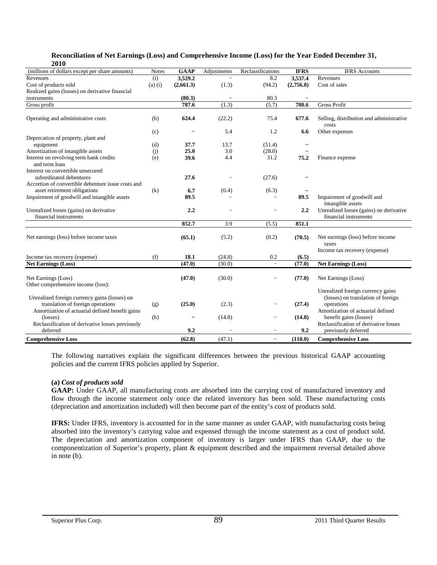| Reconciliation of Net Earnings (Loss) and Comprehensive Income (Loss) for the Year Ended December 31, |  |
|-------------------------------------------------------------------------------------------------------|--|
| 2010                                                                                                  |  |

| <b>IFRS Accounts</b>                     |
|------------------------------------------|
|                                          |
|                                          |
|                                          |
|                                          |
|                                          |
|                                          |
| Selling, distribution and administrative |
|                                          |
|                                          |
|                                          |
|                                          |
|                                          |
|                                          |
|                                          |
|                                          |
|                                          |
|                                          |
| Impairment of goodwill and               |
| Unrealized losses (gains) on derivative  |
| financial instruments                    |
|                                          |
|                                          |
| Net earnings (loss) before income        |
| Income tax recovery (expense)            |
|                                          |
| <b>Net Earnings (Loss)</b>               |
|                                          |
| Net Earnings (Loss)                      |
|                                          |
| Unrealized foreign currency gains        |
| (losses) on translation of foreign       |
|                                          |
| Amortization of actuarial defined        |
| benefit gains (losses)                   |
| Reclassification of derivative losses    |
| previously deferred                      |
| <b>Comprehensive Loss</b>                |
| intangible assets                        |

The following narratives explain the significant differences between the previous historical GAAP accounting policies and the current IFRS policies applied by Superior.

# **(a)** *Cost of products sold*

GAAP: Under GAAP, all manufacturing costs are absorbed into the carrying cost of manufactured inventory and flow through the income statement only once the related inventory has been sold. These manufacturing costs (depreciation and amortization included) will then become part of the entity's cost of products sold.

**IFRS:** Under IFRS, inventory is accounted for in the same manner as under GAAP, with manufacturing costs being absorbed into the inventory's carrying value and expensed through the income statement as a cost of product sold. The depreciation and amortization component of inventory is larger under IFRS than GAAP, due to the componentization of Superior's property, plant & equipment described and the impairment reversal detailed above in note (b).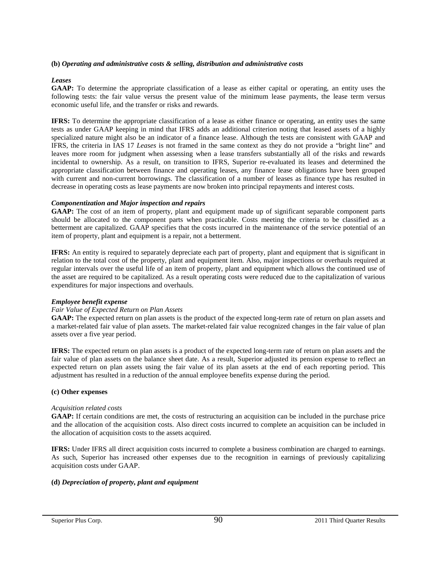#### **(b)** *Operating and administrative costs & selling, distribution and administrative costs*

## *Leases*

**GAAP:** To determine the appropriate classification of a lease as either capital or operating, an entity uses the following tests: the fair value versus the present value of the minimum lease payments, the lease term versus economic useful life, and the transfer or risks and rewards.

**IFRS:** To determine the appropriate classification of a lease as either finance or operating, an entity uses the same tests as under GAAP keeping in mind that IFRS adds an additional criterion noting that leased assets of a highly specialized nature might also be an indicator of a finance lease. Although the tests are consistent with GAAP and IFRS, the criteria in IAS 17 *Leases* is not framed in the same context as they do not provide a "bright line" and leaves more room for judgment when assessing when a lease transfers substantially all of the risks and rewards incidental to ownership. As a result, on transition to IFRS, Superior re-evaluated its leases and determined the appropriate classification between finance and operating leases, any finance lease obligations have been grouped with current and non-current borrowings. The classification of a number of leases as finance type has resulted in decrease in operating costs as lease payments are now broken into principal repayments and interest costs.

#### *Componentization and Major inspection and repairs*

**GAAP:** The cost of an item of property, plant and equipment made up of significant separable component parts should be allocated to the component parts when practicable. Costs meeting the criteria to be classified as a betterment are capitalized. GAAP specifies that the costs incurred in the maintenance of the service potential of an item of property, plant and equipment is a repair, not a betterment.

**IFRS:** An entity is required to separately depreciate each part of property, plant and equipment that is significant in relation to the total cost of the property, plant and equipment item. Also, major inspections or overhauls required at regular intervals over the useful life of an item of property, plant and equipment which allows the continued use of the asset are required to be capitalized. As a result operating costs were reduced due to the capitalization of various expenditures for major inspections and overhauls.

## *Employee benefit expense*

## *Fair Value of Expected Return on Plan Assets*

**GAAP:** The expected return on plan assets is the product of the expected long-term rate of return on plan assets and a market-related fair value of plan assets. The market-related fair value recognized changes in the fair value of plan assets over a five year period.

**IFRS:** The expected return on plan assets is a product of the expected long-term rate of return on plan assets and the fair value of plan assets on the balance sheet date. As a result, Superior adjusted its pension expense to reflect an expected return on plan assets using the fair value of its plan assets at the end of each reporting period. This adjustment has resulted in a reduction of the annual employee benefits expense during the period.

# **(c) Other expenses**

#### *Acquisition related costs*

**GAAP:** If certain conditions are met, the costs of restructuring an acquisition can be included in the purchase price and the allocation of the acquisition costs. Also direct costs incurred to complete an acquisition can be included in the allocation of acquisition costs to the assets acquired.

**IFRS:** Under IFRS all direct acquisition costs incurred to complete a business combination are charged to earnings. As such, Superior has increased other expenses due to the recognition in earnings of previously capitalizing acquisition costs under GAAP.

## **(d)** *Depreciation of property, plant and equipment*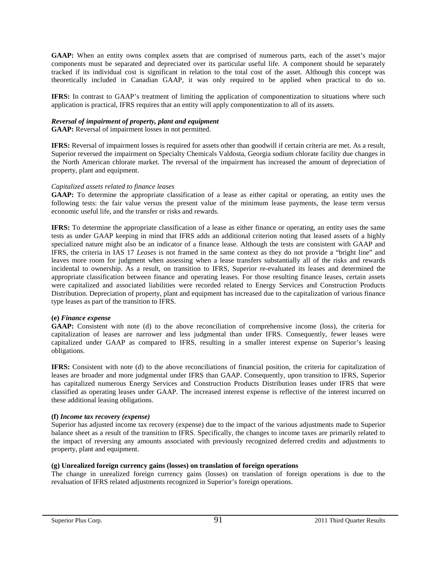GAAP: When an entity owns complex assets that are comprised of numerous parts, each of the asset's major components must be separated and depreciated over its particular useful life. A component should be separately tracked if its individual cost is significant in relation to the total cost of the asset. Although this concept was theoretically included in Canadian GAAP, it was only required to be applied when practical to do so.

**IFRS:** In contrast to GAAP's treatment of limiting the application of componentization to situations where such application is practical, IFRS requires that an entity will apply componentization to all of its assets.

## *Reversal of impairment of property, plant and equipment*

GAAP: Reversal of impairment losses in not permitted.

**IFRS:** Reversal of impairment losses is required for assets other than goodwill if certain criteria are met. As a result, Superior reversed the impairment on Specialty Chemicals Valdosta, Georgia sodium chlorate facility due changes in the North American chlorate market. The reversal of the impairment has increased the amount of depreciation of property, plant and equipment.

## *Capitalized assets related to finance leases*

**GAAP:** To determine the appropriate classification of a lease as either capital or operating, an entity uses the following tests: the fair value versus the present value of the minimum lease payments, the lease term versus economic useful life, and the transfer or risks and rewards.

**IFRS:** To determine the appropriate classification of a lease as either finance or operating, an entity uses the same tests as under GAAP keeping in mind that IFRS adds an additional criterion noting that leased assets of a highly specialized nature might also be an indicator of a finance lease. Although the tests are consistent with GAAP and IFRS, the criteria in IAS 17 *Leases* is not framed in the same context as they do not provide a "bright line" and leaves more room for judgment when assessing when a lease transfers substantially all of the risks and rewards incidental to ownership. As a result, on transition to IFRS, Superior re-evaluated its leases and determined the appropriate classification between finance and operating leases. For those resulting finance leases, certain assets were capitalized and associated liabilities were recorded related to Energy Services and Construction Products Distribution. Depreciation of property, plant and equipment has increased due to the capitalization of various finance type leases as part of the transition to IFRS.

## **(e)** *Finance expense*

**GAAP:** Consistent with note (d) to the above reconciliation of comprehensive income (loss), the criteria for capitalization of leases are narrower and less judgmental than under IFRS. Consequently, fewer leases were capitalized under GAAP as compared to IFRS, resulting in a smaller interest expense on Superior's leasing obligations.

**IFRS:** Consistent with note (d) to the above reconciliations of financial position, the criteria for capitalization of leases are broader and more judgmental under IFRS than GAAP. Consequently, upon transition to IFRS, Superior has capitalized numerous Energy Services and Construction Products Distribution leases under IFRS that were classified as operating leases under GAAP. The increased interest expense is reflective of the interest incurred on these additional leasing obligations.

## **(f)** *Income tax recovery (expense)*

Superior has adjusted income tax recovery (expense) due to the impact of the various adjustments made to Superior balance sheet as a result of the transition to IFRS. Specifically, the changes to income taxes are primarily related to the impact of reversing any amounts associated with previously recognized deferred credits and adjustments to property, plant and equipment.

## **(g) Unrealized foreign currency gains (losses) on translation of foreign operations**

The change in unrealized foreign currency gains (losses) on translation of foreign operations is due to the revaluation of IFRS related adjustments recognized in Superior's foreign operations.